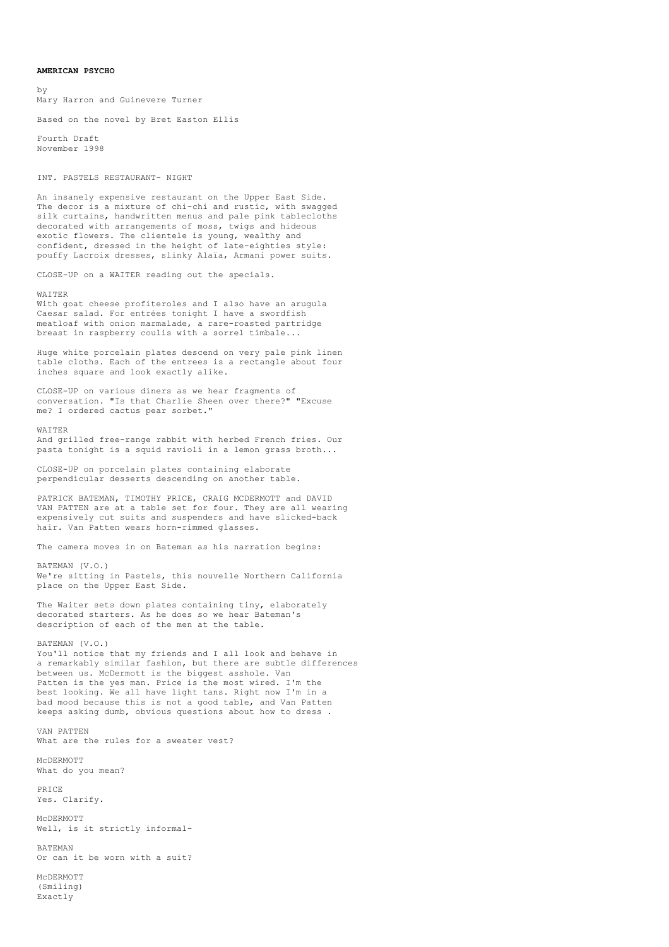# **AMERICAN PSYCHO**

by Mary Harron and Guinevere Turner

Based on the novel by Bret Easton Ellis

Fourth Draft November 1998

INT. PASTELS RESTAURANT- NIGHT

An insanely expensive restaurant on the Upper East Side. The decor is a mixture of chi-chi and rustic, with swagged silk curtains, handwritten menus and pale pink tablecloths decorated with arrangements of moss, twigs and hideous exotic flowers. The clientele is young, wealthy and confident, dressed in the height of late-eighties style: pouffy Lacroix dresses, slinky Alaïa, Armani power suits.

CLOSE-UP on a WAITER reading out the specials.

WAITER

With goat cheese profiteroles and I also have an arugula Caesar salad. For entrées tonight I have a swordfish meatloaf with onion marmalade, a rare-roasted partridge breast in raspberry coulis with a sorrel timbale...

Huge white porcelain plates descend on very pale pink linen table cloths. Each of the entrees is a rectangle about four inches square and look exactly alike.

CLOSE-UP on various diners as we hear fragments of conversation. "Is that Charlie Sheen over there?" "Excuse me? I ordered cactus pear sorbet."

#### WAITER

And grilled free-range rabbit with herbed French fries. Our pasta tonight is a squid ravioli in a lemon grass broth...

CLOSE-UP on porcelain plates containing elaborate perpendicular desserts descending on another table.

PATRICK BATEMAN, TIMOTHY PRICE, CRAIG MCDERMOTT and DAVID VAN PATTEN are at a table set for four. They are all wearing expensively cut suits and suspenders and have slicked-back hair. Van Patten wears horn-rimmed glasses.

The camera moves in on Bateman as his narration begins:

BATEMAN (V.O.) We're sitting in Pastels, this nouvelle Northern California place on the Upper East Side.

The Waiter sets down plates containing tiny, elaborately decorated starters. As he does so we hear Bateman's description of each of the men at the table.

BATEMAN (V.O.) You'll notice that my friends and I all look and behave in a remarkably similar fashion, but there are subtle differences between us. McDermott is the biggest asshole. Van Patten is the yes man. Price is the most wired. I'm the best looking. We all have light tans. Right now I'm in a bad mood because this is not a good table, and Van Patten keeps asking dumb, obvious questions about how to dress .

VAN PATTEN What are the rules for a sweater vest?

McDERMOTT What do you mean?

PRICE Yes. Clarify.

McDERMOTT Well, is it strictly informal-

BATEMAN Or can it be worn with a suit?

McDERMOTT (Smiling) Exactly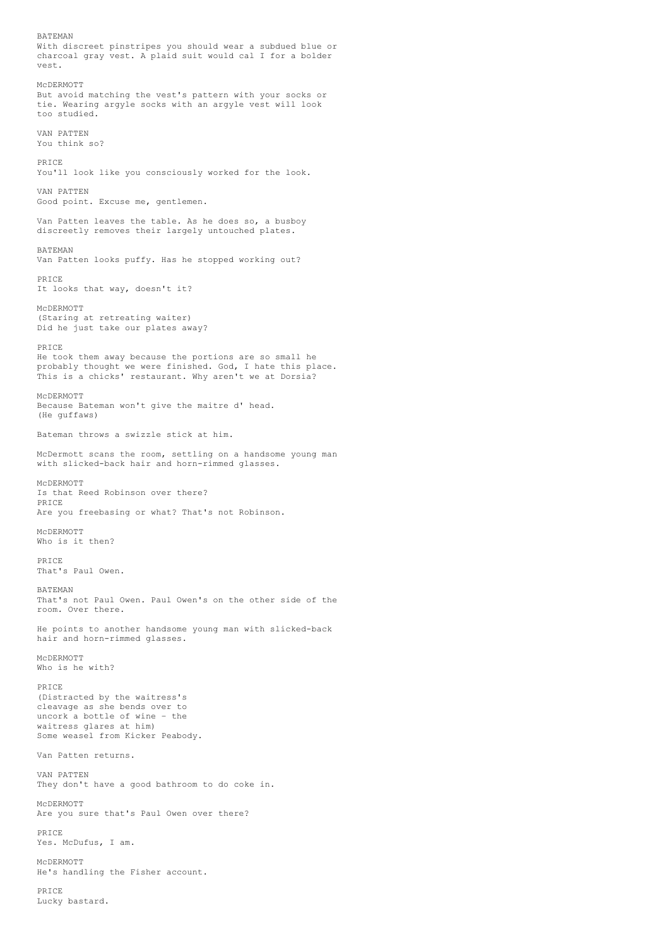| <b>BATEMAN</b><br>With discreet pinstripes you should wear a subdued blue or<br>charcoal gray vest. A plaid suit would cal I for a bolder<br>vest.                                      |
|-----------------------------------------------------------------------------------------------------------------------------------------------------------------------------------------|
| MCDERMOTT<br>But avoid matching the vest's pattern with your socks or<br>tie. Wearing argyle socks with an argyle vest will look<br>too studied.                                        |
| VAN PATTEN<br>You think so?                                                                                                                                                             |
| PRICE<br>You'll look like you consciously worked for the look.                                                                                                                          |
| VAN PATTEN<br>Good point. Excuse me, gentlemen.                                                                                                                                         |
| Van Patten leaves the table. As he does so, a busboy<br>discreetly removes their largely untouched plates.                                                                              |
| BATEMAN<br>Van Patten looks puffy. Has he stopped working out?                                                                                                                          |
| PRICE<br>It looks that way, doesn't it?                                                                                                                                                 |
| MCDERMOTT<br>(Staring at retreating waiter)<br>Did he just take our plates away?                                                                                                        |
| PRICE<br>He took them away because the portions are so small he<br>probably thought we were finished. God, I hate this place.<br>This is a chicks' restaurant. Why aren't we at Dorsia? |
| MCDERMOTT<br>Because Bateman won't give the maitre d' head.<br>(He guffaws)                                                                                                             |
| Bateman throws a swizzle stick at him.                                                                                                                                                  |
| McDermott scans the room, settling on a handsome young man<br>with slicked-back hair and horn-rimmed glasses.                                                                           |
| MCDERMOTT<br>Is that Reed Robinson over there?<br>PRICE                                                                                                                                 |
| Are you freebasing or what? That's not Robinson.                                                                                                                                        |
| MCDERMOTT<br>Who is it then?                                                                                                                                                            |
| PRICE<br>That's Paul Owen.                                                                                                                                                              |
| <b>BATEMAN</b><br>That's not Paul Owen. Paul Owen's on the other side of the<br>room. Over there.                                                                                       |
| He points to another handsome young man with slicked-back<br>hair and horn-rimmed glasses.                                                                                              |
| MCDERMOTT<br>Who is he with?                                                                                                                                                            |
| PRICE<br>(Distracted by the waitress's<br>cleavage as she bends over to<br>uncork a bottle of wine - the<br>waitress glares at him)<br>Some weasel from Kicker Peabody.                 |
| Van Patten returns.                                                                                                                                                                     |
| VAN PATTEN<br>They don't have a good bathroom to do coke in.                                                                                                                            |
| MCDERMOTT<br>Are you sure that's Paul Owen over there?                                                                                                                                  |
| PRICE<br>Yes. McDufus, I am.                                                                                                                                                            |
| MCDERMOTT<br>He's handling the Fisher account.                                                                                                                                          |
|                                                                                                                                                                                         |

PRICE Lucky bastard.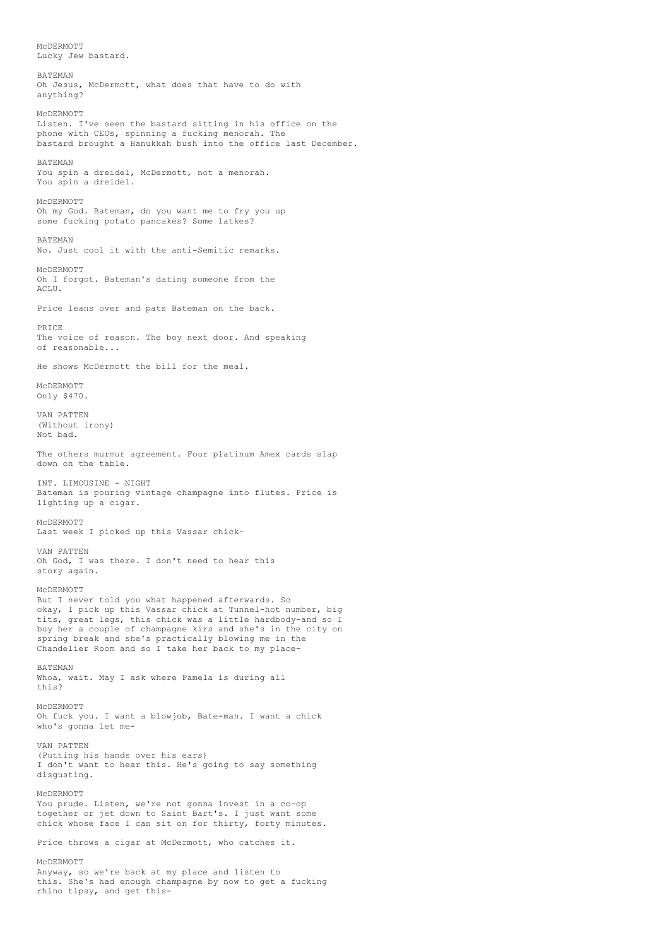McDERMOTT Lucky Jew bastard. BATEMAN Oh Jesus, McDermott, what does that have to do with anything? McDERMOTT Listen. I've seen the bastard sitting in his office on the phone with CEOs, spinning a fucking menorah. The bastard brought a Hanukkah bush into the office last December. BATEMAN You spin a dreidel, McDermott, not a menorah. You spin a dreidel. McDERMOTT Oh my God. Bateman, do you want me to fry you up some fucking potato pancakes? Some latkes? BATEMAN No. Just cool it with the anti-Semitic remarks. McDERMOTT Oh I forgot. Bateman's dating someone from the ACLU. Price leans over and pats Bateman on the back. PRICE The voice of reason. The boy next door. And speaking of reasonable... He shows McDermott the bill for the meal. McDERMOTT Only \$470. VAN PATTEN (Without irony) Not bad. The others murmur agreement. Four platinum Amex cards slap down on the table. INT. LIMOUSINE - NIGHT Bateman is pouring vintage champagne into flutes. Price is lighting up a cigar. McDERMOTT Last week I picked up this Vassar chick-VAN PATTEN Oh God, I was there. I don't need to hear this story again. McDERMOTT But I never told you what happened afterwards. So okay, I pick up this Vassar chick at Tunnel-hot number, big tits, great legs, this chick was a little hardbody-and so I

buy her a couple of champagne kirs and she's in the city on spring break and she's practically blowing me in the Chandelier Room and so I take her back to my place-

BATEMAN Whoa, wait. May I ask where Pamela is during all  $thi$ s?

McDERMOTT Oh fuck you. I want a blowjob, Bate-man. I want a chick who's gonna let me-

VAN PATTEN (Putting his hands over his ears) I don't want to hear this. He's going to say something disqusting.

McDERMOTT You prude. Listen, we're not gonna invest in a co-op together or jet down to Saint Bart's. I just want some chick whose face I can sit on for thirty, forty minutes.

Price throws a cigar at McDermott, who catches it.

McDERMOTT Anyway, so we're back at my place and listen to this. She's had enough champagne by now to get a fucking rhino tipsy, and get this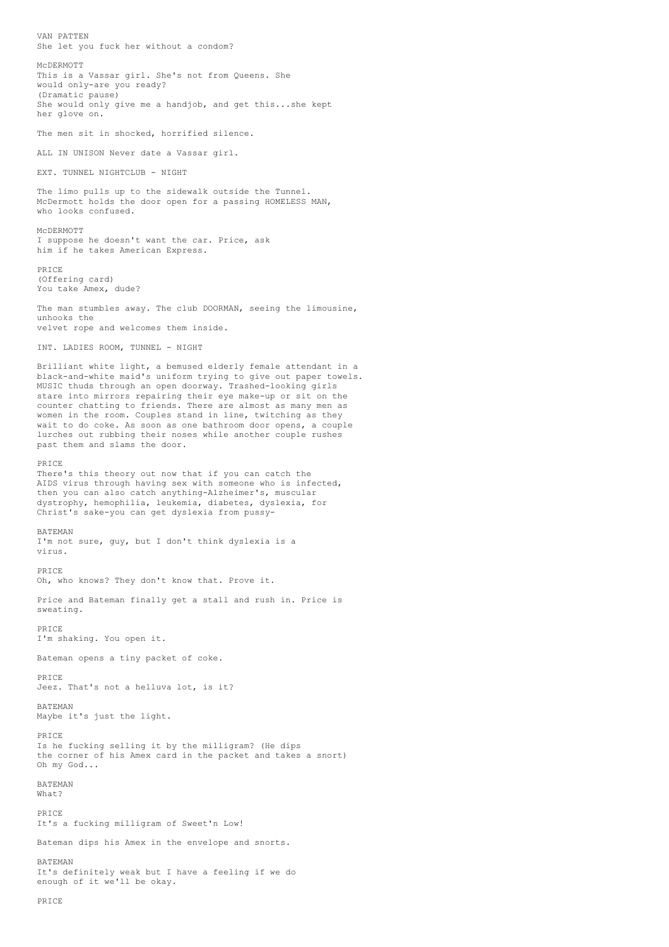VAN PATTEN She let you fuck her without a condom? McDERMOTT This is a Vassar girl. She's not from Queens. She would only-are you ready? (Dramatic pause) She would only give me a handjob, and get this...she kept her glove on. The men sit in shocked, horrified silence. ALL IN UNISON Never date a Vassar girl. EXT. TUNNEL NIGHTCLUB - NIGHT The limo pulls up to the sidewalk outside the Tunnel. McDermott holds the door open for a passing HOMELESS MAN, who looks confused. McDERMOTT I suppose he doesn't want the car. Price, ask him if he takes American Express. PRICE (Offering card) You take Amex, dude? The man stumbles away. The club DOORMAN, seeing the limousine, unhooks the velvet rope and welcomes them inside. INT. LADIES ROOM, TUNNEL - NIGHT Brilliant white light, a bemused elderly female attendant in a black-and-white maid's uniform trying to give out paper towels. MUSIC thuds through an open doorway. Trashed-looking girls stare into mirrors repairing their eye make-up or sit on the counter chatting to friends. There are almost as many men as women in the room. Couples stand in line, twitching as they wait to do coke. As soon as one bathroom door opens, a couple lurches out rubbing their noses while another couple rushes past them and slams the door. PRICE There's this theory out now that if you can catch the AIDS virus through having sex with someone who is infected, then you can also catch anything-Alzheimer's, muscular dystrophy, hemophilia, leukemia, diabetes, dyslexia, for Christ's sake-you can get dyslexia from pussy-BATEMAN I'm not sure, guy, but I don't think dyslexia is a virus. PRICE Oh, who knows? They don't know that. Prove it. Price and Bateman finally get a stall and rush in. Price is sweating. PRICE I'm shaking. You open it. Bateman opens a tiny packet of coke. PRICE Jeez. That's not a helluva lot, is it? BATEMAN Maybe it's just the light. PRICE Is he fucking selling it by the milligram? (He dips the corner of his Amex card in the packet and takes a snort) Oh my God... BATEMAN  $Wh$ at? PRICE It's a fucking milligram of Sweet'n Low! Bateman dips his Amex in the envelope and snorts. BATEMAN It's definitely weak but I have a feeling if we do enough of it we'll be okay. PRICE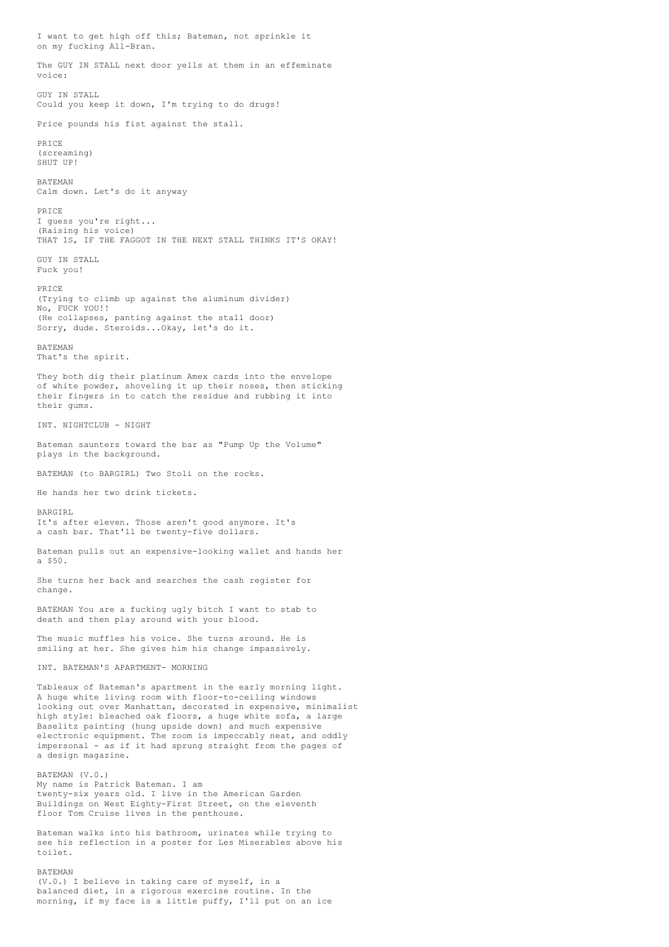I want to get high off this; Bateman, not sprinkle it on my fucking All-Bran. The GUY IN STALL next door yells at them in an effeminate voice: GUY IN STALL Could you keep it down, I'm trying to do drugs! Price pounds his fist against the stall. PRICE (screaming) SHUT UP! BATEMAN Calm down. Let's do it anyway PRICE I guess you're right... (Raising his voice) THAT IS, IF THE FAGGOT IN THE NEXT STALL THINKS IT'S OKAY! GUY IN STALL Fuck you! PRICE (Trying to climb up against the aluminum divider) No, FUCK YOU!! (He collapses, panting against the stall door) Sorry, dude. Steroids...Okay, let's do it. BATEMAN That's the spirit. They both dig their platinum Amex cards into the envelope of white powder, shoveling it up their noses, then sticking their fingers in to catch the residue and rubbing it into their gums. INT. NIGHTCLUB - NIGHT Bateman saunters toward the bar as "Pump Up the Volume" plays in the background. BATEMAN (to BARGIRL) Two Stoli on the rocks. He hands her two drink tickets. BARGIRL It's after eleven. Those aren't good anymore. It's a cash bar. That'll be twenty-five dollars. Bateman pulls out an expensive-looking wallet and hands her a \$50. She turns her back and searches the cash register for change. BATEMAN You are a fucking ugly bitch I want to stab to death and then play around with your blood. The music muffles his voice. She turns around. He is smiling at her. She gives him his change impassively. INT. BATEMAN'S APARTMENT- MORNING Tableaux of Bateman's apartment in the early morning light. A huge white living room with floor-to-ceiling windows looking out over Manhattan, decorated in expensive, minimalist high style: bleached oak floors, a huge white sofa, a large Baselitz painting (hung upside down) and much expensive electronic equipment. The room is impeccably neat, and oddly impersonal - as if it had sprung straight from the pages of a design magazine. BATEMAN (V.0.) My name is Patrick Bateman. I am twenty-six years old. I live in the American Garden Buildings on West Eighty-First Street, on the eleventh floor Tom Cruise lives in the penthouse. Bateman walks into his bathroom, urinates while trying to see his reflection in a poster for Les Miserables above his toilet.

BATEMAN

(V.0.) I believe in taking care of myself, in a balanced diet, in a rigorous exercise routine. In the morning, if my face is a little puffy, I'll put on an ice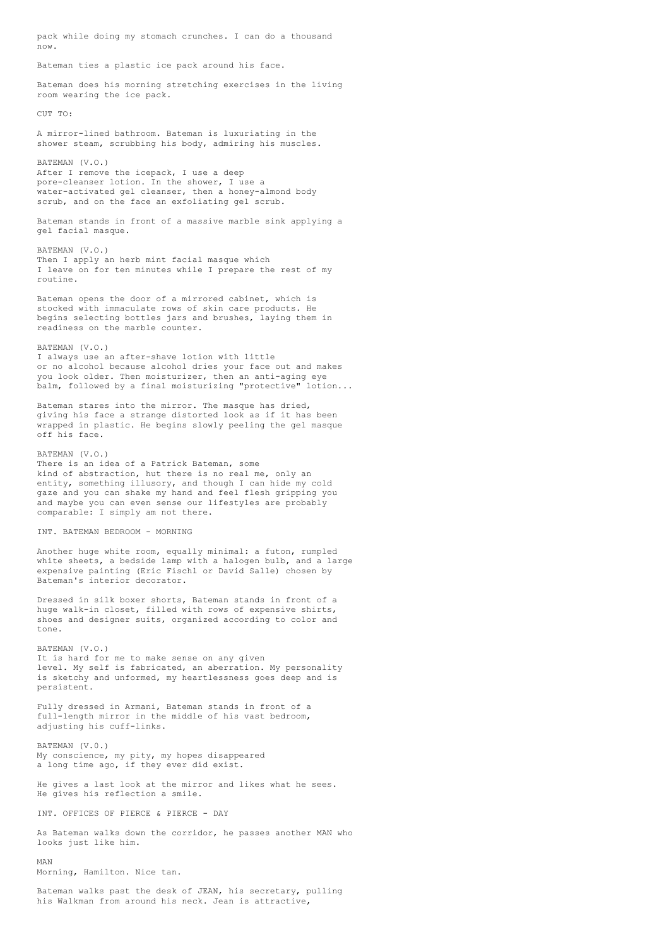pack while doing my stomach crunches. I can do a thousand now.

Bateman ties a plastic ice pack around his face.

Bateman does his morning stretching exercises in the living room wearing the ice pack.

CUT TO:

A mirror-lined bathroom. Bateman is luxuriating in the shower steam, scrubbing his body, admiring his muscles.

BATEMAN (V.O.)

After I remove the icepack, I use a deep pore-cleanser lotion. In the shower, I use a water-activated gel cleanser, then a honey-almond body scrub, and on the face an exfoliating gel scrub.

Bateman stands in front of a massive marble sink applying a gel facial masque.

BATEMAN (V.O.) Then I apply an herb mint facial masque which I leave on for ten minutes while I prepare the rest of my routine.

Bateman opens the door of a mirrored cabinet, which is stocked with immaculate rows of skin care products. He begins selecting bottles jars and brushes, laying them in readiness on the marble counter.

BATEMAN (V.O.) I always use an after-shave lotion with little or no alcohol because alcohol dries your face out and makes you look older. Then moisturizer, then an anti-aging eye balm, followed by a final moisturizing "protective" lotion...

Bateman stares into the mirror. The masque has dried, giving his face a strange distorted look as if it has been wrapped in plastic. He begins slowly peeling the gel masque off his face.

BATEMAN (V.O.) There is an idea of a Patrick Bateman, some kind of abstraction, hut there is no real me, only an entity, something illusory, and though I can hide my cold gaze and you can shake my hand and feel flesh gripping you and maybe you can even sense our lifestyles are probably comparable: I simply am not there.

INT. BATEMAN BEDROOM - MORNING

Another huge white room, equally minimal: a futon, rumpled white sheets, a bedside lamp with a halogen bulb, and a large expensive painting (Eric Fischl or David Salle) chosen by Bateman's interior decorator.

Dressed in silk boxer shorts, Bateman stands in front of a huge walk-in closet, filled with rows of expensive shirts, shoes and designer suits, organized according to color and tone.

BATEMAN (V.O.) It is hard for me to make sense on any given level. My self is fabricated, an aberration. My personality is sketchy and unformed, my heartlessness goes deep and is persistent.

Fully dressed in Armani, Bateman stands in front of a full-length mirror in the middle of his vast bedroom, adjusting his cuff-links.

BATEMAN (V.0.) My conscience, my pity, my hopes disappeared a long time ago, if they ever did exist.

He gives a last look at the mirror and likes what he sees. He gives his reflection a smile.

INT. OFFICES OF PIERCE & PIERCE - DAY

As Bateman walks down the corridor, he passes another MAN who looks just like him.

Morning, Hamilton. Nice tan.

MAN

Bateman walks past the desk of JEAN, his secretary, pulling his Walkman from around his neck. Jean is attractive,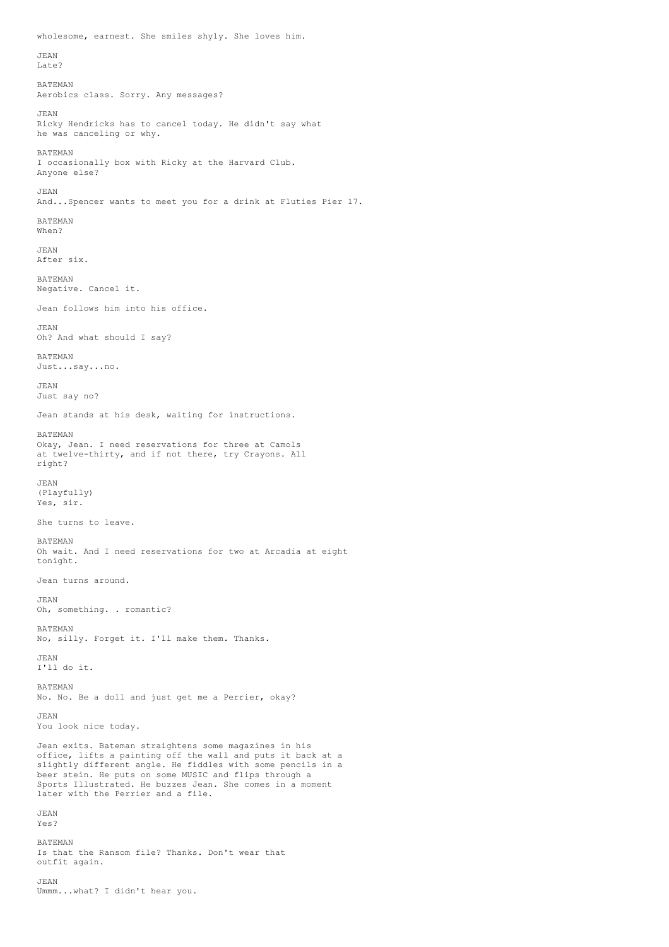wholesome, earnest. She smiles shyly. She loves him. JEAN Late? BATEMAN Aerobics class. Sorry. Any messages? JEAN Ricky Hendricks has to cancel today. He didn't say what he was canceling or why. BATEMAN I occasionally box with Ricky at the Harvard Club. Anyone else? JEAN And...Spencer wants to meet you for a drink at Fluties Pier 17. BATEMAN When? JEAN After six. BATEMAN Negative. Cancel it. Jean follows him into his office. JEAN Oh? And what should I say? BATEMAN Just...say...no. JEAN Just say no? Jean stands at his desk, waiting for instructions. BATEMAN Okay, Jean. I need reservations for three at Camols at twelve-thirty, and if not there, try Crayons. All right? JEAN (Playfully) Yes, sir. She turns to leave. BATEMAN Oh wait. And I need reservations for two at Arcadia at eight tonight. Jean turns around. JEAN Oh, something. . romantic? BATEMAN No, silly. Forget it. I'll make them. Thanks. JEAN I'll do it. BATEMAN No. No. Be a doll and just get me a Perrier, okay? JEAN You look nice today. Jean exits. Bateman straightens some magazines in his office, lifts a painting off the wall and puts it back at a slightly different angle. He fiddles with some pencils in a beer stein. He puts on some MUSIC and flips through a Sports Illustrated. He buzzes Jean. She comes in a moment later with the Perrier and a file. JEAN Yes? BATEMAN Is that the Ransom file? Thanks. Don't wear that outfit again.

JEAN Ummm...what? I didn't hear you.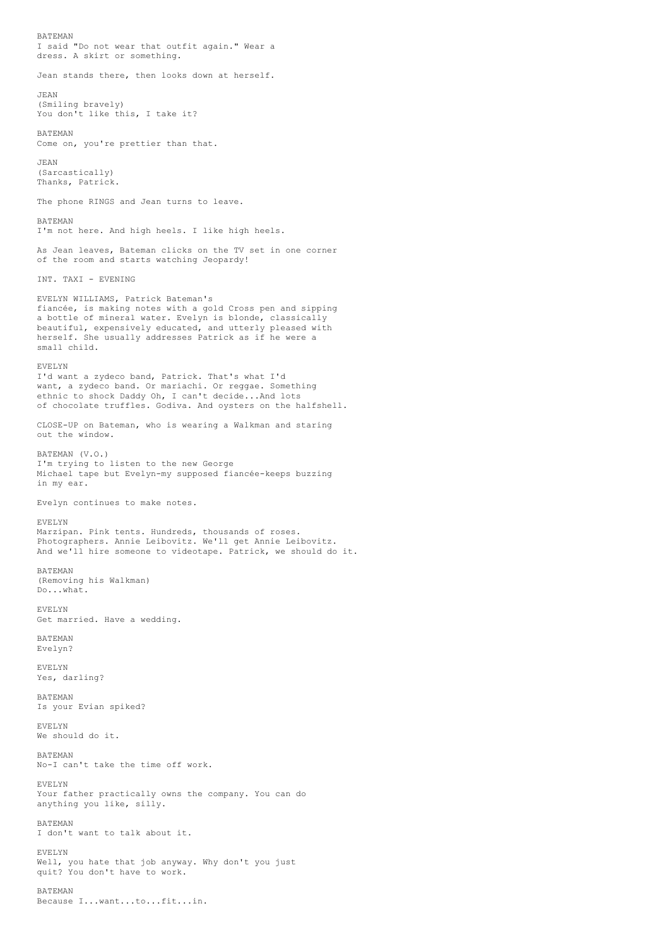BATEMAN I said "Do not wear that outfit again." Wear a dress. A skirt or something.

Jean stands there, then looks down at herself.

JEAN (Smiling bravely) You don't like this, I take it?

BATEMAN Come on, you're prettier than that.

JEAN (Sarcastically) Thanks, Patrick.

BATEMAN

The phone RINGS and Jean turns to leave.

I'm not here. And high heels. I like high heels. As Jean leaves, Bateman clicks on the TV set in one corner

of the room and starts watching Jeopardy!

INT. TAXI - EVENING

EVELYN WILLIAMS, Patrick Bateman's fiancée, is making notes with a gold Cross pen and sipping a bottle of mineral water. Evelyn is blonde, classically beautiful, expensively educated, and utterly pleased with herself. She usually addresses Patrick as if he were a small child.

EVELYN I'd want a zydeco band, Patrick. That's what I'd want, a zydeco band. Or mariachi. Or reggae. Something ethnic to shock Daddy Oh, I can't decide...And lots of chocolate truffles. Godiva. And oysters on the halfshell.

CLOSE-UP on Bateman, who is wearing a Walkman and staring out the window.

BATEMAN (V.O.) I'm trying to listen to the new George Michael tape but Evelyn-my supposed fiancée-keeps buzzing in my ear.

Evelyn continues to make notes.

EVELYN Marzipan. Pink tents. Hundreds, thousands of roses. Photographers. Annie Leibovitz. We'll get Annie Leibovitz. And we'll hire someone to videotape. Patrick, we should do it.

BATEMAN (Removing his Walkman) Do...what.

EVELYN Get married. Have a wedding.

BATEMAN Evelyn?

EVELYN Yes, darling?

BATEMAN Is your Evian spiked?

EVELYN We should do it.

BATEMAN No-I can't take the time off work.

EVELYN Your father practically owns the company. You can do anything you like, silly.

BATEMAN I don't want to talk about it.

EVELYN Well, you hate that job anyway. Why don't you just quit? You don't have to work.

BATEMAN Because I...want...to...fit...in.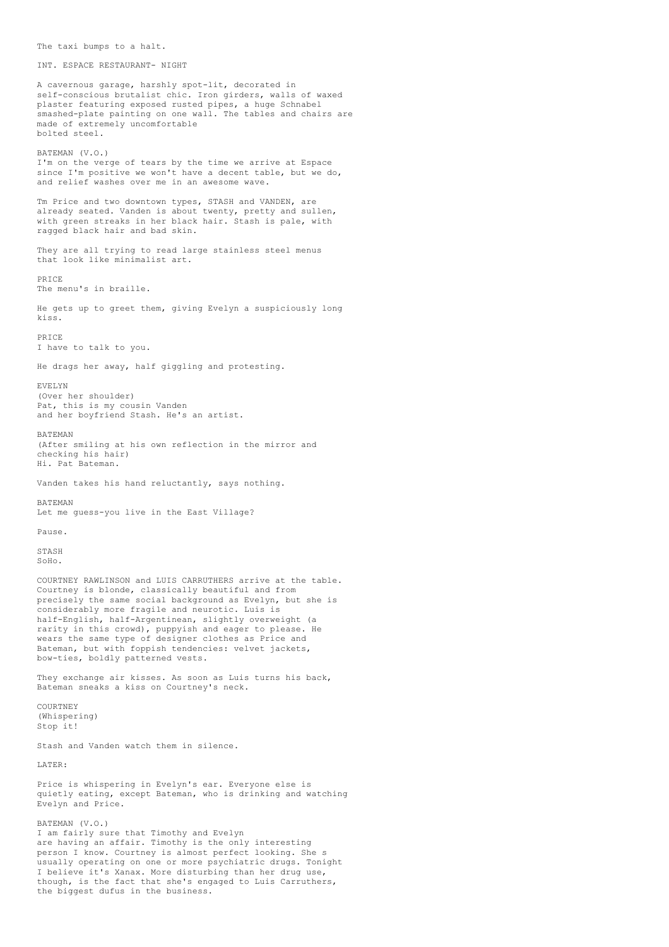INT. ESPACE RESTAURANT- NIGHT A cavernous garage, harshly spot-lit, decorated in self-conscious brutalist chic. Iron girders, walls of waxed plaster featuring exposed rusted pipes, a huge Schnabel smashed-plate painting on one wall. The tables and chairs are made of extremely uncomfortable bolted steel. BATEMAN (V.O.) I'm on the verge of tears by the time we arrive at Espace since I'm positive we won't have a decent table, but we do, and relief washes over me in an awesome wave. Tm Price and two downtown types, STASH and VANDEN, are already seated. Vanden is about twenty, pretty and sullen, with green streaks in her black hair. Stash is pale, with ragged black hair and bad skin. They are all trying to read large stainless steel menus that look like minimalist art. PRICE The menu's in braille. He gets up to greet them, giving Evelyn a suspiciously long kiss. PRICE I have to talk to you. He drags her away, half giggling and protesting. EVELYN (Over her shoulder) Pat, this is my cousin Vanden and her boyfriend Stash. He's an artist. BATEMAN (After smiling at his own reflection in the mirror and checking his hair) Hi. Pat Bateman. Vanden takes his hand reluctantly, says nothing. BATEMAN Let me guess-you live in the East Village? Pause. STASH SoHo. COURTNEY RAWLINSON and LUIS CARRUTHERS arrive at the table. Courtney is blonde, classically beautiful and from precisely the same social background as Evelyn, but she is considerably more fragile and neurotic. Luis is half-English, half-Argentinean, slightly overweight (a rarity in this crowd), puppyish and eager to please. He wears the same type of designer clothes as Price and Bateman, but with foppish tendencies: velvet jackets, bow-ties, boldly patterned vests. They exchange air kisses. As soon as Luis turns his back, Bateman sneaks a kiss on Courtney's neck. COURTNEY (Whispering) Stop it! Stash and Vanden watch them in silence. LATER: Price is whispering in Evelyn's ear. Everyone else is quietly eating, except Bateman, who is drinking and watching Evelyn and Price. BATEMAN (V.O.) I am fairly sure that Timothy and Evelyn are having an affair. Timothy is the only interesting person I know. Courtney is almost perfect looking. She s usually operating on one or more psychiatric drugs. Tonight I believe it's Xanax. More disturbing than her drug use, though, is the fact that she's engaged to Luis Carruthers,

The taxi bumps to a halt.

the biggest dufus in the business.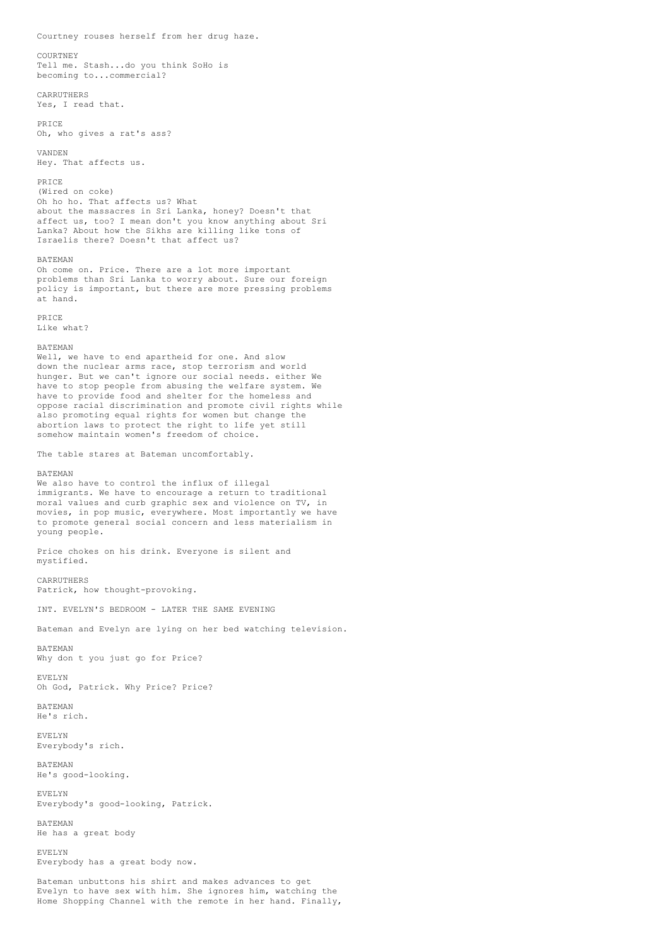Courtney rouses herself from her drug haze. COURTNEY Tell me. Stash...do you think SoHo is becoming to...commercial? CARRUTHERS Yes, I read that. PRICE Oh, who gives a rat's ass? VANDEN Hey. That affects us. PRICE (Wired on coke) Oh ho ho. That affects us? What about the massacres in Sri Lanka, honey? Doesn't that affect us, too? I mean don't you know anything about Sri Lanka? About how the Sikhs are killing like tons of Israelis there? Doesn't that affect us? BATEMAN Oh come on. Price. There are a lot more important problems than Sri Lanka to worry about. Sure our foreign policy is important, but there are more pressing problems at hand. PRICE Like what? BATEMAN Well, we have to end apartheid for one. And slow down the nuclear arms race, stop terrorism and world hunger. But we can't ignore our social needs. either We have to stop people from abusing the welfare system. We have to provide food and shelter for the homeless and oppose racial discrimination and promote civil rights while also promoting equal rights for women but change the abortion laws to protect the right to life yet still somehow maintain women's freedom of choice. The table stares at Bateman uncomfortably. BATEMAN We also have to control the influx of illegal immigrants. We have to encourage a return to traditional moral values and curb graphic sex and violence on TV, in movies, in pop music, everywhere. Most importantly we have to promote general social concern and less materialism in young people. Price chokes on his drink. Everyone is silent and mystified. CARRUTHERS Patrick, how thought-provoking. INT. EVELYN'S BEDROOM - LATER THE SAME EVENING Bateman and Evelyn are lying on her bed watching television. BATEMAN Why don t you just go for Price? EVELYN Oh God, Patrick. Why Price? Price? BATEMAN He's rich. EVELYN Everybody's rich. BATEMAN He's good-looking. EVELYN Everybody's good-looking, Patrick. BATEMAN He has a great body

EVELYN Everybody has a great body now.

Bateman unbuttons his shirt and makes advances to get Evelyn to have sex with him. She ignores him, watching the Home Shopping Channel with the remote in her hand. Finally,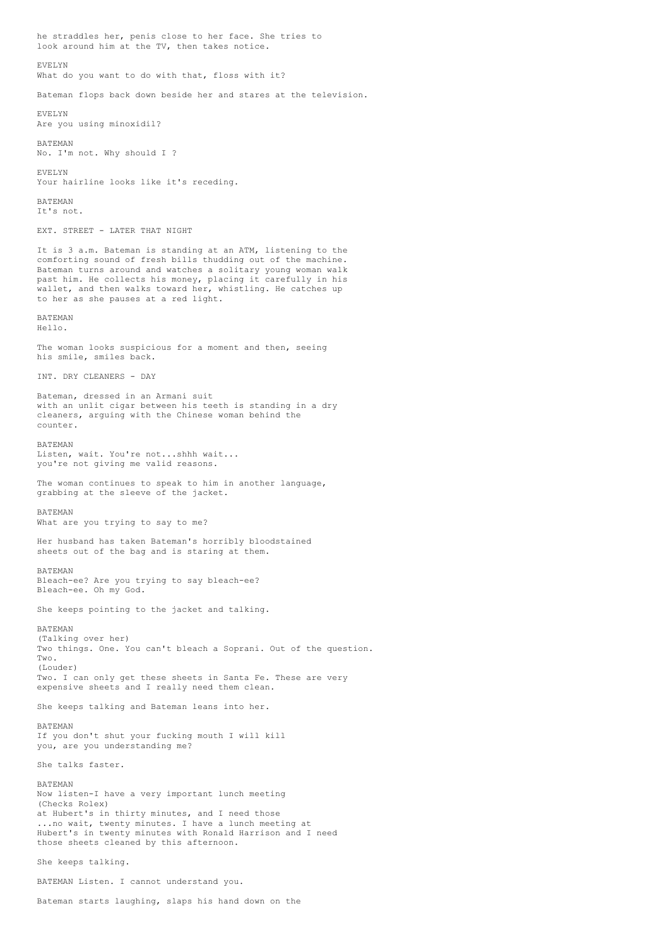he straddles her, penis close to her face. She tries to look around him at the TV, then takes notice.

EVELYN What do you want to do with that, floss with it?

Bateman flops back down beside her and stares at the television.

EVELYN Are you using minoxidil?

BATEMAN No. I'm not. Why should I ?

EVELYN Your hairline looks like it's receding.

BATEMAN It's not.

EXT. STREET - LATER THAT NIGHT

It is 3 a.m. Bateman is standing at an ATM, listening to the comforting sound of fresh bills thudding out of the machine. Bateman turns around and watches a solitary young woman walk past him. He collects his money, placing it carefully in his wallet, and then walks toward her, whistling. He catches up to her as she pauses at a red light.

BATEMAN Hello.

The woman looks suspicious for a moment and then, seeing his smile, smiles back.

INT. DRY CLEANERS - DAY

Bateman, dressed in an Armani suit with an unlit cigar between his teeth is standing in a dry cleaners, arguing with the Chinese woman behind the counter.

BATEMAN Listen, wait. You're not...shhh wait... you're not giving me valid reasons.

The woman continues to speak to him in another language, grabbing at the sleeve of the jacket.

BATEMAN What are you trying to say to me?

Her husband has taken Bateman's horribly bloodstained sheets out of the bag and is staring at them.

# BATEMAN

Bleach-ee? Are you trying to say bleach-ee? Bleach-ee. Oh my God.

She keeps pointing to the jacket and talking.

### BATEMAN

(Talking over her) Two things. One. You can't bleach a Soprani. Out of the question. Two. (Louder) Two. I can only get these sheets in Santa Fe. These are very expensive sheets and I really need them clean.

She keeps talking and Bateman leans into her.

BATEMAN If you don't shut your fucking mouth I will kill you, are you understanding me?

She talks faster.

BATEMAN Now listen-I have a very important lunch meeting (Checks Rolex) at Hubert's in thirty minutes, and I need those ...no wait, twenty minutes. I have a lunch meeting at Hubert's in twenty minutes with Ronald Harrison and I need those sheets cleaned by this afternoon.

She keeps talking.

BATEMAN Listen. I cannot understand you.

Bateman starts laughing, slaps his hand down on the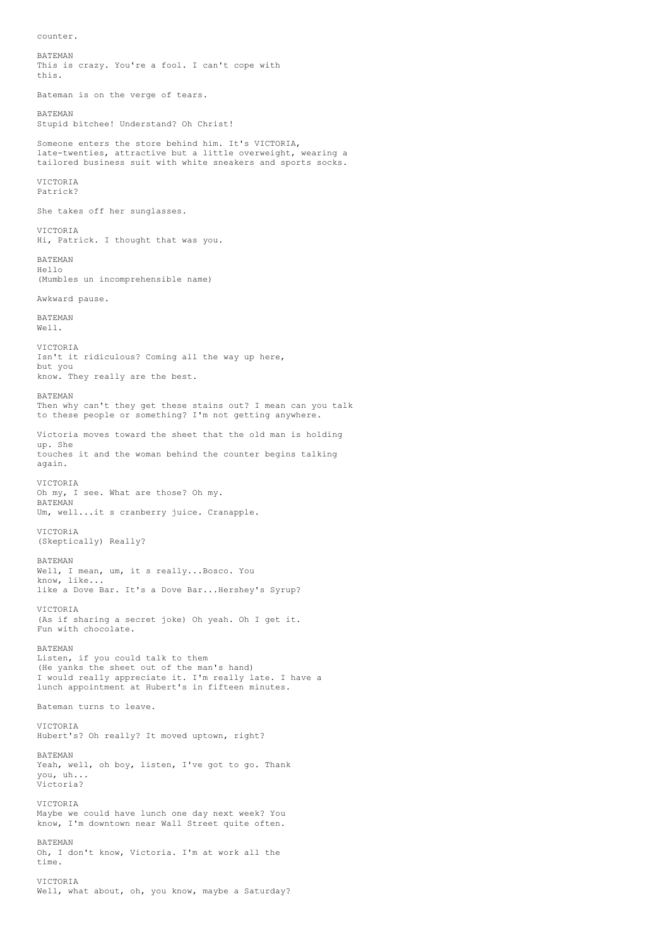counter.

BATEMAN This is crazy. You're a fool. I can't cope with this.

Bateman is on the verge of tears.

BATEMAN Stupid bitchee! Understand? Oh Christ!

Someone enters the store behind him. It's VICTORIA, late-twenties, attractive but a little overweight, wearing a tailored business suit with white sneakers and sports socks.

VICTORIA Patrick?

She takes off her sunglasses.

VICTORIA Hi, Patrick. I thought that was you.

BATEMAN Hello (Mumbles un incomprehensible name)

Awkward pause.

BATEMAN Well.

VICTORIA Isn't it ridiculous? Coming all the way up here, but you know. They really are the best.

BATEMAN Then why can't they get these stains out? I mean can you talk to these people or something? I'm not getting anywhere.

Victoria moves toward the sheet that the old man is holding up. She touches it and the woman behind the counter begins talking again.

VICTORIA Oh my, I see. What are those? Oh my. BATEMAN Um, well...it s cranberry juice. Cranapple.

VICTORiA (Skeptically) Really?

BATEMAN Well, I mean, um, it s really...Bosco. You know, like... like a Dove Bar. It's a Dove Bar...Hershey's Syrup?

VICTORIA (As if sharing a secret joke) Oh yeah. Oh I get it. Fun with chocolate.

BATEMAN Listen, if you could talk to them (He yanks the sheet out of the man's hand) I would really appreciate it. I'm really late. I have a lunch appointment at Hubert's in fifteen minutes.

Bateman turns to leave.

**VICTORIA** Hubert's? Oh really? It moved uptown, right?

BATEMAN Yeah, well, oh boy, listen, I've got to go. Thank you, uh... Victoria?

VICTORIA Maybe we could have lunch one day next week? You know, I'm downtown near Wall Street quite often.

BATEMAN Oh, I don't know, Victoria. I'm at work all the time.

VICTORIA Well, what about, oh, you know, maybe a Saturday?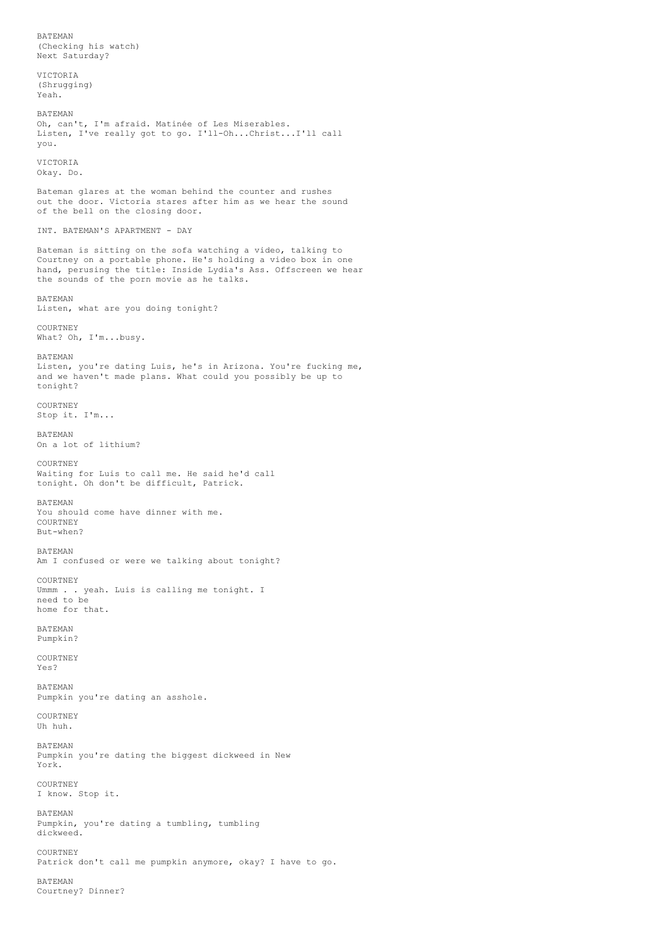BATEMAN (Checking his watch) Next Saturday? VICTORIA (Shrugging) Yeah. BATEMAN Oh, can't, I'm afraid. Matinée of Les Miserables. Listen, I've really got to go. I'll-Oh...Christ...I'll call you. VICTORIA Okay. Do. Bateman glares at the woman behind the counter and rushes out the door. Victoria stares after him as we hear the sound of the bell on the closing door. INT. BATEMAN'S APARTMENT - DAY Bateman is sitting on the sofa watching a video, talking to Courtney on a portable phone. He's holding a video box in one hand, perusing the title: Inside Lydia's Ass. Offscreen we hear the sounds of the porn movie as he talks. BATEMAN Listen, what are you doing tonight? COURTNEY What? Oh, I'm...busy. BATEMAN Listen, you're dating Luis, he's in Arizona. You're fucking me, and we haven't made plans. What could you possibly be up to tonight? COURTNEY Stop it. I'm... BATEMAN On a lot of lithium? COURTNEY Waiting for Luis to call me. He said he'd call tonight. Oh don't be difficult, Patrick. BATEMAN You should come have dinner with me. COURTNEY But-when? BATEMAN Am I confused or were we talking about tonight? **COURTNEY** Ummm . . yeah. Luis is calling me tonight. I need to be home for that. BATEMAN Pumpkin? **COURTNEY** Yes? BATEMAN Pumpkin you're dating an asshole. COURTNEY Uh huh. BATEMAN Pumpkin you're dating the biggest dickweed in New York. **COURTNEY** I know. Stop it. BATEMAN Pumpkin, you're dating a tumbling, tumbling dickweed. COURTNEY Patrick don't call me pumpkin anymore, okay? I have to go. BATEMAN Courtney? Dinner?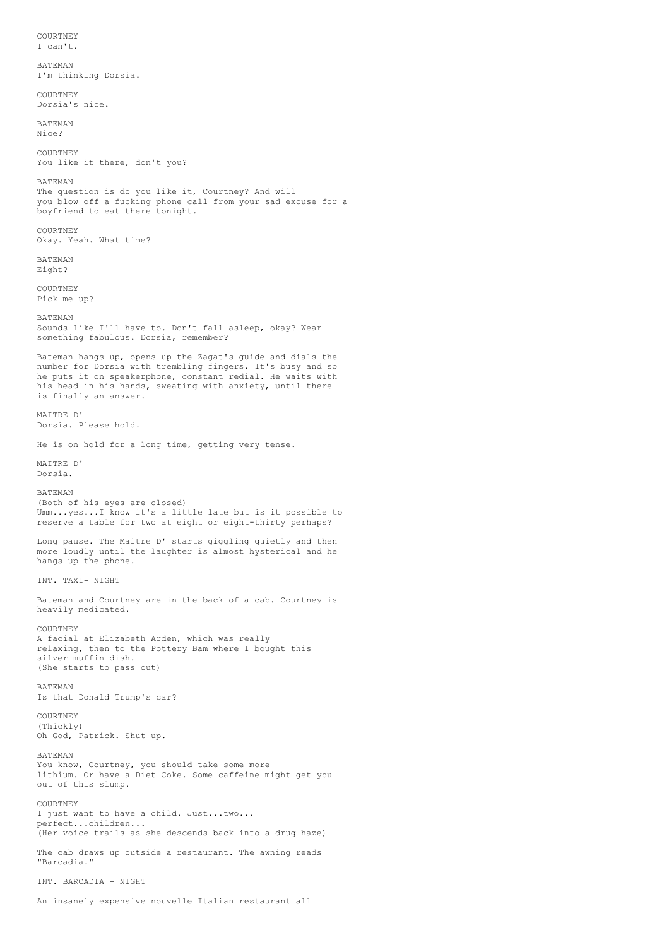COURTNEY I can't. BATEMAN I'm thinking Dorsia. **COURTNEY** Dorsia's nice. BATEMAN Nice? COURTNEY You like it there, don't you? BATEMAN The question is do you like it, Courtney? And will you blow off a fucking phone call from your sad excuse for a boyfriend to eat there tonight. COURTNEY Okay. Yeah. What time? BATEMAN Eight? **COURTNEY** Pick me up? BATEMAN Sounds like I'll have to. Don't fall asleep, okay? Wear something fabulous. Dorsia, remember? Bateman hangs up, opens up the Zagat's guide and dials the number for Dorsia with trembling fingers. It's busy and so he puts it on speakerphone, constant redial. He waits with his head in his hands, sweating with anxiety, until there is finally an answer. MAITRE D' Dorsia. Please hold. He is on hold for a long time, getting very tense. MAITRE D' Dorsia. BATEMAN (Both of his eyes are closed) Umm...yes...I know it's a little late but is it possible to reserve a table for two at eight or eight-thirty perhaps? Long pause. The Maitre D' starts giggling quietly and then more loudly until the laughter is almost hysterical and he hangs up the phone. INT. TAXI- NIGHT Bateman and Courtney are in the back of a cab. Courtney is heavily medicated. COURTNEY A facial at Elizabeth Arden, which was really relaxing, then to the Pottery Bam where I bought this silver muffin dish. (She starts to pass out) BATEMAN Is that Donald Trump's car? COURTNEY (Thickly) Oh God, Patrick. Shut up. BATEMAN You know, Courtney, you should take some more lithium. Or have a Diet Coke. Some caffeine might get you out of this slump. COURTNEY I just want to have a child. Just...two... perfect...children... (Her voice trails as she descends back into a drug haze) The cab draws up outside a restaurant. The awning reads "Barcadia." INT. BARCADIA - NIGHT

An insanely expensive nouvelle Italian restaurant all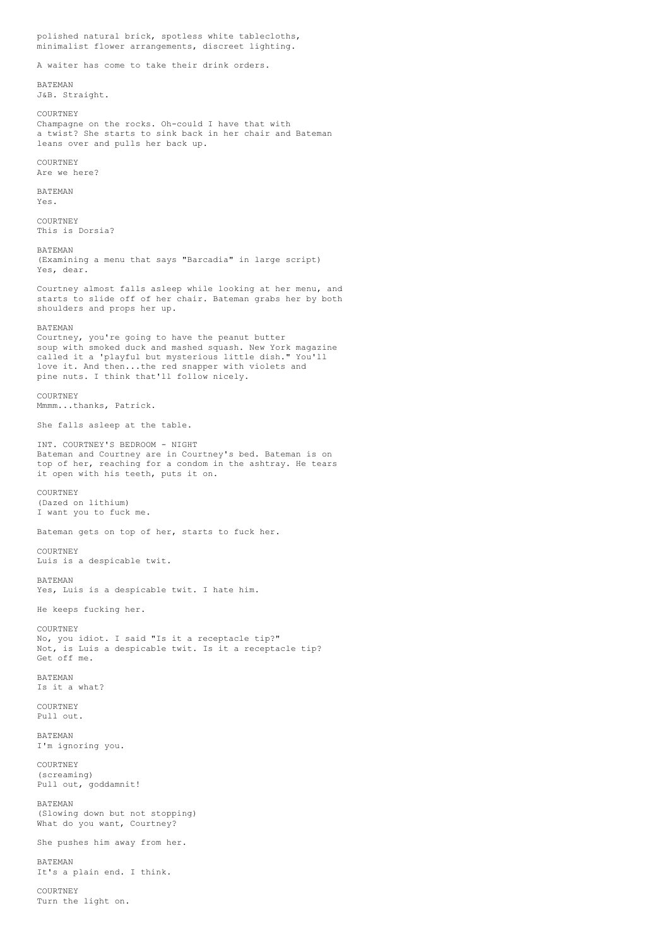polished natural brick, spotless white tablecloths, minimalist flower arrangements, discreet lighting. A waiter has come to take their drink orders. BATEMAN J&B. Straight. COURTNEY Champagne on the rocks. Oh-could I have that with a twist? She starts to sink back in her chair and Bateman leans over and pulls her back up. **COURTNEY** Are we here? BATEMAN Yes. **COURTNEY** This is Dorsia? BATEMAN (Examining a menu that says "Barcadia" in large script) Yes, dear. Courtney almost falls asleep while looking at her menu, and starts to slide off of her chair. Bateman grabs her by both shoulders and props her up. BATEMAN Courtney, you're going to have the peanut butter soup with smoked duck and mashed squash. New York magazine called it a 'playful but mysterious little dish." You'll love it. And then...the red snapper with violets and pine nuts. I think that'll follow nicely. COURTNEY Mmmm...thanks, Patrick. She falls asleep at the table. INT. COURTNEY'S BEDROOM - NIGHT Bateman and Courtney are in Courtney's bed. Bateman is on top of her, reaching for a condom in the ashtray. He tears it open with his teeth, puts it on. COURTNEY (Dazed on lithium) I want you to fuck me. Bateman gets on top of her, starts to fuck her. COURTNEY Luis is a despicable twit. BATEMAN Yes, Luis is a despicable twit. I hate him. He keeps fucking her. COURTNEY No, you idiot. I said "Is it a receptacle tip?" Not, is Luis a despicable twit. Is it a receptacle tip? Get off me. BATEMAN Is it a what? COURTNEY Pull out. BATEMAN I'm ignoring you. COURTNEY (screaming) Pull out, goddamnit! BATEMAN (Slowing down but not stopping) What do you want, Courtney? She pushes him away from her. BATEMAN It's a plain end. I think.

COURTNEY Turn the light on.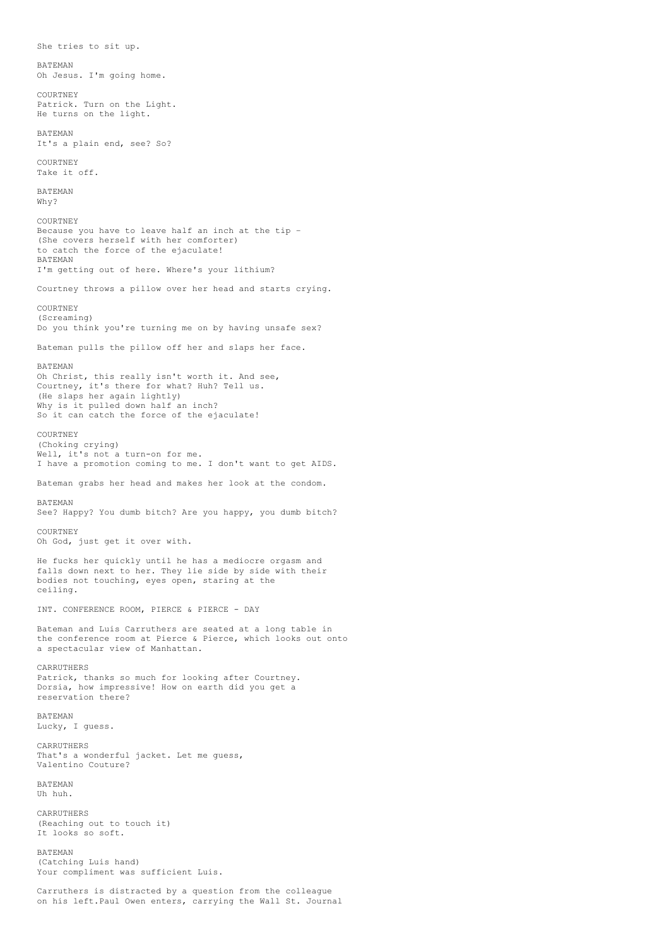She tries to sit up. BATEMAN Oh Jesus. I'm going home. **COURTNEY** Patrick. Turn on the Light. He turns on the light. BATEMAN It's a plain end, see? So? **COURTNEY** Take it off. BATEMAN Why? COURTNEY Because you have to leave half an inch at the tip – (She covers herself with her comforter) to catch the force of the ejaculate! BATEMAN I'm getting out of here. Where's your lithium? Courtney throws a pillow over her head and starts crying. COURTNEY (Screaming) Do you think you're turning me on by having unsafe sex? Bateman pulls the pillow off her and slaps her face. BATEMAN Oh Christ, this really isn't worth it. And see, Courtney, it's there for what? Huh? Tell us. (He slaps her again lightly) Why is it pulled down half an inch? So it can catch the force of the ejaculate! COURTNEY (Choking crying) Well, it's not a turn-on for me. I have a promotion coming to me. I don't want to get AIDS. Bateman grabs her head and makes her look at the condom. BATEMAN See? Happy? You dumb bitch? Are you happy, you dumb bitch? COURTNEY Oh God, just get it over with. He fucks her quickly until he has a mediocre orgasm and falls down next to her. They lie side by side with their bodies not touching, eyes open, staring at the ceiling. INT. CONFERENCE ROOM, PIERCE & PIERCE - DAY Bateman and Luis Carruthers are seated at a long table in the conference room at Pierce & Pierce, which looks out onto a spectacular view of Manhattan. **CARRITHERS** Patrick, thanks so much for looking after Courtney. Dorsia, how impressive! How on earth did you get a reservation there? BATEMAN Lucky, I guess. CARRUTHERS That's a wonderful jacket. Let me guess, Valentino Couture? BATEMAN Uh huh. CARRUTHERS (Reaching out to touch it) It looks so soft. BATEMAN (Catching Luis hand) Your compliment was sufficient Luis.

Carruthers is distracted by a question from the colleague on his left.Paul Owen enters, carrying the Wall St. Journal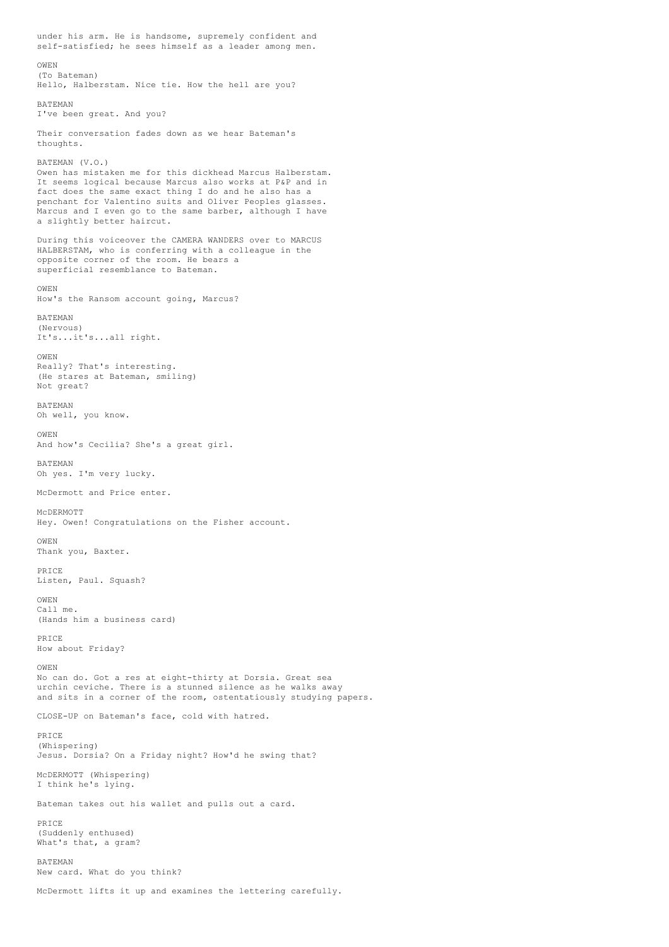under his arm. He is handsome, supremely confident and self-satisfied; he sees himself as a leader among men. OWEN (To Bateman) Hello, Halberstam. Nice tie. How the hell are you? BATEMAN I've been great. And you? Their conversation fades down as we hear Bateman's thoughts. BATEMAN (V.O.) Owen has mistaken me for this dickhead Marcus Halberstam. It seems logical because Marcus also works at P&P and in fact does the same exact thing I do and he also has a penchant for Valentino suits and Oliver Peoples glasses. Marcus and I even go to the same barber, although I have a slightly better haircut. During this voiceover the CAMERA WANDERS over to MARCUS HALBERSTAM, who is conferring with a colleague in the opposite corner of the room. He bears a superficial resemblance to Bateman. OWEN How's the Ransom account going, Marcus? BATEMAN (Nervous) It's...it's...all right. OWEN Really? That's interesting. (He stares at Bateman, smiling) Not great? BATEMAN Oh well, you know. OWEN And how's Cecilia? She's a great girl. BATEMAN Oh yes. I'm very lucky. McDermott and Price enter. McDERMOTT Hey. Owen! Congratulations on the Fisher account. OWEN Thank you, Baxter. PRICE Listen, Paul. Squash? OWEN Call me. (Hands him a business card) PRICE How about Friday? OWEN No can do. Got a res at eight-thirty at Dorsia. Great sea urchin ceviche. There is a stunned silence as he walks away and sits in a corner of the room, ostentatiously studying papers. CLOSE-UP on Bateman's face, cold with hatred. PRICE (Whispering) Jesus. Dorsia? On a Friday night? How'd he swing that? McDERMOTT (Whispering) I think he's lying. Bateman takes out his wallet and pulls out a card. PRICE (Suddenly enthused) What's that, a gram? BATEMAN New card. What do you think? McDermott lifts it up and examines the lettering carefully.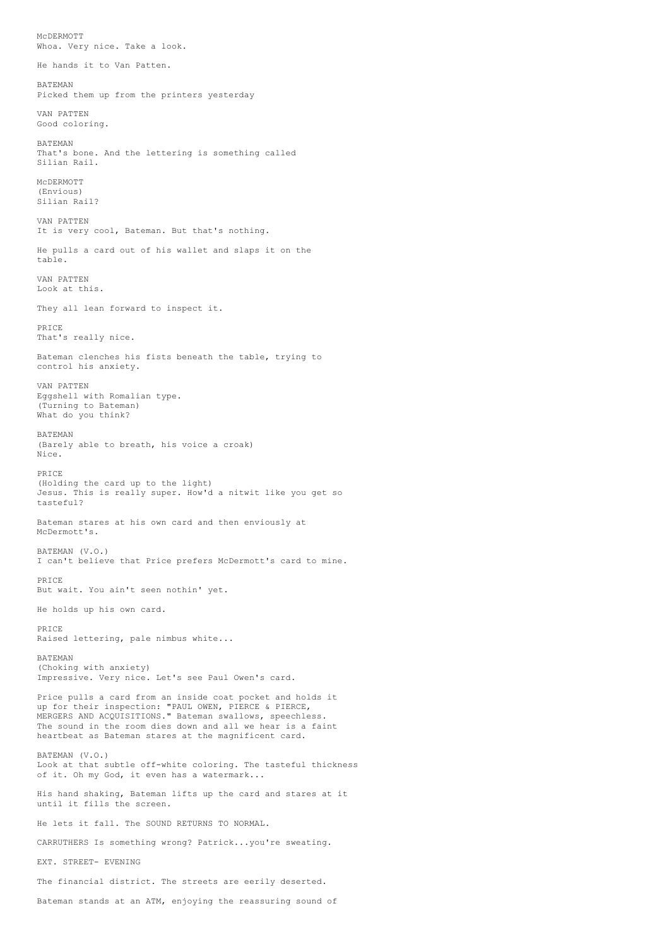McDERMOTT Whoa. Very nice. Take a look. He hands it to Van Patten. BATEMAN Picked them up from the printers yesterday VAN PATTEN Good coloring. BATEMAN That's bone. And the lettering is something called Silian Rail. McDERMOTT (Envious) Silian Rail? VAN PATTEN It is very cool, Bateman. But that's nothing. He pulls a card out of his wallet and slaps it on the table. VAN PATTEN Look at this. They all lean forward to inspect it. PRICE That's really nice. Bateman clenches his fists beneath the table, trying to control his anxiety. VAN PATTEN Eggshell with Romalian type. (Turning to Bateman) What do you think? BATEMAN (Barely able to breath, his voice a croak) Nice. PRICE (Holding the card up to the light) Jesus. This is really super. How'd a nitwit like you get so tasteful? Bateman stares at his own card and then enviously at McDermott's. BATEMAN (V.O.) I can't believe that Price prefers McDermott's card to mine. PRICE But wait. You ain't seen nothin' yet. He holds up his own card. PRICE Raised lettering, pale nimbus white... BATEMAN (Choking with anxiety) Impressive. Very nice. Let's see Paul Owen's card. Price pulls a card from an inside coat pocket and holds it up for their inspection: "PAUL OWEN, PIERCE & PIERCE, MERGERS AND ACQUISITIONS." Bateman swallows, speechless. The sound in the room dies down and all we hear is a faint heartbeat as Bateman stares at the magnificent card. BATEMAN (V.O.) Look at that subtle off-white coloring. The tasteful thickness of it. Oh my God, it even has a watermark... His hand shaking, Bateman lifts up the card and stares at it until it fills the screen. He lets it fall. The SOUND RETURNS TO NORMAL. CARRUTHERS Is something wrong? Patrick...you're sweating. EXT. STREET- EVENING The financial district. The streets are eerily deserted.

Bateman stands at an ATM, enjoying the reassuring sound of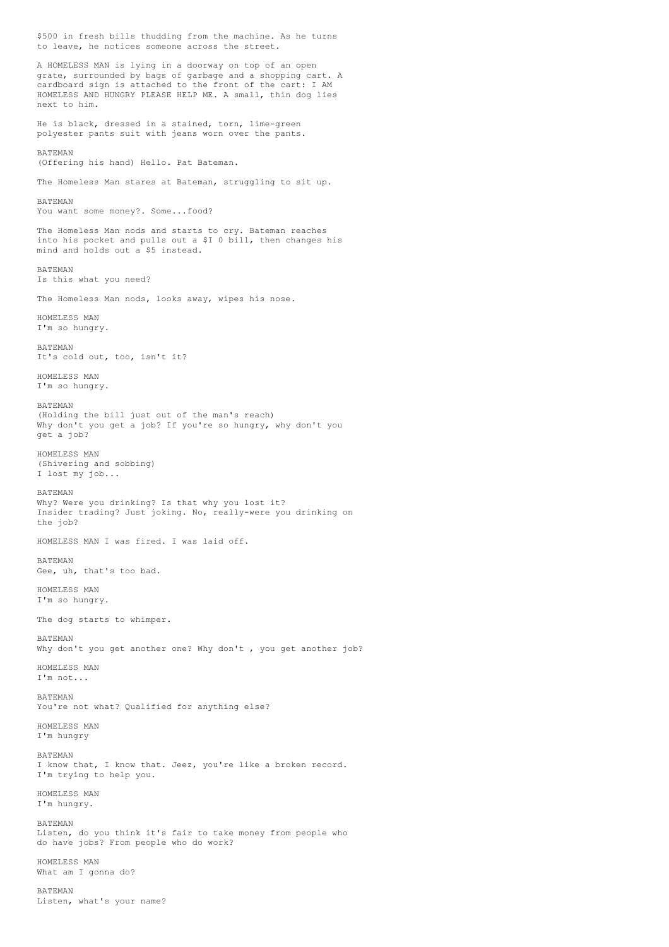\$500 in fresh bills thudding from the machine. As he turns to leave, he notices someone across the street. A HOMELESS MAN is lying in a doorway on top of an open grate, surrounded by bags of garbage and a shopping cart. A cardboard sign is attached to the front of the cart: I AM HOMELESS AND HUNGRY PLEASE HELP ME. A small, thin dog lies next to him. He is black, dressed in a stained, torn, lime-green polyester pants suit with jeans worn over the pants. BATEMAN (Offering his hand) Hello. Pat Bateman. The Homeless Man stares at Bateman, struggling to sit up. BATEMAN You want some money?. Some...food? The Homeless Man nods and starts to cry. Bateman reaches into his pocket and pulls out a \$I 0 bill, then changes his mind and holds out a \$5 instead. BATEMAN Is this what you need? The Homeless Man nods, looks away, wipes his nose. HOMELESS MAN I'm so hungry. BATEMAN It's cold out, too, isn't it? HOMELESS MAN I'm so hungry. BATEMAN (Holding the bill just out of the man's reach) Why don't you get a job? If you're so hungry, why don't you get a job? HOMELESS MAN (Shivering and sobbing) I lost my job... BATEMAN Why? Were you drinking? Is that why you lost it? Insider trading? Just joking. No, really-were you drinking on the job? HOMELESS MAN I was fired. I was laid off. BATEMAN Gee, uh, that's too bad. HOMELESS MAN I'm so hungry. The dog starts to whimper. BATEMAN Why don't you get another one? Why don't, you get another job? HOMELESS MAN I'm not... BATEMAN You're not what? Qualified for anything else? HOMELESS MAN I'm hungry BATEMAN I know that, I know that. Jeez, you're like a broken record. I'm trying to help you. HOMELESS MAN I'm hungry. BATEMAN Listen, do you think it's fair to take money from people who do have jobs? From people who do work? HOMELESS MAN What am I gonna do?

BATEMAN Listen, what's your name?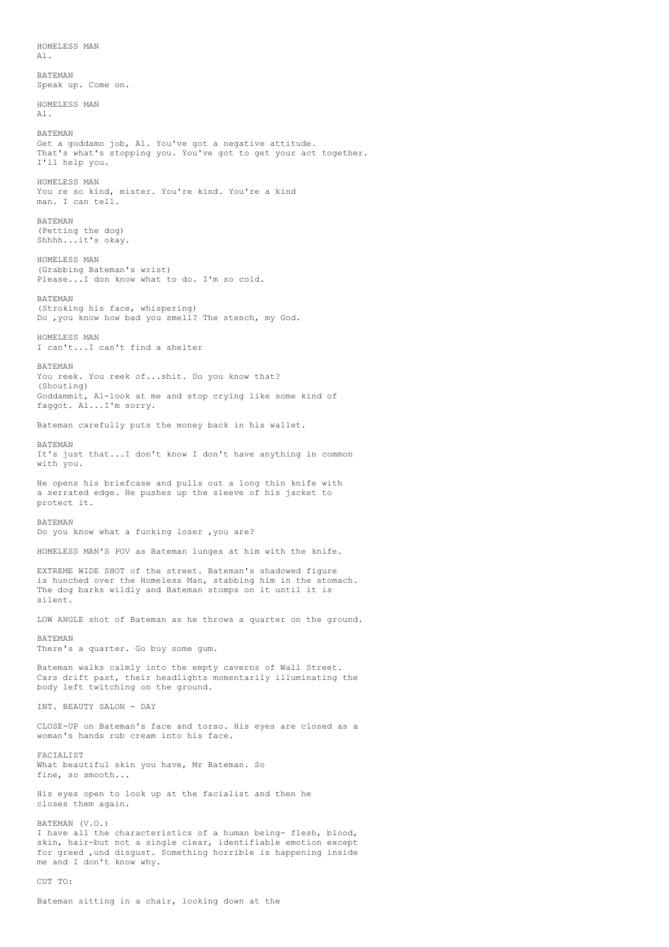HOMELESS MAN  $A$ BATEMAN Speak up. Come on. HOMELESS MAN Al. BATEMAN Get a goddamn job, Al. You've got a negative attitude. That's what's stopping you. You've got to get your act together. I'll help you. HOMELESS MAN You re so kind, mister. You're kind. You're a kind man. I can tell. BATEMAN (Petting the dog) Shhhh...it's okay. HOMELESS MAN (Grabbing Bateman's wrist) Please...I don know what to do. I'm so cold. BATEMAN (Stroking his face, whispering) Do ,you know how bad you smell? The stench, my God. HOMELESS MAN I can't...I can't find a shelter BATEMAN You reek. You reek of...shit. Do you know that? (Shouting) Goddammit, Al-look at me and stop crying like some kind of faggot. Al...I'm sorry. Bateman carefully puts the money back in his wallet. BATEMAN It's just that...I don't know I don't have anything in common with you. He opens his briefcase and pulls out a long thin knife with a serrated edge. He pushes up the sleeve of his jacket to protect it. BATEMAN Do you know what a fucking loser, you are? HOMELESS MAN'S POV as Bateman lunges at him with the knife. EXTREME WIDE SHOT of the street. Bateman's shadowed figure is hunched over the Homeless Man, stabbing him in the stomach. The dog barks wildly and Bateman stomps on it until it is silent. LOW ANGLE shot of Bateman as he throws a quarter on the ground. BATEMAN There's a quarter. Go buy some gum. Bateman walks calmly into the empty caverns of Wall Street. Cars drift past, their headlights momentarily illuminating the body left twitching on the ground. INT. BEAUTY SALON - DAY CLOSE-UP on Bateman's face and torso. His eyes are closed as a woman's hands rub cream into his face. FACIALIST What beautiful skin you have, Mr Bateman. So fine, so smooth... His eyes open to look up at the facialist and then he closes them again. BATEMAN (V.O.) I have all the characteristics of a human being- flesh, blood, skin, hair-but not a single clear, identifiable emotion except for greed ,und disgust. Something horrible is happening inside me and I don't know why. CUT TO:

Bateman sitting in a chair, looking down at the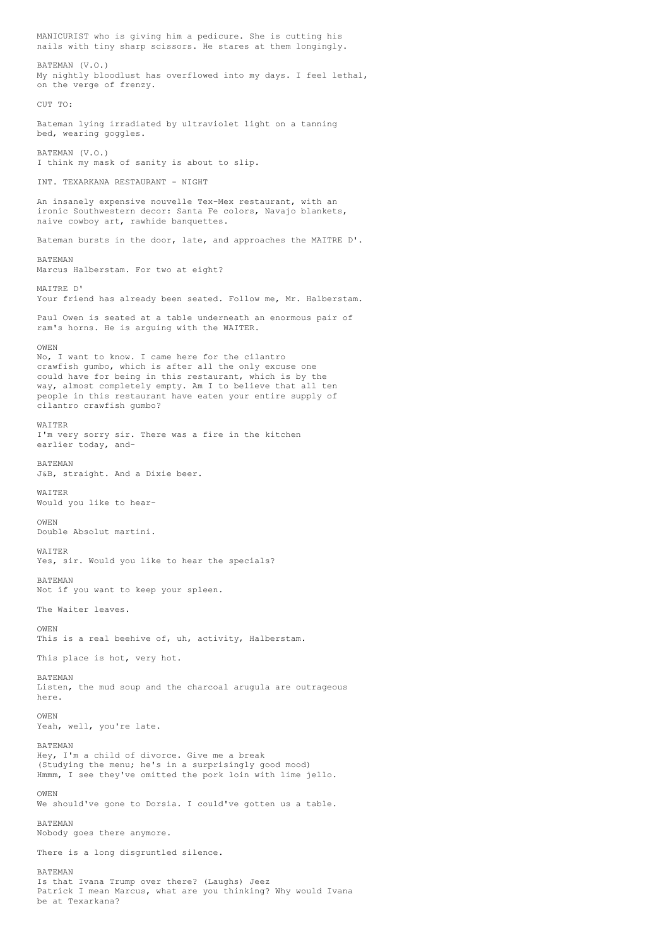MANICURIST who is giving him a pedicure. She is cutting his nails with tiny sharp scissors. He stares at them longingly. BATEMAN (V.O.) My nightly bloodlust has overflowed into my days. I feel lethal, on the verge of frenzy. CUT TO: Bateman lying irradiated by ultraviolet light on a tanning bed, wearing goggles. BATEMAN (V.O.) I think my mask of sanity is about to slip. INT. TEXARKANA RESTAURANT - NIGHT An insanely expensive nouvelle Tex-Mex restaurant, with an ironic Southwestern decor: Santa Fe colors, Navajo blankets, naive cowboy art, rawhide banquettes. Bateman bursts in the door, late, and approaches the MAITRE D'. BATEMAN Marcus Halberstam. For two at eight? MAITRE D' Your friend has already been seated. Follow me, Mr. Halberstam. Paul Owen is seated at a table underneath an enormous pair of ram's horns. He is arguing with the WAITER. OWEN No, I want to know. I came here for the cilantro crawfish gumbo, which is after all the only excuse one could have for being in this restaurant, which is by the way, almost completely empty. Am I to believe that all ten people in this restaurant have eaten your entire supply of cilantro crawfish gumbo? WAITER I'm very sorry sir. There was a fire in the kitchen earlier today, and-BATEMAN J&B, straight. And a Dixie beer. WAITER Would you like to hear-OWEN Double Absolut martini. WAITER Yes, sir. Would you like to hear the specials? BATEMAN Not if you want to keep your spleen. The Waiter leaves. OWEN This is a real beehive of, uh, activity, Halberstam. This place is hot, very hot. BATEMAN Listen, the mud soup and the charcoal arugula are outrageous here. OWEN Yeah, well, you're late. BATEMAN Hey, I'm a child of divorce. Give me a break (Studying the menu; he's in a surprisingly good mood) Hmmm, I see they've omitted the pork loin with lime jello. OWEN We should've gone to Dorsia. I could've gotten us a table. BATEMAN Nobody goes there anymore. There is a long disgruntled silence. BATEMAN Is that Ivana Trump over there? (Laughs) Jeez Patrick I mean Marcus, what are you thinking? Why would Ivana be at Texarkana?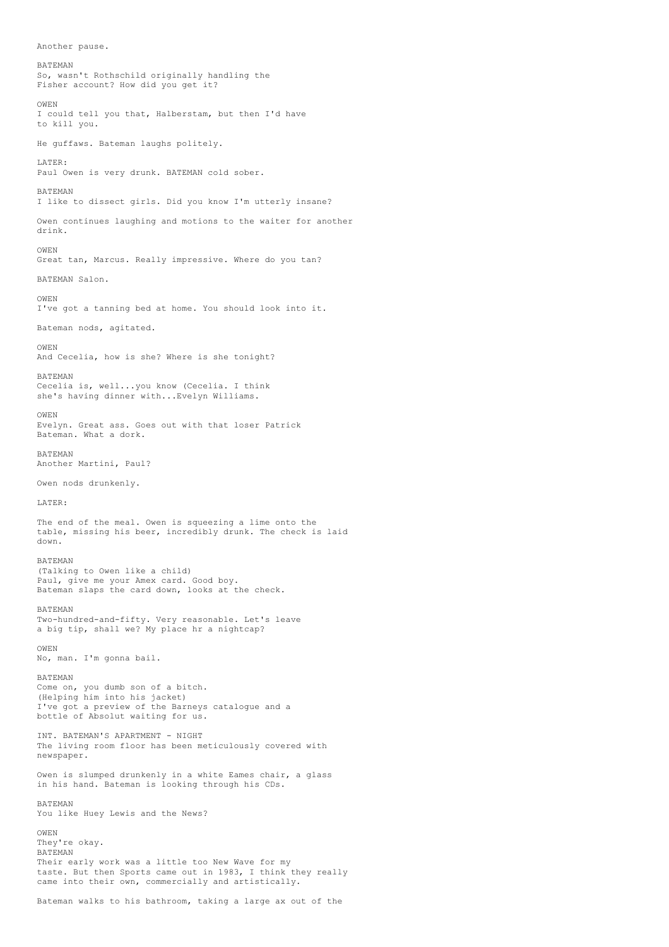### Another pause.

# BATEMAN So, wasn't Rothschild originally handling the Fisher account? How did you get it?

### OWEN

I could tell you that, Halberstam, but then I'd have to kill you.

He guffaws. Bateman laughs politely.

### LATER:

Paul Owen is very drunk. BATEMAN cold sober.

# BATEMAN

I like to dissect girls. Did you know I'm utterly insane?

Owen continues laughing and motions to the waiter for another drink.

#### OWEN

Great tan, Marcus. Really impressive. Where do you tan?

BATEMAN Salon.

#### OWEN

I've got a tanning bed at home. You should look into it.

Bateman nods, agitated.

OWEN And Cecelia, how is she? Where is she tonight?

### BATEMAN

Cecelia is, well...you know (Cecelia. I think she's having dinner with...Evelyn Williams.

OWEN Evelyn. Great ass. Goes out with that loser Patrick Bateman. What a dork.

BATEMAN Another Martini, Paul?

Owen nods drunkenly.

# LATER:

The end of the meal. Owen is squeezing a lime onto the table, missing his beer, incredibly drunk. The check is laid down.

# BATEMAN

(Talking to Owen like a child) Paul, give me your Amex card. Good boy. Bateman slaps the card down, looks at the check.

### BATEMAN

Two-hundred-and-fifty. Very reasonable. Let's leave a big tip, shall we? My place hr a nightcap?

# OWEN

No, man. I'm gonna bail.

# BATEMAN

Come on, you dumb son of a bitch. (Helping him into his jacket) I've got a preview of the Barneys catalogue and a bottle of Absolut waiting for us.

```
INT. BATEMAN'S APARTMENT - NIGHT
The living room floor has been meticulously covered with
newspaper.
```
Owen is slumped drunkenly in a white Eames chair, a glass in his hand. Bateman is looking through his CDs.

# BATEMAN You like Huey Lewis and the News?

OWEN They're okay. BATEMAN Their early work was a little too New Wave for my taste. But then Sports came out in 1983, I think they really came into their own, commercially and artistically.

Bateman walks to his bathroom, taking a large ax out of the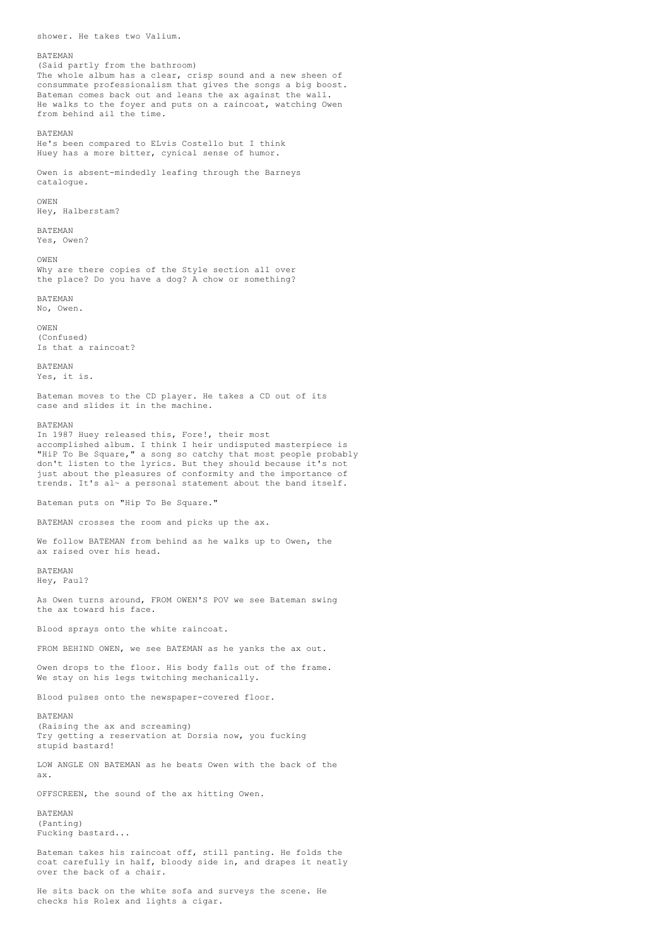shower. He takes two Valium.

#### BATEMAN

(Said partly from the bathroom) The whole album has a clear, crisp sound and a new sheen of consummate professionalism that gives the songs a big boost. Bateman comes back out and leans the ax against the wall. He walks to the foyer and puts on a raincoat, watching Owen from behind ail the time.

BATEMAN

He's been compared to ELvis Costello but I think Huey has a more bitter, cynical sense of humor.

Owen is absent-mindedly leafing through the Barneys catalogue.

OWEN Hey, Halberstam?

BATEMAN Yes, Owen?

OWEN Why are there copies of the Style section all over the place? Do you have a dog? A chow or something?

BATEMAN No, Owen.

OWEN (Confused) Is that a raincoat?

BATEMAN Yes, it is.

Bateman moves to the CD player. He takes a CD out of its case and slides it in the machine.

BATEMAN

In 1987 Huey released this, Fore!, their most accomplished album. I think I heir undisputed masterpiece is "HiP To Be Square," a song so catchy that most people probably don't listen to the lyrics. But they should because it's not just about the pleasures of conformity and the importance of trends. It's al~ a personal statement about the band itself.

Bateman puts on "Hip To Be Square."

BATEMAN crosses the room and picks up the ax.

We follow BATEMAN from behind as he walks up to Owen, the ax raised over his head.

BATEMAN Hey, Paul?

As Owen turns around, FROM OWEN'S POV we see Bateman swing the ax toward his face.

Blood sprays onto the white raincoat.

FROM BEHIND OWEN, we see BATEMAN as he yanks the ax out.

Owen drops to the floor. His body falls out of the frame. We stay on his legs twitching mechanically.

Blood pulses onto the newspaper-covered floor.

BATEMAN (Raising the ax and screaming) Try getting a reservation at Dorsia now, you fucking stupid bastard!

LOW ANGLE ON BATEMAN as he beats Owen with the back of the ax.

OFFSCREEN, the sound of the ax hitting Owen.

BATEMAN (Panting) Fucking bastard...

Bateman takes his raincoat off, still panting. He folds the coat carefully in half, bloody side in, and drapes it neatly over the back of a chair.

He sits back on the white sofa and surveys the scene. He checks his Rolex and lights a cigar.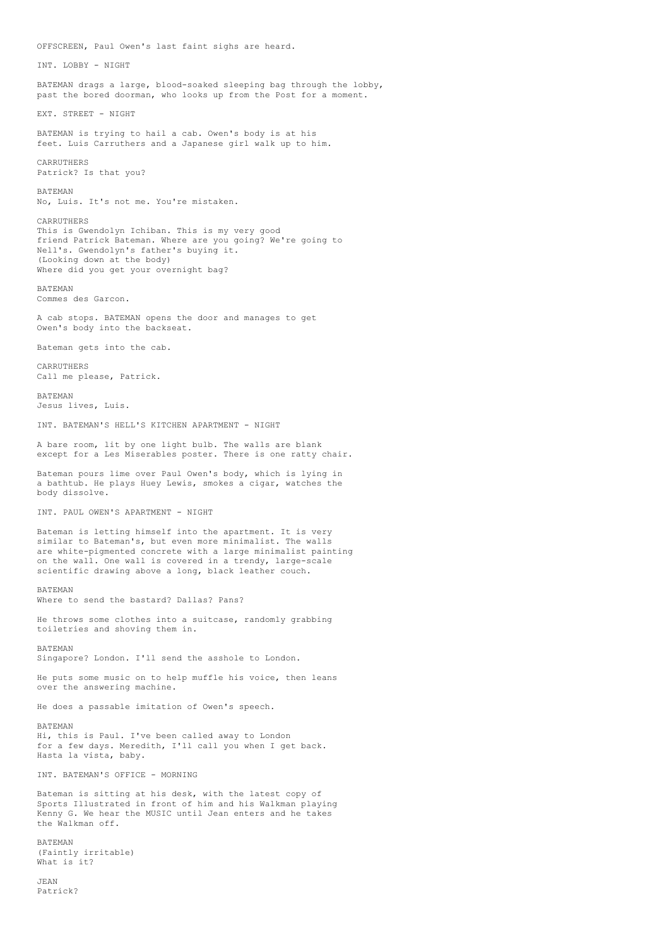OFFSCREEN, Paul Owen's last faint sighs are heard.

INT. LOBBY - NIGHT

BATEMAN drags a large, blood-soaked sleeping bag through the lobby, past the bored doorman, who looks up from the Post for a moment.

EXT. STREET - NIGHT

BATEMAN is trying to hail a cab. Owen's body is at his feet. Luis Carruthers and a Japanese girl walk up to him.

**CARRITHERS** Patrick? Is that you?

## BATEMAN

No, Luis. It's not me. You're mistaken.

CARRUTHERS

This is Gwendolyn Ichiban. This is my very good friend Patrick Bateman. Where are you going? We're going to Nell's. Gwendolyn's father's buying it. (Looking down at the body) Where did you get your overnight bag?

BATEMAN Commes des Garcon.

A cab stops. BATEMAN opens the door and manages to get Owen's body into the backseat.

Bateman gets into the cab.

**CARRITHERS** Call me please, Patrick.

BATEMAN Jesus lives, Luis.

INT. BATEMAN'S HELL'S KITCHEN APARTMENT - NIGHT

A bare room, lit by one light bulb. The walls are blank except for a Les Miserables poster. There is one ratty chair.

Bateman pours lime over Paul Owen's body, which is lying in a bathtub. He plays Huey Lewis, smokes a cigar, watches the body dissolve.

INT. PAUL OWEN'S APARTMENT - NIGHT

Bateman is letting himself into the apartment. It is very similar to Bateman's, but even more minimalist. The walls are white-pigmented concrete with a large minimalist painting on the wall. One wall is covered in a trendy, large-scale scientific drawing above a long, black leather couch.

BATEMAN Where to send the bastard? Dallas? Pans?

He throws some clothes into a suitcase, randomly grabbing toiletries and shoving them in.

BATEMAN Singapore? London. I'll send the asshole to London.

He puts some music on to help muffle his voice, then leans over the answering machine.

He does a passable imitation of Owen's speech.

BATEMAN

Hi, this is Paul. I've been called away to London for a few days. Meredith, I'll call you when I get back. Hasta la vista, baby.

INT. BATEMAN'S OFFICE - MORNING

Bateman is sitting at his desk, with the latest copy of Sports Illustrated in front of him and his Walkman playing Kenny G. We hear the MUSIC until Jean enters and he takes the Walkman off.

BATEMAN (Faintly irritable) What is it?

JEAN Patrick?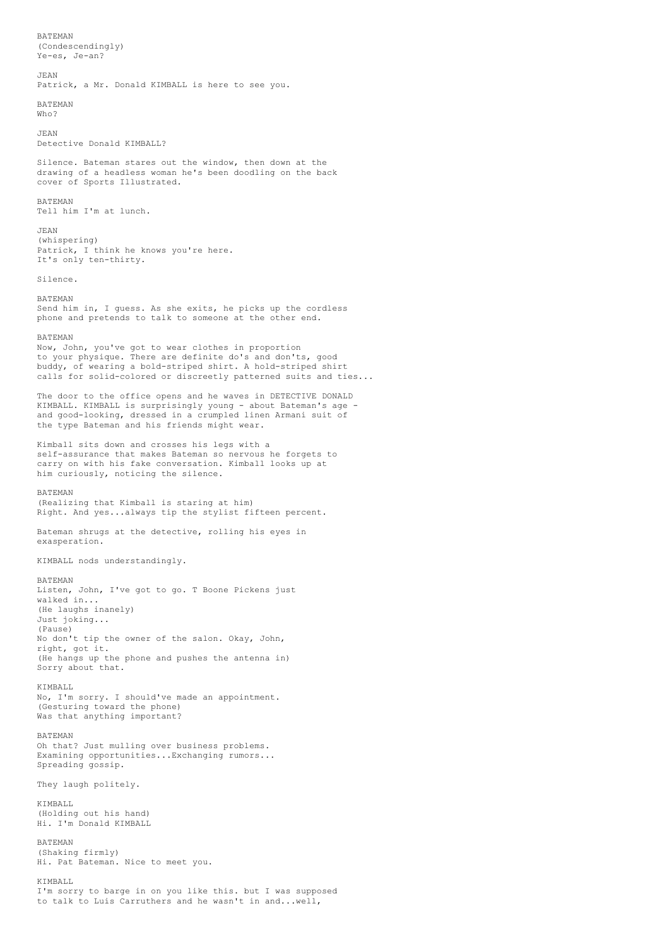BATEMAN (Condescendingly) Ye-es, Je-an?

JEAN

Patrick, a Mr. Donald KIMBALL is here to see you.

BATEMAN

Who? JEAN

Detective Donald KIMBALL?

Silence. Bateman stares out the window, then down at the drawing of a headless woman he's been doodling on the back cover of Sports Illustrated.

BATEMAN Tell him I'm at lunch.

JEAN (whispering) Patrick, I think he knows you're here. It's only ten-thirty.

Silence.

BATEMAN

Send him in, I guess. As she exits, he picks up the cordless phone and pretends to talk to someone at the other end.

BATEMAN

Now, John, you've got to wear clothes in proportion to your physique. There are definite do's and don'ts, good buddy, of wearing a bold-striped shirt. A hold-striped shirt calls for solid-colored or discreetly patterned suits and ties...

The door to the office opens and he waves in DETECTIVE DONALD KIMBALL. KIMBALL is surprisingly young - about Bateman's age and good-looking, dressed in a crumpled linen Armani suit of the type Bateman and his friends might wear.

Kimball sits down and crosses his legs with a self-assurance that makes Bateman so nervous he forgets to carry on with his fake conversation. Kimball looks up at him curiously, noticing the silence.

BATEMAN

(Realizing that Kimball is staring at him) Right. And yes...always tip the stylist fifteen percent.

Bateman shrugs at the detective, rolling his eyes in exasperation.

KIMBALL nods understandingly.

BATEMAN

Listen, John, I've got to go. T Boone Pickens just walked in... (He laughs inanely) Just joking... (Pause) No don't tip the owner of the salon. Okay, John, right, got it. (He hangs up the phone and pushes the antenna in) Sorry about that.

KIMBALL. No, I'm sorry. I should've made an appointment. (Gesturing toward the phone) Was that anything important?

BATEMAN Oh that? Just mulling over business problems. Examining opportunities...Exchanging rumors... Spreading gossip.

They laugh politely.

KIMBALL. (Holding out his hand) Hi. I'm Donald KIMBALL

BATEMAN (Shaking firmly) Hi. Pat Bateman. Nice to meet you.

KIMBALL I'm sorry to barge in on you like this. but I was supposed to talk to Luis Carruthers and he wasn't in and...well,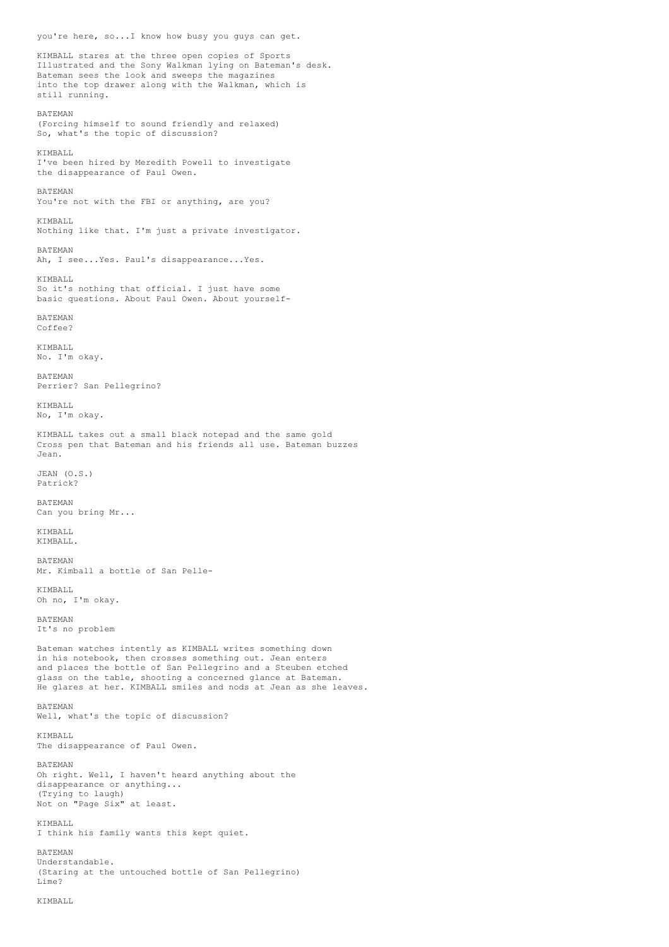you're here, so...I know how busy you guys can get. KIMBALL stares at the three open copies of Sports Illustrated and the Sony Walkman lying on Bateman's desk. Bateman sees the look and sweeps the magazines into the top drawer along with the Walkman, which is still running. BATEMAN (Forcing himself to sound friendly and relaxed) So, what's the topic of discussion? KIMBALL. I've been hired by Meredith Powell to investigate the disappearance of Paul Owen. BATEMAN You're not with the FBI or anything, are you? KIMBALL Nothing like that. I'm just a private investigator. BATEMAN Ah, I see...Yes. Paul's disappearance...Yes. KIMBALL So it's nothing that official. I just have some basic questions. About Paul Owen. About yourself-BATEMAN Coffee? KIMBALL No. I'm okay. BATEMAN Perrier? San Pellegrino? KIMBALL. No, I'm okay. KIMBALL takes out a small black notepad and the same gold Cross pen that Bateman and his friends all use. Bateman buzzes Jean. JEAN (O.S.) Patrick? BATEMAN Can you bring Mr... KIMBALL. KIMBALL. BATEMAN Mr. Kimball a bottle of San Pelle-KIMBALL Oh no, I'm okay. BATEMAN It's no problem Bateman watches intently as KIMBALL writes something down in his notebook, then crosses something out. Jean enters and places the bottle of San Pellegrino and a Steuben etched glass on the table, shooting a concerned glance at Bateman. He glares at her. KIMBALL smiles and nods at Jean as she leaves. BATEMAN Well, what's the topic of discussion? KIMBALL. The disappearance of Paul Owen. BATEMAN Oh right. Well, I haven't heard anything about the disappearance or anything... (Trying to laugh) Not on "Page Six" at least. KIMBALL. I think his family wants this kept quiet. BATEMAN Understandable. (Staring at the untouched bottle of San Pellegrino) Lime?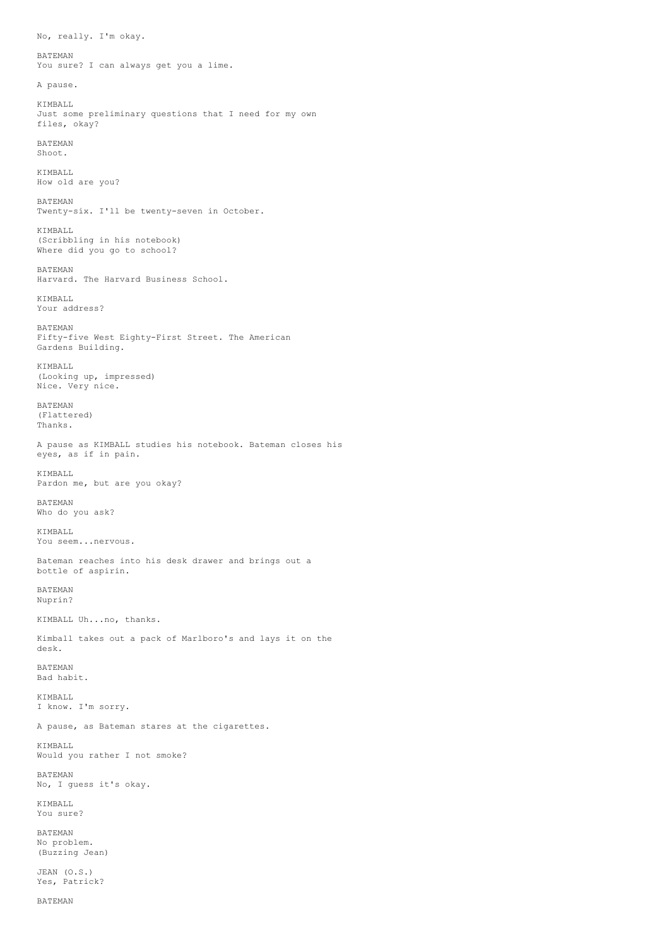No, really. I'm okay. BATEMAN You sure? I can always get you a lime. A pause. KIMBALL Just some preliminary questions that I need for my own files, okay? BATEMAN Shoot. KIMBALL. How old are you? BATEMAN Twenty-six. I'll be twenty-seven in October. KIMBALL (Scribbling in his notebook) Where did you go to school? BATEMAN Harvard. The Harvard Business School. KIMBALL. Your address? BATEMAN Fifty-five West Eighty-First Street. The American Gardens Building. KIMBALL (Looking up, impressed) Nice. Very nice. BATEMAN (Flattered) Thanks. A pause as KIMBALL studies his notebook. Bateman closes his eyes, as if in pain. KIMBALL Pardon me, but are you okay? BATEMAN Who do you ask? KIMBALL. You seem...nervous. Bateman reaches into his desk drawer and brings out a bottle of aspirin. BATEMAN Nuprin? KIMBALL Uh...no, thanks. Kimball takes out a pack of Marlboro's and lays it on the desk. BATEMAN Bad habit. KIMBALL I know. I'm sorry. A pause, as Bateman stares at the cigarettes. KIMBALL Would you rather I not smoke? BATEMAN No, I guess it's okay. KIMBALL. You sure? BATEMAN No problem. (Buzzing Jean) JEAN (O.S.) Yes, Patrick?

BATEMAN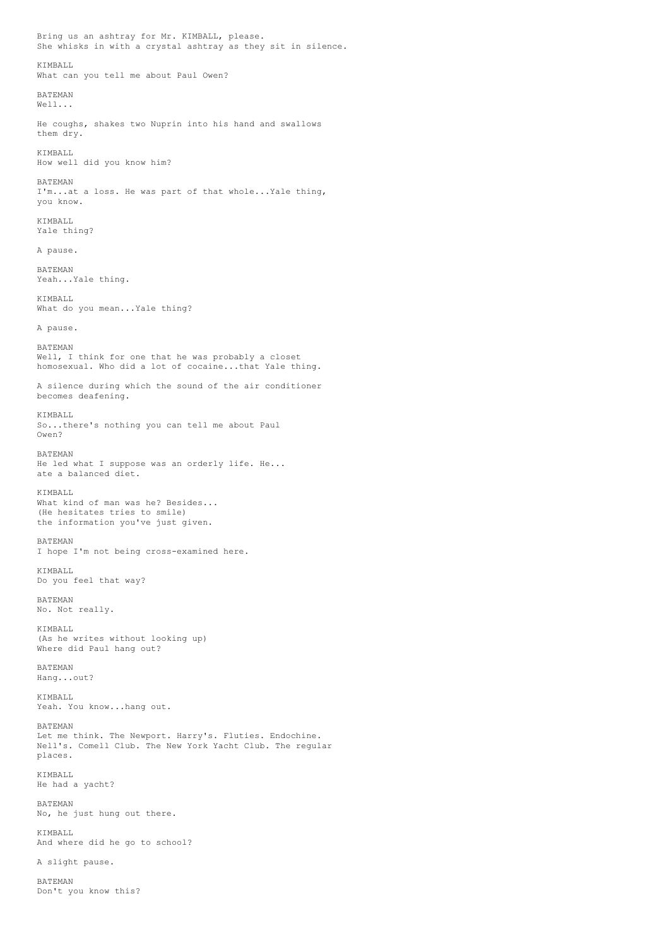Bring us an ashtray for Mr. KIMBALL, please. She whisks in with a crystal ashtray as they sit in silence. KIMBALL What can you tell me about Paul Owen? BATEMAN Well... He coughs, shakes two Nuprin into his hand and swallows them dry. KIMBALL How well did you know him? BATEMAN I'm...at a loss. He was part of that whole...Yale thing, you know. KIMBALL Yale thing? A pause. BATEMAN Yeah...Yale thing. KIMBALL. What do you mean...Yale thing? A pause. BATEMAN Well, I think for one that he was probably a closet homosexual. Who did a lot of cocaine...that Yale thing. A silence during which the sound of the air conditioner becomes deafening. KIMBALL. So...there's nothing you can tell me about Paul Owen? BATEMAN He led what I suppose was an orderly life. He... ate a balanced diet. KIMBALL What kind of man was he? Besides... (He hesitates tries to smile) the information you've just given. BATEMAN I hope I'm not being cross-examined here. KIMBALL Do you feel that way? BATEMAN No. Not really. KIMBALL (As he writes without looking up) Where did Paul hang out? BATEMAN Hang...out? KIMBALL Yeah. You know...hang out. BATEMAN Let me think. The Newport. Harry's. Fluties. Endochine. Nell's. Comell Club. The New York Yacht Club. The regular places. KIMBALL. He had a yacht? BATEMAN No, he just hung out there. KIMBALL And where did he go to school? A slight pause.

BATEMAN Don't you know this?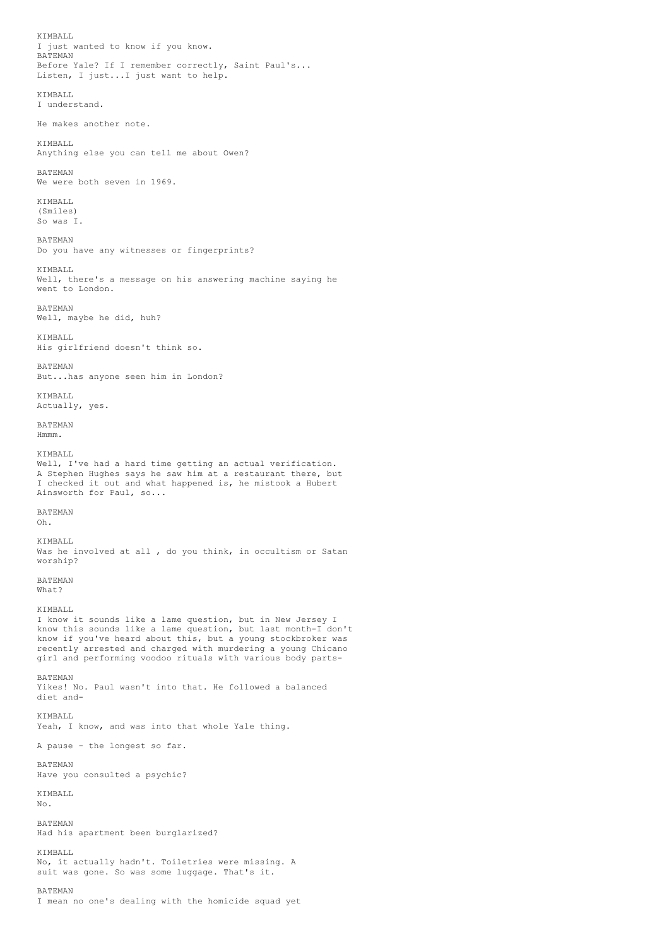KIMBALL. I just wanted to know if you know. BATEMAN Before Yale? If I remember correctly, Saint Paul's... Listen, I just...I just want to help. KIMBALL. I understand. He makes another note. KIMBALL Anything else you can tell me about Owen? BATEMAN We were both seven in 1969. KIMBALL (Smiles) So was I. BATEMAN Do you have any witnesses or fingerprints? KIMBALL. Well, there's a message on his answering machine saying he went to London. BATEMAN Well, maybe he did, huh? KIMBALL. His girlfriend doesn't think so. BATEMAN But...has anyone seen him in London? KIMBALL Actually, yes. BATEMAN Hmmm. KIMBALL Well, I've had a hard time getting an actual verification. A Stephen Hughes says he saw him at a restaurant there, but I checked it out and what happened is, he mistook a Hubert Ainsworth for Paul, so... BATEMAN Oh. KIMBALL. Was he involved at all, do you think, in occultism or Satan worship? BATEMAN What? KIMBALL I know it sounds like a lame question, but in New Jersey I know this sounds like a lame question, but last month-I don't know if you've heard about this, but a young stockbroker was recently arrested and charged with murdering a young Chicano girl and performing voodoo rituals with various body parts-BATEMAN Yikes! No. Paul wasn't into that. He followed a balanced diet and-KIMBALL Yeah, I know, and was into that whole Yale thing. A pause - the longest so far. BATEMAN Have you consulted a psychic? KIMBALL.  $N_{\Omega}$ . BATEMAN Had his apartment been burglarized? KIMBALL No, it actually hadn't. Toiletries were missing. A suit was gone. So was some luggage. That's it. BATEMAN I mean no one's dealing with the homicide squad yet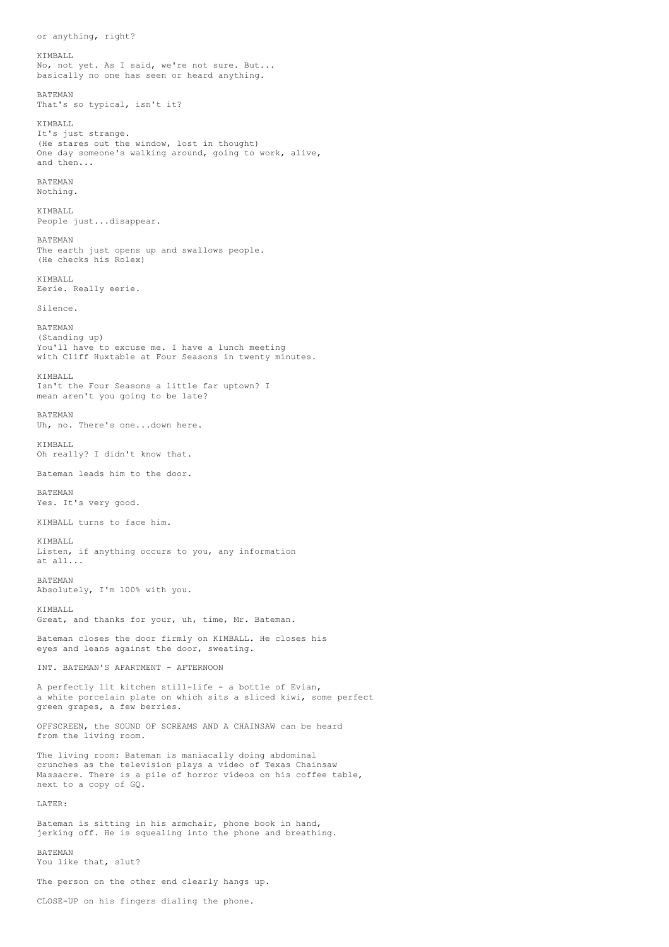KIMBALL. No, not yet. As I said, we're not sure. But... basically no one has seen or heard anything. BATEMAN That's so typical, isn't it? KIMBALL It's just strange. (He stares out the window, lost in thought) One day someone's walking around, going to work, alive, and then... BATEMAN Nothing. KIMBALL People just...disappear. BATEMAN The earth just opens up and swallows people. (He checks his Rolex) KIMBALL Eerie. Really eerie. Silence. BATEMAN (Standing up) You'll have to excuse me. I have a lunch meeting with Cliff Huxtable at Four Seasons in twenty minutes. KIMBALL. Isn't the Four Seasons a little far uptown? I mean aren't you going to be late? BATEMAN Uh, no. There's one...down here. KIMBALL. Oh really? I didn't know that. Bateman leads him to the door. BATEMAN Yes. It's very good. KIMBALL turns to face him. KIMBALL. Listen, if anything occurs to you, any information at all... BATEMAN Absolutely, I'm 100% with you. KIMBALL Great, and thanks for your, uh, time, Mr. Bateman. Bateman closes the door firmly on KIMBALL. He closes his eyes and leans against the door, sweating. INT. BATEMAN'S APARTMENT - AFTERNOON A perfectly lit kitchen still-life - a bottle of Evian, a white porcelain plate on which sits a sliced kiwi, some perfect green grapes, a few berries. OFFSCREEN, the SOUND OF SCREAMS AND A CHAINSAW can be heard from the living room. The living room: Bateman is maniacally doing abdominal crunches as the television plays a video of Texas Chainsaw Massacre. There is a pile of horror videos on his coffee table, next to a copy of GQ. LATER: Bateman is sitting in his armchair, phone book in hand, jerking off. He is squealing into the phone and breathing. BATEMAN You like that, slut? The person on the other end clearly hangs up. CLOSE-UP on his fingers dialing the phone.

or anything, right?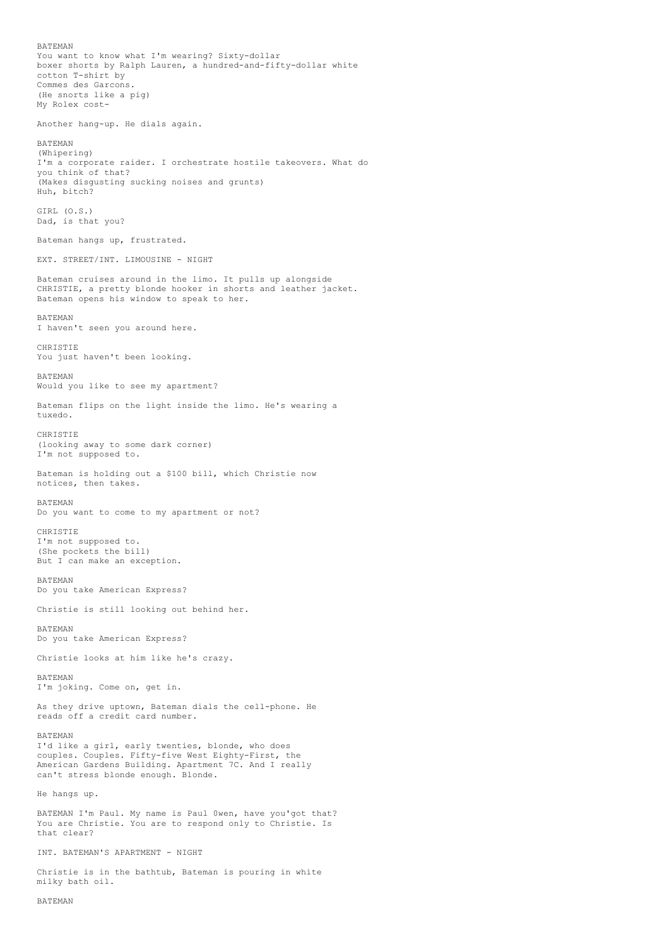BATEMAN You want to know what I'm wearing? Sixty-dollar boxer shorts by Ralph Lauren, a hundred-and-fifty-dollar white cotton T-shirt by Commes des Garcons. (He snorts like a pig) My Rolex cost-Another hang-up. He dials again. BATEMAN (Whipering) I'm a corporate raider. I orchestrate hostile takeovers. What do you think of that? (Makes disgusting sucking noises and grunts) Huh, bitch? GIRL (O.S.) Dad, is that you? Bateman hangs up, frustrated. EXT. STREET/INT. LIMOUSINE - NIGHT Bateman cruises around in the limo. It pulls up alongside CHRISTIE, a pretty blonde hooker in shorts and leather jacket. Bateman opens his window to speak to her. BATEMAN I haven't seen you around here. CHRISTIE You just haven't been looking. BATEMAN Would you like to see my apartment? Bateman flips on the light inside the limo. He's wearing a tuxedo. CHRISTIE (looking away to some dark corner) I'm not supposed to. Bateman is holding out a \$100 bill, which Christie now notices, then takes. BATEMAN Do you want to come to my apartment or not? **CHRISTIE** I'm not supposed to. (She pockets the bill) But I can make an exception. BATEMAN Do you take American Express? Christie is still looking out behind her. BATEMAN Do you take American Express? Christie looks at him like he's crazy. BATEMAN I'm joking. Come on, get in. As they drive uptown, Bateman dials the cell-phone. He reads off a credit card number. BATEMAN I'd like a girl, early twenties, blonde, who does couples. Couples. Fifty-five West Eighty-First, the American Gardens Building. Apartment 7C. And I really can't stress blonde enough. Blonde. He hangs up. BATEMAN I'm Paul. My name is Paul 0wen, have you'got that? You are Christie. You are to respond only to Christie. Is that clear? INT. BATEMAN'S APARTMENT - NIGHT Christie is in the bathtub, Bateman is pouring in white milky bath oil.

BATEMAN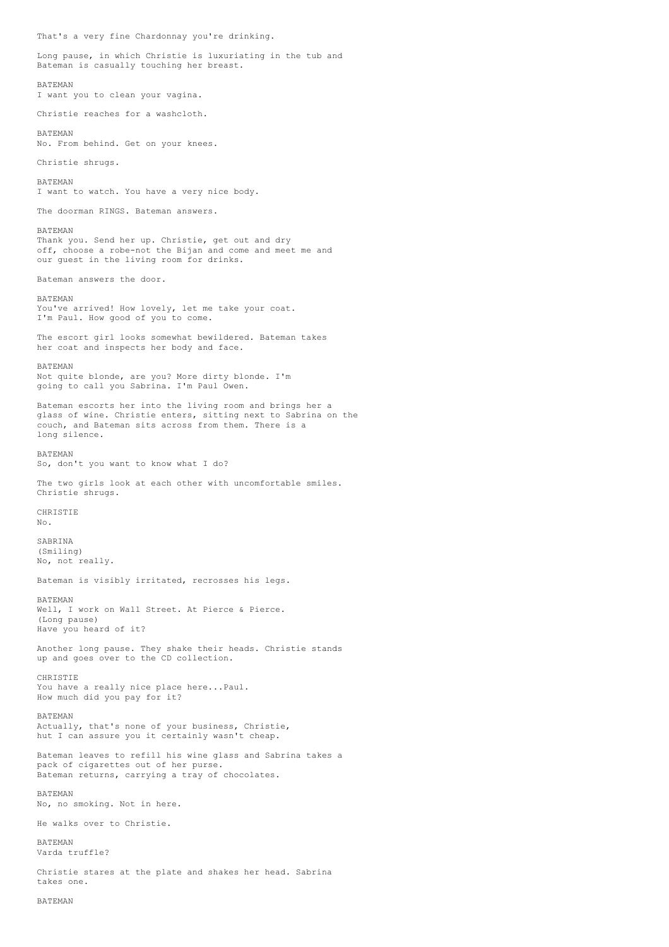That's a very fine Chardonnay you're drinking.

Long pause, in which Christie is luxuriating in the tub and Bateman is casually touching her breast.

BATEMAN I want you to clean your vagina.

Christie reaches for a washcloth.

BATEMAN No. From behind. Get on your knees.

Christie shrugs.

BATEMAN I want to watch. You have a very nice body.

The doorman RINGS. Bateman answers.

BATEMAN Thank you. Send her up. Christie, get out and dry off, choose a robe-not the Bijan and come and meet me and our guest in the living room for drinks.

Bateman answers the door.

BATEMAN You've arrived! How lovely, let me take your coat. I'm Paul. How good of you to come.

The escort girl looks somewhat bewildered. Bateman takes her coat and inspects her body and face.

BATEMAN Not quite blonde, are you? More dirty blonde. I'm going to call you Sabrina. I'm Paul Owen.

Bateman escorts her into the living room and brings her a glass of wine. Christie enters, sitting next to Sabrina on the couch, and Bateman sits across from them. There is a long silence.

BATEMAN So, don't you want to know what I do?

The two girls look at each other with uncomfortable smiles. Christie shrugs.

CHRISTIE No.

SABRINA (Smiling) No, not really.

Bateman is visibly irritated, recrosses his legs.

BATEMAN Well, I work on Wall Street. At Pierce & Pierce. (Long pause) Have you heard of it?

Another long pause. They shake their heads. Christie stands up and goes over to the CD collection.

CHRISTIE You have a really nice place here...Paul. How much did you pay for it?

BATEMAN Actually, that's none of your business, Christie, hut I can assure you it certainly wasn't cheap.

Bateman leaves to refill his wine glass and Sabrina takes a pack of cigarettes out of her purse. Bateman returns, carrying a tray of chocolates.

BATEMAN No, no smoking. Not in here.

He walks over to Christie.

BATEMAN Varda truffle?

Christie stares at the plate and shakes her head. Sabrina takes one.

BATEMAN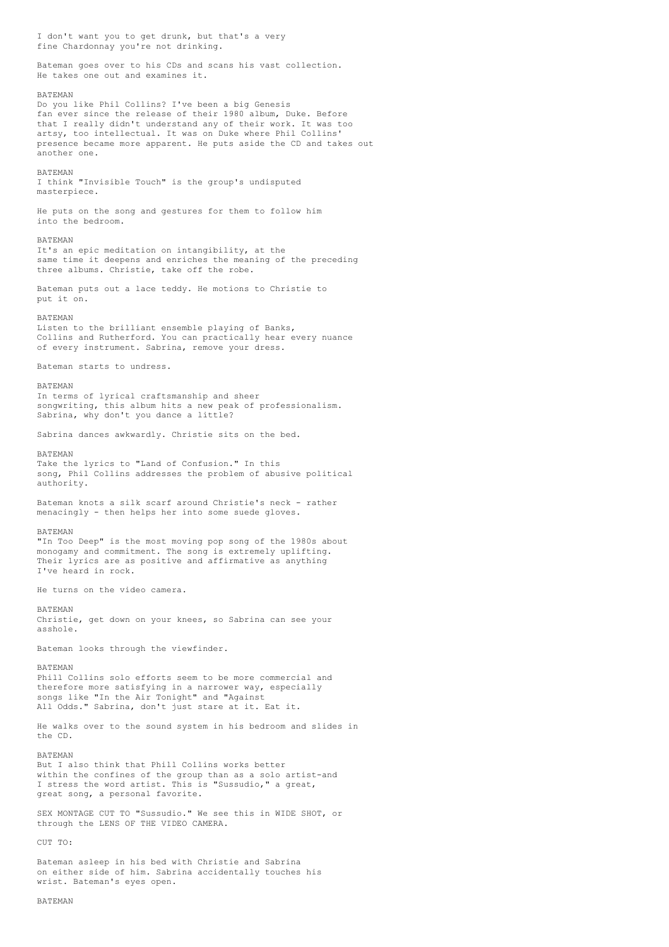I don't want you to get drunk, but that's a very fine Chardonnay you're not drinking.

Bateman goes over to his CDs and scans his vast collection. He takes one out and examines it.

### BATEMAN

Do you like Phil Collins? I've been a big Genesis fan ever since the release of their 1980 album, Duke. Before that I really didn't understand any of their work. It was too artsy, too intellectual. It was on Duke where Phil Collins' presence became more apparent. He puts aside the CD and takes out another one.

# BATEMAN

I think "Invisible Touch" is the group's undisputed masterpiece.

He puts on the song and gestures for them to follow him into the bedroom.

BATEMAN It's an epic meditation on intangibility, at the same time it deepens and enriches the meaning of the preceding three albums. Christie, take off the robe.

Bateman puts out a lace teddy. He motions to Christie to put it on.

## BATEMAN

Listen to the brilliant ensemble playing of Banks, Collins and Rutherford. You can practically hear every nuance of every instrument. Sabrina, remove your dress.

Bateman starts to undress.

### BATEMAN

In terms of lyrical craftsmanship and sheer songwriting, this album hits a new peak of professionalism. Sabrina, why don't you dance a little?

Sabrina dances awkwardly. Christie sits on the bed.

BATEMAN Take the lyrics to "Land of Confusion." In this song, Phil Collins addresses the problem of abusive political authority.

Bateman knots a silk scarf around Christie's neck - rather menacingly - then helps her into some suede gloves.

BATEMAN "In Too Deep" is the most moving pop song of the 1980s about monogamy and commitment. The song is extremely uplifting. Their lyrics are as positive and affirmative as anything I've heard in rock.

He turns on the video camera.

BATEMAN Christie, get down on your knees, so Sabrina can see your asshole.

Bateman looks through the viewfinder.

BATEMAN Phill Collins solo efforts seem to be more commercial and therefore more satisfying in a narrower way, especially songs like "In the Air Tonight" and "Against All Odds." Sabrina, don't just stare at it. Eat it.

He walks over to the sound system in his bedroom and slides in the CD.

BATEMAN But I also think that Phill Collins works better within the confines of the group than as a solo artist-and I stress the word artist. This is "Sussudio," a great, great song, a personal favorite.

SEX MONTAGE CUT TO "Sussudio." We see this in WIDE SHOT, or through the LENS OF THE VIDEO CAMERA.

CUT TO:

Bateman asleep in his bed with Christie and Sabrina on either side of him. Sabrina accidentally touches his wrist. Bateman's eyes open.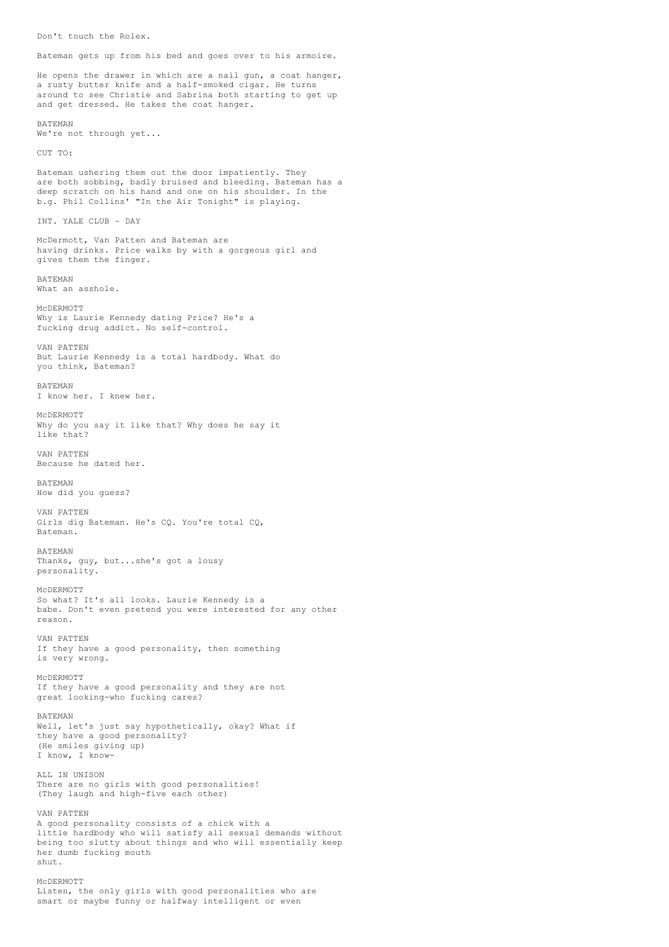Don't touch the Rolex. Bateman gets up from his bed and goes over to his armoire. He opens the drawer in which are a nail gun, a coat hanger, a rusty butter knife and a half-smoked cigar. He turns around to see Christie and Sabrina both starting to get up and get dressed. He takes the coat hanger. BATEMAN We're not through yet... CUT TO: Bateman ushering them out the door impatiently. They are both sobbing, badly bruised and bleeding. Bateman has a deep scratch on his hand and one on his shoulder. In the b.g. Phil Collins' "In the Air Tonight" is playing. INT. YALE CLUB – DAY McDermott, Van Patten and Bateman are having drinks. Price walks by with a gorgeous girl and gives them the finger. BATEMAN What an asshole. McDERMOTT Why is Laurie Kennedy dating Price? He's a fucking drug addict. No self-control. VAN PATTEN But Laurie Kennedy is a total hardbody. What do you think, Bateman? BATEMAN I know her. I knew her. McDERMOTT Why do you say it like that? Why does he say it like that? VAN PATTEN Because he dated her. BATEMAN How did you guess? VAN PATTEN Girls dig Bateman. He's CQ. You're total CQ, Bateman. BATEMAN Thanks, guy, but...she's got a lousy personality. McDERMOTT So what? It's all looks. Laurie Kennedy is a babe. Don't even pretend you were interested for any other reason. VAN PATTEN If they have a good personality, then something is very wrong. McDERMOTT If they have a good personality and they are not great looking-who fucking cares? BATEMAN Well, let's just say hypothetically, okay? What if they have a good personality? (He smiles giving up) I know, I know-ALL IN UNISON There are no girls with good personalities! (They laugh and high-five each other)

VAN PATTEN A good personality consists of a chick with a little hardbody who will satisfy all sexual demands without being too slutty about things and who will essentially keep her dumb fucking mouth shut.

McDERMOTT Listen, the only girls with good personalities who are smart or maybe funny or halfway intelligent or even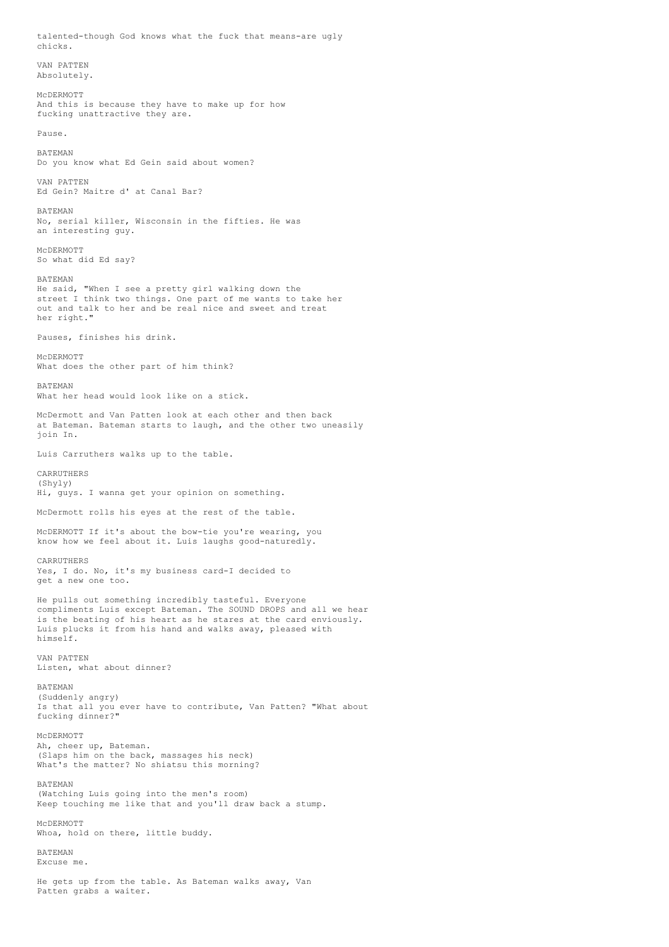talented-though God knows what the fuck that means-are ugly chicks.

VAN PATTEN Absolutely.

McDERMOTT And this is because they have to make up for how fucking unattractive they are.

Pause.

BATEMAN Do you know what Ed Gein said about women?

VAN PATTEN Ed Gein? Maitre d' at Canal Bar?

BATEMAN No, serial killer, Wisconsin in the fifties. He was an interesting guy.

McDERMOTT So what did Ed say?

BATEMAN He said, "When I see a pretty girl walking down the street I think two things. One part of me wants to take her out and talk to her and be real nice and sweet and treat her right."

Pauses, finishes his drink.

McDERMOTT What does the other part of him think?

BATEMAN What her head would look like on a stick.

McDermott and Van Patten look at each other and then back at Bateman. Bateman starts to laugh, and the other two uneasily join In.

Luis Carruthers walks up to the table.

CARRUTHERS (Shyly) Hi, guys. I wanna get your opinion on something.

McDermott rolls his eyes at the rest of the table.

McDERMOTT If it's about the bow-tie you're wearing, you know how we feel about it. Luis laughs good-naturedly.

CARRUTHERS Yes, I do. No, it's my business card-I decided to get a new one too.

He pulls out something incredibly tasteful. Everyone compliments Luis except Bateman. The SOUND DROPS and all we hear is the beating of his heart as he stares at the card enviously. Luis plucks it from his hand and walks away, pleased with himself.

VAN PATTEN Listen, what about dinner?

BATEMAN (Suddenly angry) Is that all you ever have to contribute, Van Patten? "What about fucking dinner?"

McDERMOTT Ah, cheer up, Bateman. (Slaps him on the back, massages his neck) What's the matter? No shiatsu this morning?

BATEMAN (Watching Luis going into the men's room) Keep touching me like that and you'll draw back a stump.

McDERMOTT Whoa, hold on there, little buddy.

BATEMAN Excuse me.

He gets up from the table. As Bateman walks away, Van Patten grabs a waiter.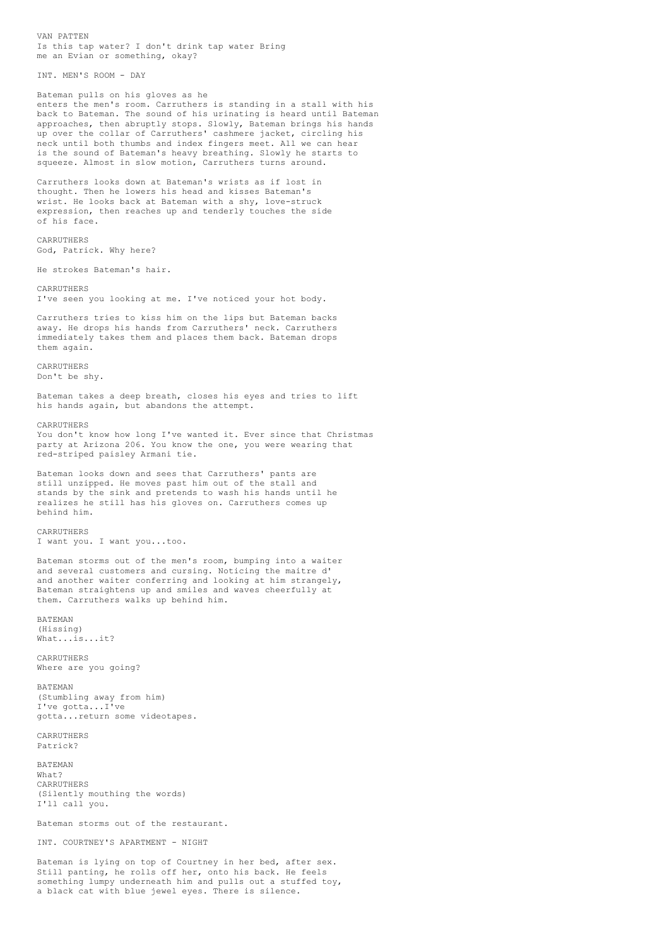VAN PATTEN Is this tap water? I don't drink tap water Bring me an Evian or something, okay?

INT. MEN'S ROOM - DAY

Bateman pulls on his gloves as he enters the men's room. Carruthers is standing in a stall with his back to Bateman. The sound of his urinating is heard until Bateman approaches, then abruptly stops. Slowly, Bateman brings his hands up over the collar of Carruthers' cashmere jacket, circling his neck until both thumbs and index fingers meet. All we can hear is the sound of Bateman's heavy breathing. Slowly he starts to squeeze. Almost in slow motion, Carruthers turns around.

Carruthers looks down at Bateman's wrists as if lost in thought. Then he lowers his head and kisses Bateman's wrist. He looks back at Bateman with a shy, love-struck expression, then reaches up and tenderly touches the side of his face.

CARRUTHERS God, Patrick. Why here?

He strokes Bateman's hair.

CARRUTHERS I've seen you looking at me. I've noticed your hot body.

Carruthers tries to kiss him on the lips but Bateman backs away. He drops his hands from Carruthers' neck. Carruthers immediately takes them and places them back. Bateman drops them again.

**CARRITHERS** Don't be shy.

Bateman takes a deep breath, closes his eyes and tries to lift his hands again, but abandons the attempt.

**CARRITHERS** You don't know how long I've wanted it. Ever since that Christmas party at Arizona 206. You know the one, you were wearing that red-striped paisley Armani tie.

Bateman looks down and sees that Carruthers' pants are still unzipped. He moves past him out of the stall and stands by the sink and pretends to wash his hands until he realizes he still has his gloves on. Carruthers comes up behind him.

**CARRITHERS** I want you. I want you...too.

Bateman storms out of the men's room, bumping into a waiter and several customers and cursing. Noticing the maitre d' and another waiter conferring and looking at him strangely, Bateman straightens up and smiles and waves cheerfully at them. Carruthers walks up behind him.

BATEMAN (Hissing) What...is...it?

**CARRUTHERS** Where are you going?

BATEMAN (Stumbling away from him) I've gotta...I've gotta...return some videotapes.

CARRUTHERS Patrick?

BATEMAN  $Wha+2$ CARRUTHERS (Silently mouthing the words) I'll call you.

Bateman storms out of the restaurant.

INT. COURTNEY'S APARTMENT - NIGHT

Bateman is lying on top of Courtney in her bed, after sex. Still panting, he rolls off her, onto his back. He feels something lumpy underneath him and pulls out a stuffed toy, a black cat with blue jewel eyes. There is silence.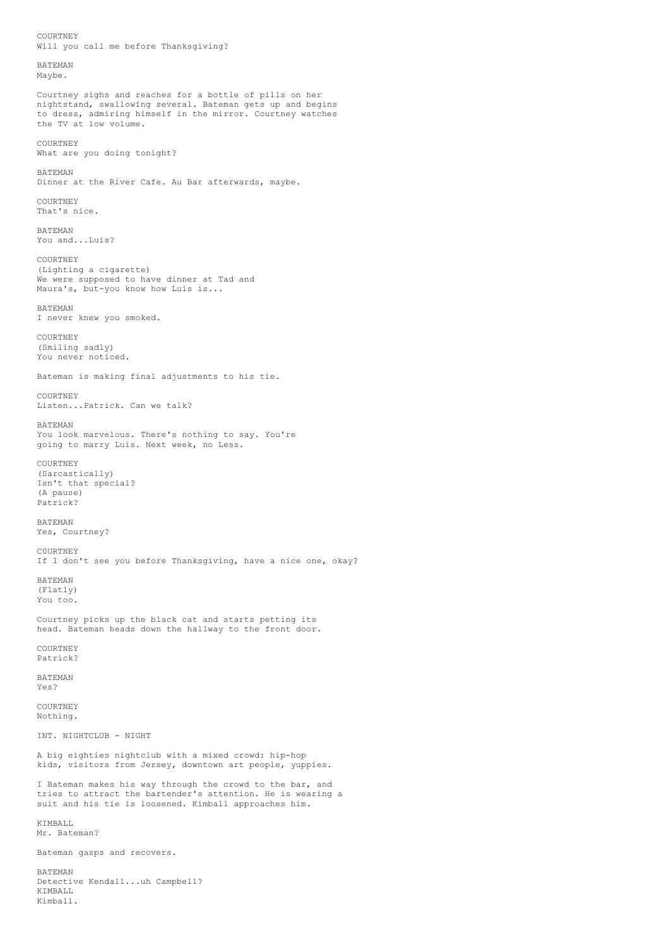COURTNEY Will you call me before Thanksgiving? BATEMAN Maybe. Courtney sighs and reaches for a bottle of pills on her nightstand, swallowing several. Bateman gets up and begins to dress, admiring himself in the mirror. Courtney watches the TV at low volume. COURTNEY What are you doing tonight? BATEMAN Dinner at the River Cafe. Au Bar afterwards, maybe. COURTNEY That's nice. BATEMAN You and...Luis? COURTNEY (Lighting a cigarette) We were supposed to have dinner at Tad and Maura's, but-you know how Luis is... BATEMAN I never knew you smoked. COURTNEY (Smiling sadly) You never noticed. Bateman is making final adjustments to his tie. COURTNEY Listen...Patrick. Can we talk? BATEMAN You look marvelous. There's nothing to say. You're going to marry Luis. Next week, no Less. COURTNEY (Sarcastically) Isn't that special? (A pause) Patrick? BATEMAN Yes, Courtney? COURTNEY If I don't see you before Thanksgiving, have a nice one, okay? BATEMAN (Flatly) You too. Courtney picks up the black cat and starts petting its head. Bateman heads down the hallway to the front door. COURTNEY Patrick? BATEMAN Yes? COURTNEY Nothing. INT. NIGHTCLUB - NIGHT A big eighties nightclub with a mixed crowd: hip-hop kids, visitors from Jersey, downtown art people, yuppies. I Bateman makes his way through the crowd to the bar, and tries to attract the bartender's attention. He is wearing a suit and his tie is loosened. Kimball approaches him. **EXTMENT** Mr. Bateman? Bateman gasps and recovers. BATEMAN Detective Kendall...uh Campbell? KIMBALL Kimball.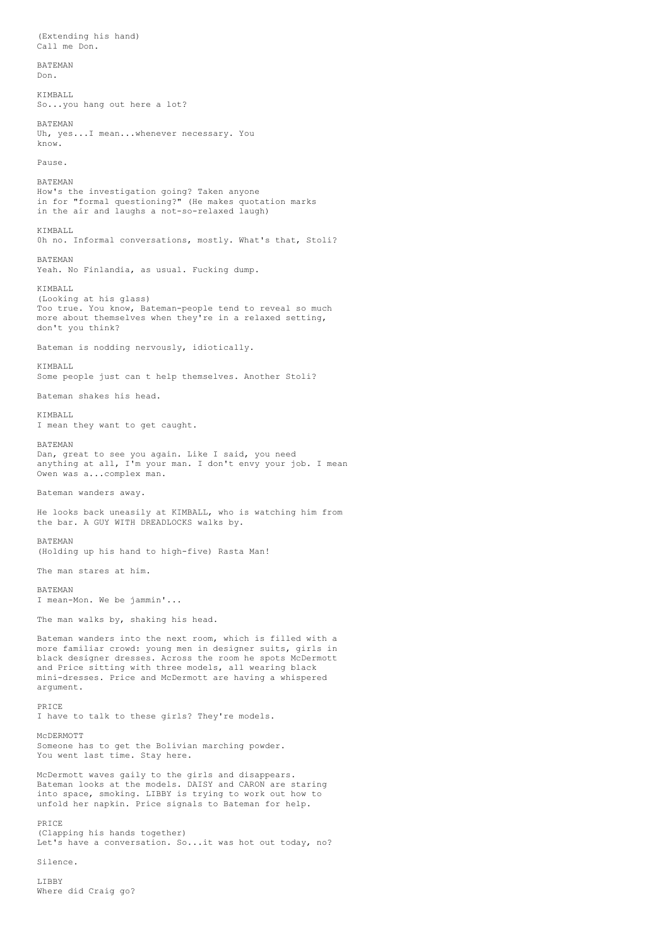(Extending his hand) Call me Don. BATEMAN Don. KIMBALL. So...you hang out here a lot? BATEMAN Uh, yes...I mean...whenever necessary. You know. Pause. BATEMAN How's the investigation going? Taken anyone in for "formal questioning?" (He makes quotation marks in the air and laughs a not-so-relaxed laugh) KIMBALL 0h no. Informal conversations, mostly. What's that, Stoli? BATEMAN Yeah. No Finlandia, as usual. Fucking dump. KIMBALL. (Looking at his glass) Too true. You know, Bateman-people tend to reveal so much more about themselves when they're in a relaxed setting, don't you think? Bateman is nodding nervously, idiotically. KIMBALL. Some people just can t help themselves. Another Stoli? Bateman shakes his head. KIMBALL. I mean they want to get caught. BATEMAN Dan, great to see you again. Like I said, you need anything at all, I'm your man. I don't envy your job. I mean Owen was a...complex man. Bateman wanders away. He looks back uneasily at KIMBALL, who is watching him from the bar. A GUY WITH DREADLOCKS walks by. BATEMAN (Holding up his hand to high-five) Rasta Man! The man stares at him. BATEMAN I mean-Mon. We be jammin'... The man walks by, shaking his head. Bateman wanders into the next room, which is filled with a more familiar crowd: young men in designer suits, girls in black designer dresses. Across the room he spots McDermott and Price sitting with three models, all wearing black mini-dresses. Price and McDermott are having a whispered argument. PRICE I have to talk to these girls? They're models. McDERMOTT Someone has to get the Bolivian marching powder. You went last time. Stay here. McDermott waves gaily to the girls and disappears. Bateman looks at the models. DAISY and CARON are staring into space, smoking. LIBBY is trying to work out how to unfold her napkin. Price signals to Bateman for help. PRICE (Clapping his hands together) Let's have a conversation. So...it was hot out today, no?

Silence.

LIBBY Where did Craig go?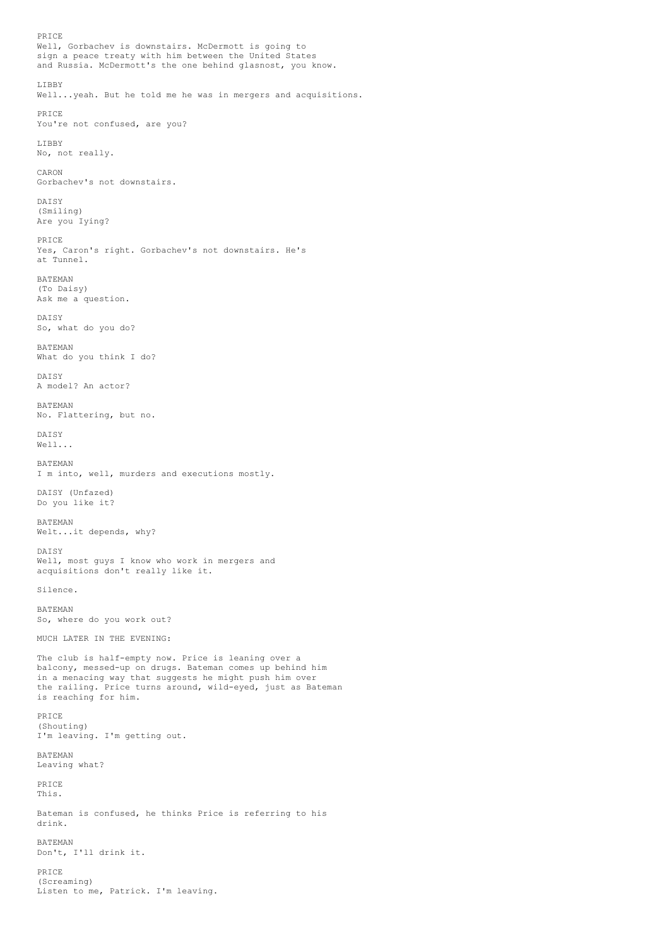PRICE Well, Gorbachev is downstairs. McDermott is going to sign a peace treaty with him between the United States and Russia. McDermott's the one behind glasnost, you know. LIBBY Well...yeah. But he told me he was in mergers and acquisitions. PRICE You're not confused, are you? LIBBY No, not really. CARON Gorbachev's not downstairs. DAISY (Smiling) Are you Iying? PRICE Yes, Caron's right. Gorbachev's not downstairs. He's at Tunnel. BATEMAN (To Daisy) Ask me a question. DAISY So, what do you do? BATEMAN What do you think I do? DAISY A model? An actor? BATEMAN No. Flattering, but no. DAISY Well... BATEMAN I m into, well, murders and executions mostly. DAISY (Unfazed) Do you like it? BATEMAN Welt...it depends, why? DAISY Well, most guys I know who work in mergers and acquisitions don't really like it. Silence. BATEMAN So, where do you work out? MUCH LATER IN THE EVENING: The club is half-empty now. Price is leaning over a balcony, messed-up on drugs. Bateman comes up behind him in a menacing way that suggests he might push him over the railing. Price turns around, wild-eyed, just as Bateman is reaching for him. PRICE (Shouting) I'm leaving. I'm getting out. BATEMAN Leaving what? PRICE This. Bateman is confused, he thinks Price is referring to his drink. BATEMAN Don't, I'll drink it.

PRICE (Screaming) Listen to me, Patrick. I'm leaving.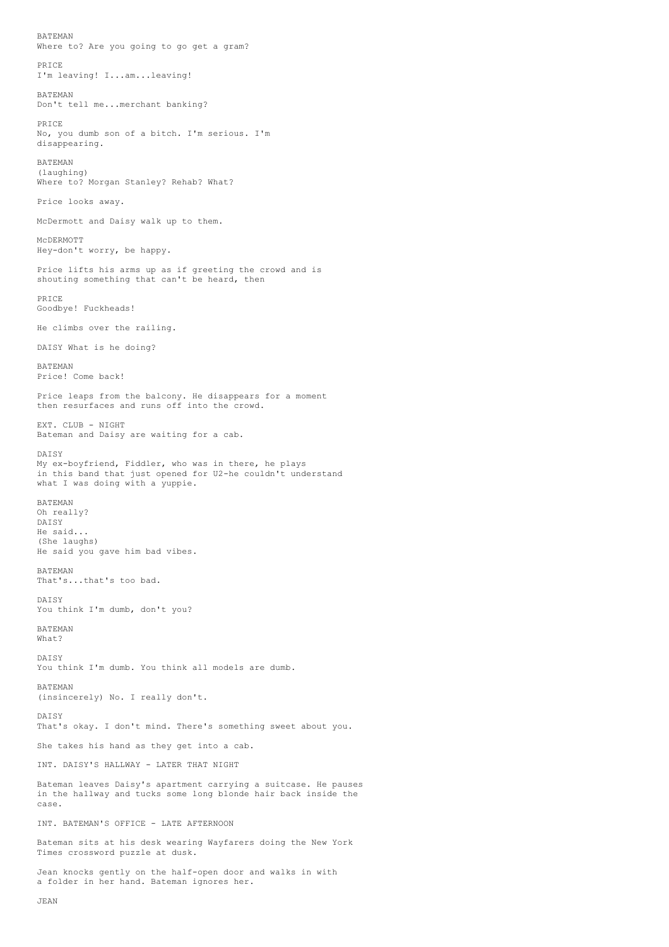BATEMAN Where to? Are you going to go get a gram? PRICE I'm leaving! I...am...leaving! BATEMAN Don't tell me...merchant banking? PRICE No, you dumb son of a bitch. I'm serious. I'm disappearing. BATEMAN (laughing) Where to? Morgan Stanley? Rehab? What? Price looks away. McDermott and Daisy walk up to them. McDERMOTT Hey-don't worry, be happy. Price lifts his arms up as if greeting the crowd and is shouting something that can't be heard, then PRICE Goodbye! Fuckheads! He climbs over the railing. DAISY What is he doing? BATEMAN Price! Come back! Price leaps from the balcony. He disappears for a moment then resurfaces and runs off into the crowd. EXT. CLUB - NIGHT Bateman and Daisy are waiting for a cab. DAISY My ex-boyfriend, Fiddler, who was in there, he plays in this band that just opened for U2-he couldn't understand what I was doing with a yuppie. BATEMAN Oh really? DAISY He said... (She laughs) He said you gave him bad vibes. BATEMAN That's...that's too bad. DAISY You think I'm dumb, don't you? BATEMAN What? DAISY You think I'm dumb. You think all models are dumb. BATEMAN (insincerely) No. I really don't. DAISY That's okay. I don't mind. There's something sweet about you. She takes his hand as they get into a cab. INT. DAISY'S HALLWAY - LATER THAT NIGHT Bateman leaves Daisy's apartment carrying a suitcase. He pauses in the hallway and tucks some long blonde hair back inside the case. INT. BATEMAN'S OFFICE - LATE AFTERNOON Bateman sits at his desk wearing Wayfarers doing the New York Times crossword puzzle at dusk. Jean knocks gently on the half-open door and walks in with a folder in her hand. Bateman ignores her.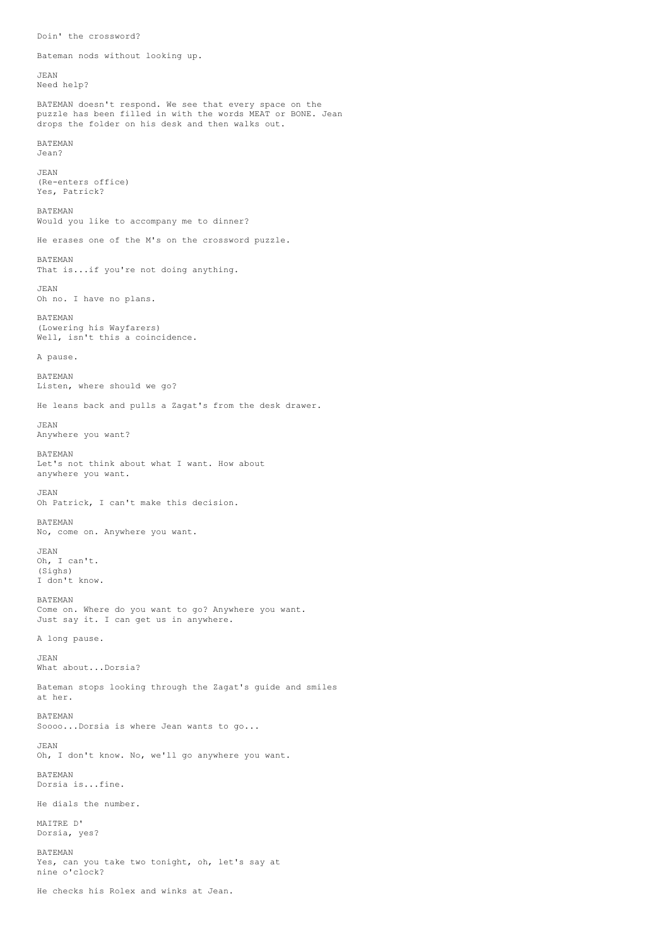Doin' the crossword? Bateman nods without looking up. JEAN Need help? BATEMAN doesn't respond. We see that every space on the puzzle has been filled in with the words MEAT or BONE. Jean drops the folder on his desk and then walks out. BATEMAN Jean? JEAN (Re-enters office) Yes, Patrick? BATEMAN Would you like to accompany me to dinner? He erases one of the M's on the crossword puzzle. BATEMAN That is...if you're not doing anything. JEAN Oh no. I have no plans. BATEMAN (Lowering his Wayfarers) Well, isn't this a coincidence. A pause. BATEMAN Listen, where should we go? He leans back and pulls a Zagat's from the desk drawer. JEAN Anywhere you want? BATEMAN Let's not think about what I want. How about anywhere you want. JEAN Oh Patrick, I can't make this decision. BATEMAN No, come on. Anywhere you want. JEAN Oh, I can't. (Sighs) I don't know. BATEMAN Come on. Where do you want to go? Anywhere you want. Just say it. I can get us in anywhere. A long pause. JEAN What about...Dorsia? Bateman stops looking through the Zagat's guide and smiles at her. BATEMAN Soooo...Dorsia is where Jean wants to go... JEAN Oh, I don't know. No, we'll go anywhere you want. BATEMAN Dorsia is...fine. He dials the number. MAITRE D' Dorsia, yes? BATEMAN Yes, can you take two tonight, oh, let's say at nine o'clock? He checks his Rolex and winks at Jean.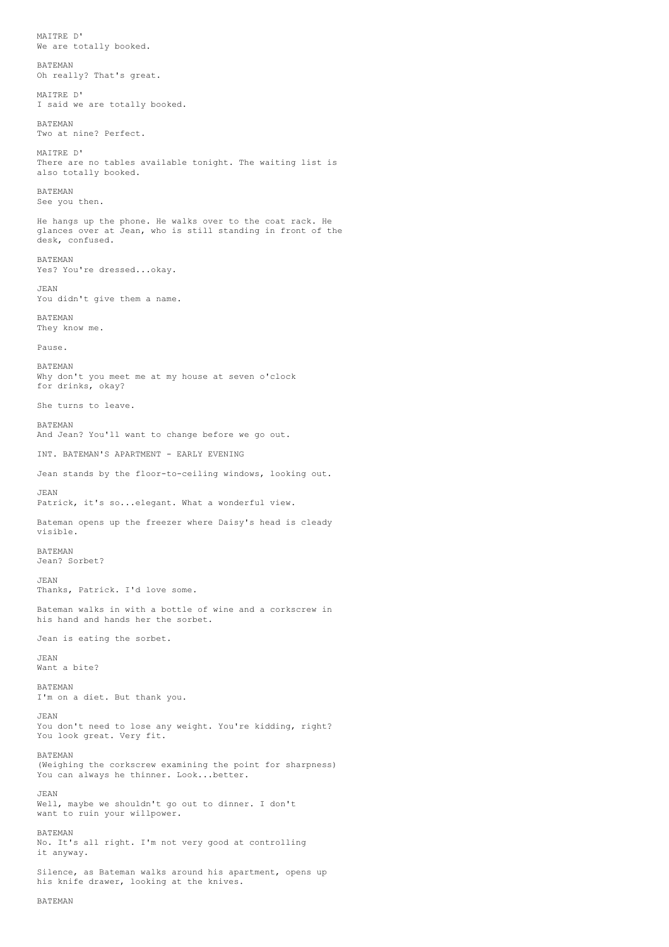MAITRE D' We are totally booked. BATEMAN Oh really? That's great. MAITRE D' I said we are totally booked. BATEMAN Two at nine? Perfect. MAITRE D' There are no tables available tonight. The waiting list is also totally booked. BATEMAN See you then. He hangs up the phone. He walks over to the coat rack. He glances over at Jean, who is still standing in front of the desk, confused. BATEMAN Yes? You're dressed...okay. JEAN You didn't give them a name. BATEMAN They know me. Pause. BATEMAN Why don't you meet me at my house at seven o'clock for drinks, okay? She turns to leave. BATEMAN And Jean? You'll want to change before we go out. INT. BATEMAN'S APARTMENT - EARLY EVENING Jean stands by the floor-to-ceiling windows, looking out. JEAN Patrick, it's so...elegant. What a wonderful view. Bateman opens up the freezer where Daisy's head is cleady visible. BATEMAN Jean? Sorbet? JEAN Thanks, Patrick. I'd love some. Bateman walks in with a bottle of wine and a corkscrew in his hand and hands her the sorbet. Jean is eating the sorbet. JEAN Want a bite? BATEMAN I'm on a diet. But thank you. JEAN You don't need to lose any weight. You're kidding, right? You look great. Very fit. BATEMAN (Weighing the corkscrew examining the point for sharpness) You can always he thinner. Look...better. JEAN Well, maybe we shouldn't go out to dinner. I don't want to ruin your willpower. BATEMAN No. It's all right. I'm not very good at controlling it anyway. Silence, as Bateman walks around his apartment, opens up his knife drawer, looking at the knives. BATEMAN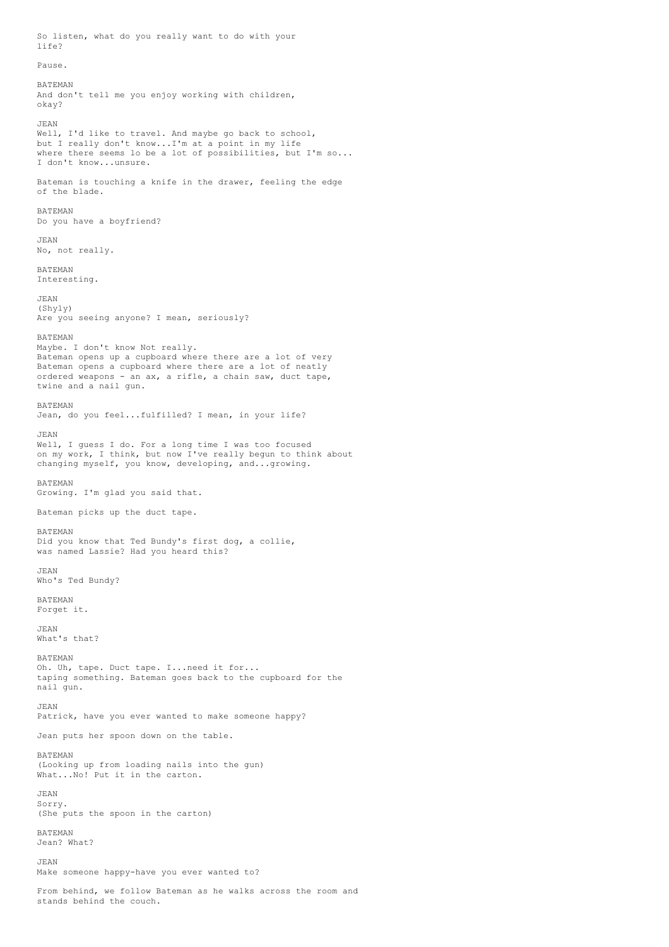So listen, what do you really want to do with your life? Pause. BATEMAN And don't tell me you enjoy working with children, okay? JEAN Well, I'd like to travel. And maybe go back to school, but I really don't know...I'm at a point in my life where there seems lo be a lot of possibilities, but I'm so... I don't know...unsure. Bateman is touching a knife in the drawer, feeling the edge of the blade. BATEMAN Do you have a boyfriend? JEAN No, not really. BATEMAN Interesting. JEAN (Shyly) Are you seeing anyone? I mean, seriously? BATEMAN Maybe. I don't know Not really. Bateman opens up a cupboard where there are a lot of very Bateman opens a cupboard where there are a lot of neatly ordered weapons - an ax, a rifle, a chain saw, duct tape, twine and a nail gun. BATEMAN Jean, do you feel...fulfilled? I mean, in your life? JEAN Well, I guess I do. For a long time I was too focused on my work, I think, but now I've really begun to think about changing myself, you know, developing, and...growing. BATEMAN Growing. I'm glad you said that. Bateman picks up the duct tape. BATEMAN Did you know that Ted Bundy's first dog, a collie, was named Lassie? Had you heard this? JEAN Who's Ted Bundy? BATEMAN Forget it. JEAN What's that? BATEMAN Oh. Uh, tape. Duct tape. I...need it for... taping something. Bateman goes back to the cupboard for the nail gun. JEAN Patrick, have you ever wanted to make someone happy? Jean puts her spoon down on the table. BATEMAN (Looking up from loading nails into the gun) What...No! Put it in the carton. JEAN Sorry. (She puts the spoon in the carton) BATEMAN Jean? What? JEAN Make someone happy-have you ever wanted to?

From behind, we follow Bateman as he walks across the room and stands behind the couch.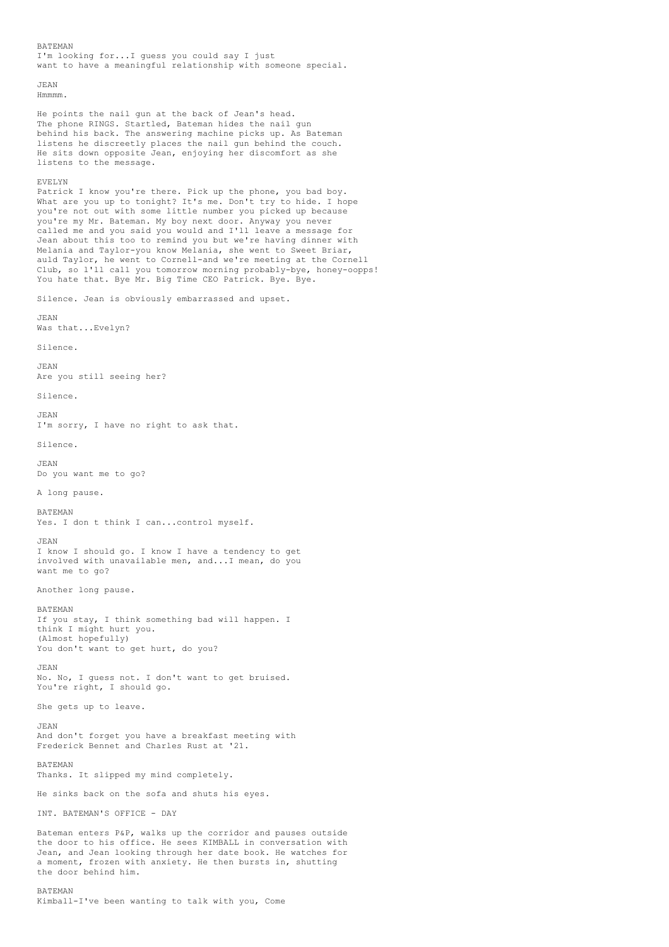BATEMAN I'm looking for...I guess you could say I just want to have a meaningful relationship with someone special.

JEAN Hmmmm.

He points the nail gun at the back of Jean's head. The phone RINGS. Startled, Bateman hides the nail gun behind his back. The answering machine picks up. As Bateman listens he discreetly places the nail gun behind the couch. He sits down opposite Jean, enjoying her discomfort as she listens to the message.

# EVELYN

Patrick I know you're there. Pick up the phone, you bad boy. What are you up to tonight? It's me. Don't try to hide. I hope you're not out with some little number you picked up because you're my Mr. Bateman. My boy next door. Anyway you never called me and you said you would and I'll leave a message for Jean about this too to remind you but we're having dinner with Melania and Taylor-you know Melania, she went to Sweet Briar, auld Taylor, he went to Cornell-and we're meeting at the Cornell Club, so l'll call you tomorrow morning probably-bye, honey-oopps! You hate that. Bye Mr. Big Time CEO Patrick. Bye. Bye.

Silence. Jean is obviously embarrassed and upset.

JEAN Was that...Evelyn?

Silence.

JEAN Are you still seeing her?

Silence.

JEAN I'm sorry, I have no right to ask that.

Silence.

JEAN Do you want me to go?

A long pause.

BATEMAN

Yes. I don t think I can... control myself.

JEAN I know I should go. I know I have a tendency to get involved with unavailable men, and...I mean, do you

Another long pause.

want me to go?

BATEMAN If you stay, I think something bad will happen. I think I might hurt you. (Almost hopefully) You don't want to get hurt, do you?

JEAN No. No, I guess not. I don't want to get bruised. You're right, I should go.

She gets up to leave.

JEAN And don't forget you have a breakfast meeting with Frederick Bennet and Charles Rust at '21.

BATEMAN Thanks. It slipped my mind completely.

He sinks back on the sofa and shuts his eyes.

INT. BATEMAN'S OFFICE - DAY

Bateman enters P&P, walks up the corridor and pauses outside the door to his office. He sees KIMBALL in conversation with Jean, and Jean looking through her date book. He watches for a moment, frozen with anxiety. He then bursts in, shutting the door behind him.

BATEMAN Kimball-I've been wanting to talk with you, Come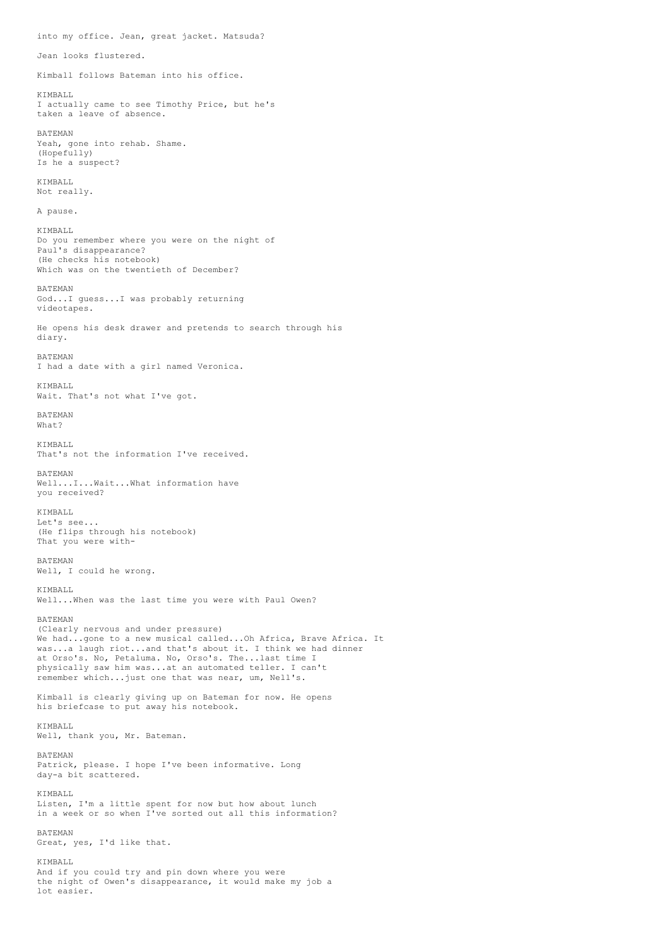into my office. Jean, great jacket. Matsuda?

Jean looks flustered.

Kimball follows Bateman into his office.

KIMBALL. I actually came to see Timothy Price, but he's taken a leave of absence.

BATEMAN Yeah, gone into rehab. Shame. (Hopefully) Is he a suspect?

KIMBALL. Not really.

A pause.

KIMBALL Do you remember where you were on the night of Paul's disappearance? (He checks his notebook) Which was on the twentieth of December?

BATEMAN God...I guess...I was probably returning videotapes.

He opens his desk drawer and pretends to search through his diary.

BATEMAN I had a date with a girl named Veronica.

KIMBALL Wait. That's not what I've got.

BATEMAN What?

KIMBALL. That's not the information I've received.

BATEMAN Well...I...Wait...What information have you received?

KIMBALL Let's see... (He flips through his notebook) That you were with-

BATEMAN Well, I could he wrong.

KIMBALL Well...When was the last time you were with Paul Owen?

BATEMAN

(Clearly nervous and under pressure) We had...gone to a new musical called...Oh Africa, Brave Africa. It was...a laugh riot...and that's about it. I think we had dinner at Orso's. No, Petaluma. No, Orso's. The...last time I physically saw him was...at an automated teller. I can't remember which...just one that was near, um, Nell's.

Kimball is clearly giving up on Bateman for now. He opens his briefcase to put away his notebook.

KIMBALL Well, thank you, Mr. Bateman.

BATEMAN Patrick, please. I hope I've been informative. Long day-a bit scattered.

KIMBALL Listen, I'm a little spent for now but how about lunch in a week or so when I've sorted out all this information?

BATEMAN Great, yes, I'd like that.

KIMBALL. And if you could try and pin down where you were the night of Owen's disappearance, it would make my job a lot easier.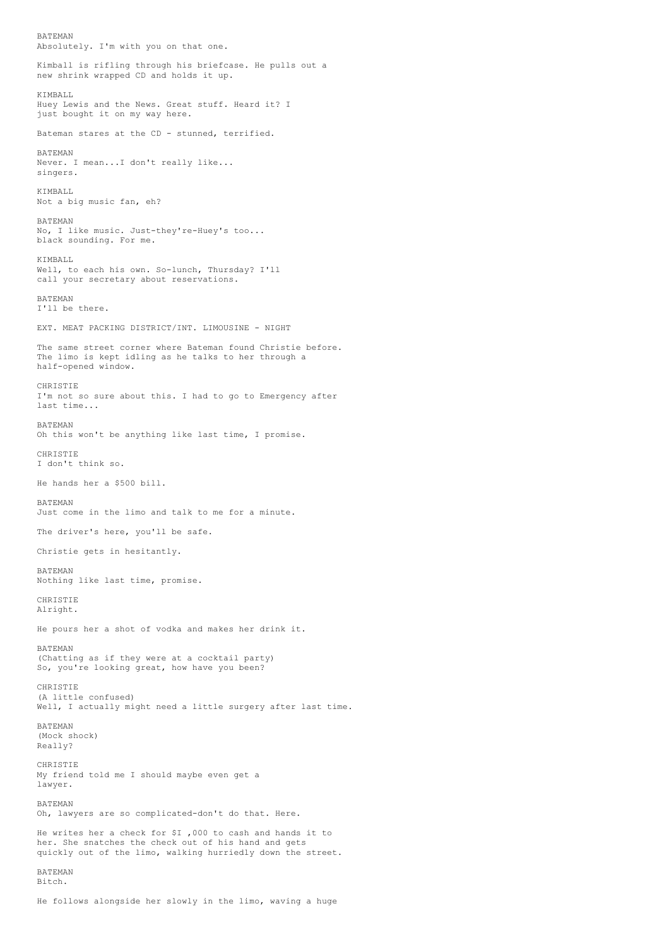BATEMAN Absolutely. I'm with you on that one. Kimball is rifling through his briefcase. He pulls out a new shrink wrapped CD and holds it up. KIMBALL. Huey Lewis and the News. Great stuff. Heard it? I just bought it on my way here. Bateman stares at the CD - stunned, terrified. BATEMAN Never. I mean...I don't really like... singers. KIMBALL Not a big music fan, eh? BATEMAN No, I like music. Just-they're-Huey's too... black sounding. For me. KIMBALL Well, to each his own. So-lunch, Thursday? I'll call your secretary about reservations. BATEMAN I'll be there. EXT. MEAT PACKING DISTRICT/INT. LIMOUSINE - NIGHT The same street corner where Bateman found Christie before. The limo is kept idling as he talks to her through a half-opened window. CHRISTIE I'm not so sure about this. I had to go to Emergency after last time... BATEMAN Oh this won't be anything like last time, I promise. CHRISTIE I don't think so. He hands her a \$500 bill. BATEMAN Just come in the limo and talk to me for a minute. The driver's here, you'll be safe. Christie gets in hesitantly. BATEMAN Nothing like last time, promise. CHRISTIE Alright. He pours her a shot of vodka and makes her drink it. BATEMAN (Chatting as if they were at a cocktail party) So, you're looking great, how have you been? CHRISTIE (A little confused) Well, I actually might need a little surgery after last time. BATEMAN (Mock shock) Really? **CHRISTIE** My friend told me I should maybe even get a lawyer. BATEMAN Oh, lawyers are so complicated-don't do that. Here. He writes her a check for \$I ,000 to cash and hands it to her. She snatches the check out of his hand and gets quickly out of the limo, walking hurriedly down the street.

BATEMAN Bitch.

He follows alongside her slowly in the limo, waving a huge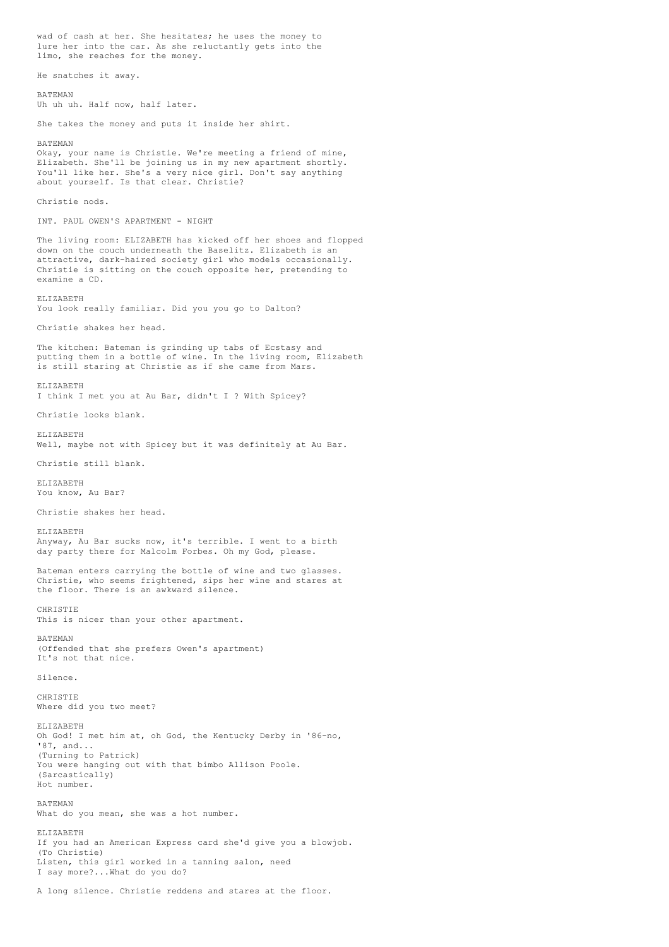lure her into the car. As she reluctantly gets into the limo, she reaches for the money. He snatches it away. BATEMAN Uh uh uh. Half now, half later. She takes the money and puts it inside her shirt. BATEMAN Okay, your name is Christie. We're meeting a friend of mine, Elizabeth. She'll be joining us in my new apartment shortly. You'll like her. She's a very nice girl. Don't say anything about yourself. Is that clear. Christie? Christie nods. INT. PAUL OWEN'S APARTMENT - NIGHT The living room: ELIZABETH has kicked off her shoes and flopped down on the couch underneath the Baselitz. Elizabeth is an attractive, dark-haired society girl who models occasionally. Christie is sitting on the couch opposite her, pretending to examine a CD. ELIZABETH You look really familiar. Did you you go to Dalton? Christie shakes her head. The kitchen: Bateman is grinding up tabs of Ecstasy and putting them in a bottle of wine. In the living room, Elizabeth is still staring at Christie as if she came from Mars. ELIZABETH I think I met you at Au Bar, didn't I ? With Spicey? Christie looks blank. ELIZABETH Well, maybe not with Spicey but it was definitely at Au Bar. Christie still blank. ELIZABETH You know, Au Bar? Christie shakes her head. ELIZABETH Anyway, Au Bar sucks now, it's terrible. I went to a birth day party there for Malcolm Forbes. Oh my God, please. Bateman enters carrying the bottle of wine and two glasses. Christie, who seems frightened, sips her wine and stares at the floor. There is an awkward silence. CHRISTIE This is nicer than your other apartment. BATEMAN (Offended that she prefers Owen's apartment) It's not that nice. Silence. CHRISTIE Where did you two meet? ELIZABETH Oh God! I met him at, oh God, the Kentucky Derby in '86-no, '87, and... (Turning to Patrick) You were hanging out with that bimbo Allison Poole. (Sarcastically) Hot number. BATEMAN What do you mean, she was a hot number. ELIZABETH If you had an American Express card she'd give you a blowjob. (To Christie) Listen, this girl worked in a tanning salon, need I say more?...What do you do?

wad of cash at her. She hesitates; he uses the money to

A long silence. Christie reddens and stares at the floor.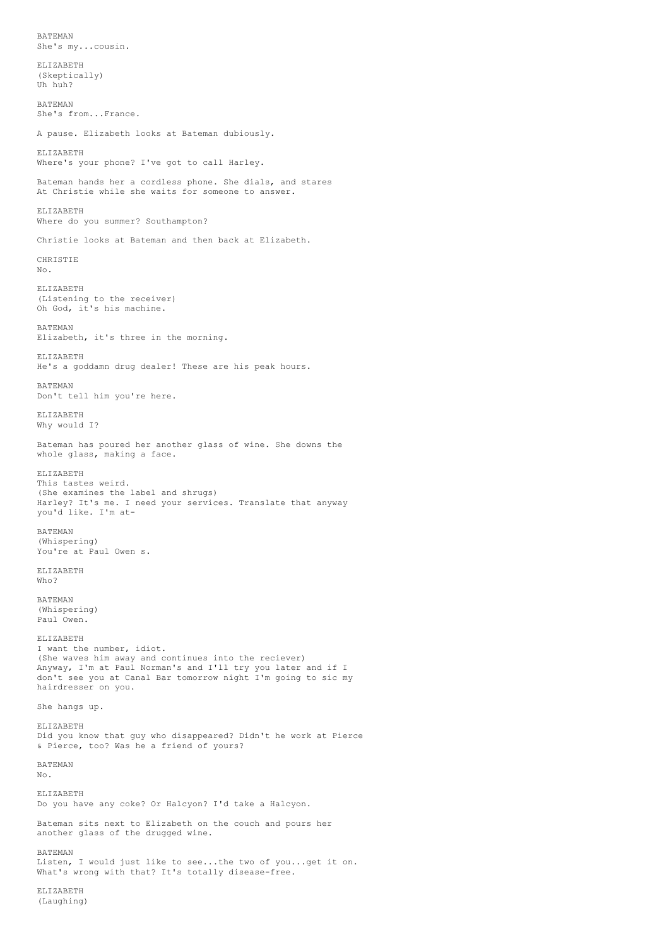BATEMAN She's my...cousin. ELIZABETH (Skeptically) Uh huh? BATEMAN She's from...France. A pause. Elizabeth looks at Bateman dubiously. ELIZABETH Where's your phone? I've got to call Harley. Bateman hands her a cordless phone. She dials, and stares At Christie while she waits for someone to answer. ELIZABETH Where do you summer? Southampton? Christie looks at Bateman and then back at Elizabeth. CHRISTIE  $N<sub>0</sub>$ . ELIZABETH (Listening to the receiver) Oh God, it's his machine. BATEMAN Elizabeth, it's three in the morning. ELIZABETH He's a goddamn drug dealer! These are his peak hours. BATEMAN Don't tell him you're here. ELIZABETH Why would I? Bateman has poured her another glass of wine. She downs the whole glass, making a face. ELIZABETH This tastes weird. (She examines the label and shrugs) Harley? It's me. I need your services. Translate that anyway you'd like. I'm at-BATEMAN (Whispering) You're at Paul Owen s. ELIZABETH Who? BATEMAN (Whispering) Paul Owen. ELIZABETH I want the number, idiot. (She waves him away and continues into the reciever) Anyway, I'm at Paul Norman's and I'll try you later and if I don't see you at Canal Bar tomorrow night I'm going to sic my hairdresser on you. She hangs up. ELIZABETH Did you know that guy who disappeared? Didn't he work at Pierce & Pierce, too? Was he a friend of yours? BATEMAN  $N<sub>0</sub>$ ELIZABETH Do you have any coke? Or Halcyon? I'd take a Halcyon. Bateman sits next to Elizabeth on the couch and pours her another glass of the drugged wine. BATEMAN Listen, I would just like to see...the two of you...get it on. What's wrong with that? It's totally disease-free. ELIZABETH (Laughing)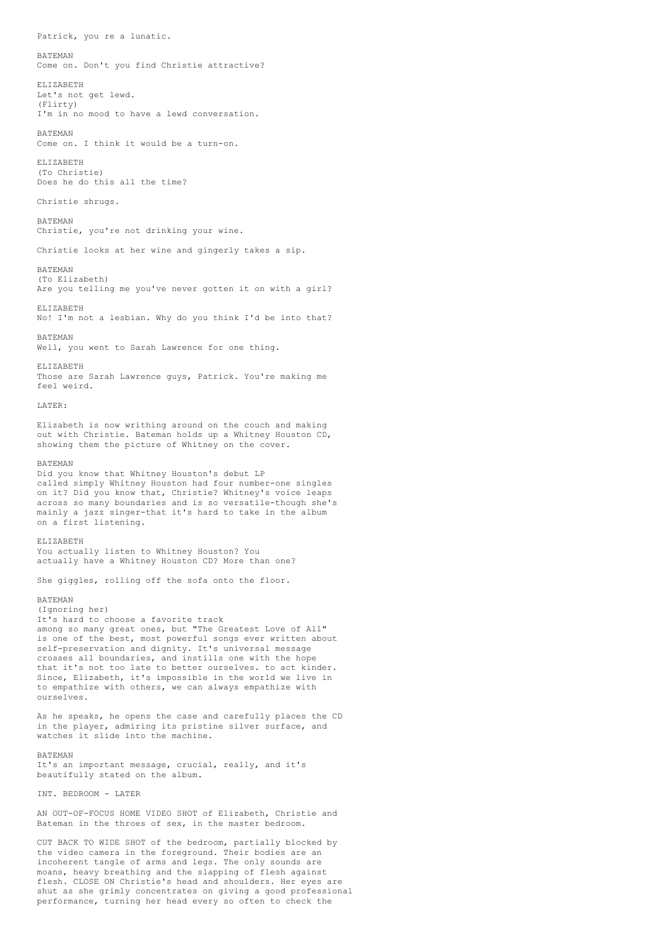Patrick, you re a lunatic.

#### BATEMAN

Come on. Don't you find Christie attractive?

# ELIZABETH

Let's not get lewd. (Flirty)

I'm in no mood to have a lewd conversation.

# BATEMAN

Come on. I think it would be a turn-on.

#### ELIZABETH (To Christie) Does he do this all the time?

Christie shrugs.

#### BATEMAN

Christie, you're not drinking your wine.

Christie looks at her wine and gingerly takes a sip.

# BATEMAN

(To Elizabeth) Are you telling me you've never gotten it on with a girl?

ELIZABETH No! I'm not a lesbian. Why do you think I'd be into that?

BATEMAN Well, you went to Sarah Lawrence for one thing.

ELIZABETH Those are Sarah Lawrence guys, Patrick. You're making me feel weird.

#### LATER:

Elizabeth is now writhing around on the couch and making out with Christie. Bateman holds up a Whitney Houston CD, showing them the picture of Whitney on the cover.

### BATEMAN

Did you know that Whitney Houston's debut LP called simply Whitney Houston had four number-one singles on it? Did you know that, Christie? Whitney's voice leaps across so many boundaries and is so versatile-though she's mainly a jazz singer-that it's hard to take in the album on a first listening.

### ELIZABETH

You actually listen to Whitney Houston? You actually have a Whitney Houston CD? More than one?

She giggles, rolling off the sofa onto the floor.

# BATEMAN

(Ignoring her) It's hard to choose a favorite track among so many great ones, but "The Greatest Love of All" is one of the best, most powerful songs ever written about self-preservation and dignity. It's universal message crosses all boundaries, and instills one with the hope that it's not too late to better ourselves. to act kinder. Since, Elizabeth, it's impossible in the world we live in to empathize with others, we can always empathize with ourselves.

As he speaks, he opens the case and carefully places the CD in the player, admiring its pristine silver surface, and watches it slide into the machine.

# BATEMAN

It's an important message, crucial, really, and it's beautifully stated on the album.

# INT. BEDROOM - LATER

AN OUT-OF-FOCUS HOME VIDEO SHOT of Elizabeth, Christie and Bateman in the throes of sex, in the master bedroom.

CUT BACK TO WIDE SHOT of the bedroom, partially blocked by the video camera in the foreground. Their bodies are an incoherent tangle of arms and legs. The only sounds are moans, heavy breathing and the slapping of flesh against flesh. CLOSE ON Christie's head and shoulders. Her eyes are shut as she grimly concentrates on giving a good professional performance, turning her head every so often to check the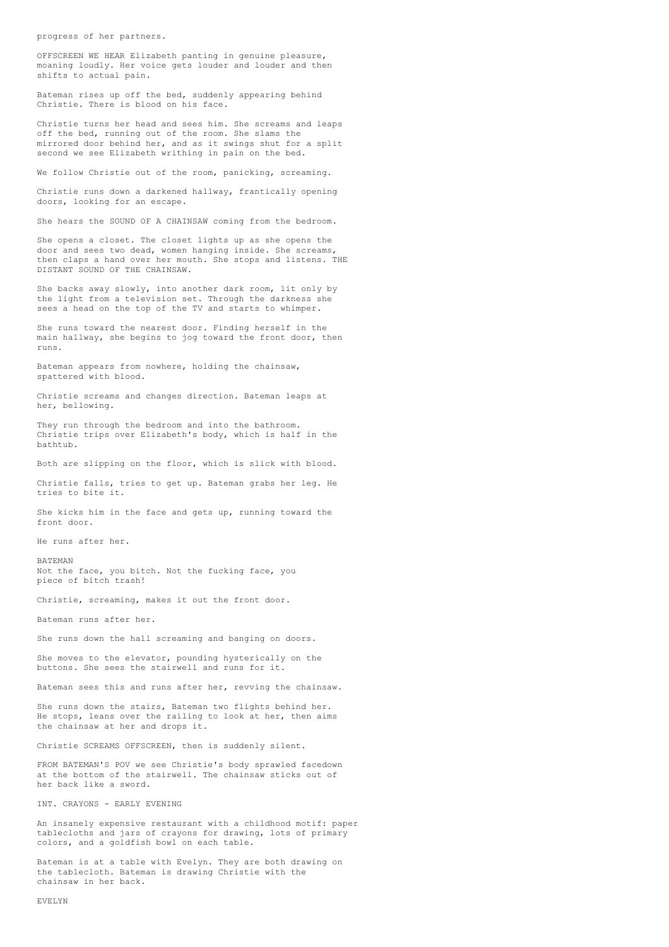#### progress of her partners.

OFFSCREEN WE HEAR Elizabeth panting in genuine pleasure, moaning loudly. Her voice gets louder and louder and then shifts to actual pain.

Bateman rises up off the bed, suddenly appearing behind Christie. There is blood on his face.

Christie turns her head and sees him. She screams and leaps off the bed, running out of the room. She slams the mirrored door behind her, and as it swings shut for a split second we see Elizabeth writhing in pain on the bed.

We follow Christie out of the room, panicking, screaming.

Christie runs down a darkened hallway, frantically opening doors, looking for an escape.

She hears the SOUND OF A CHAINSAW coming from the bedroom.

She opens a closet. The closet lights up as she opens the door and sees two dead, women hanging inside. She screams, then claps a hand over her mouth. She stops and listens. THE DISTANT SOUND OF THE CHAINSAW.

She backs away slowly, into another dark room, lit only by the light from a television set. Through the darkness she sees a head on the top of the TV and starts to whimper.

She runs toward the nearest door. Finding herself in the main hallway, she begins to jog toward the front door, then runs.

Bateman appears from nowhere, holding the chainsaw, spattered with blood.

Christie screams and changes direction. Bateman leaps at her, bellowing.

They run through the bedroom and into the bathroom. Christie trips over Elizabeth's body, which is half in the bathtub.

Both are slipping on the floor, which is slick with blood.

Christie falls, tries to get up. Bateman grabs her leg. He tries to bite it.

She kicks him in the face and gets up, running toward the front door.

He runs after her.

#### BATEMAN

Not the face, you bitch. Not the fucking face, you piece of bitch trash!

Christie, screaming, makes it out the front door.

Bateman runs after her.

She runs down the hall screaming and banging on doors.

She moves to the elevator, pounding hysterically on the buttons. She sees the stairwell and runs for it.

Bateman sees this and runs after her, revving the chainsaw.

She runs down the stairs, Bateman two flights behind her. He stops, leans over the railing to look at her, then aims the chainsaw at her and drops it.

Christie SCREAMS OFFSCREEN, then is suddenly silent.

FROM BATEMAN'S POV we see Christie's body sprawled facedown at the bottom of the stairwell. The chainsaw sticks out of her back like a sword.

INT. CRAYONS - EARLY EVENING

An insanely expensive restaurant with a childhood motif: paper tablecloths and jars of crayons for drawing, lots of primary colors, and a goldfish bowl on each table.

Bateman is at a table with Evelyn. They are both drawing on the tablecloth. Bateman is drawing Christie with the chainsaw in her back.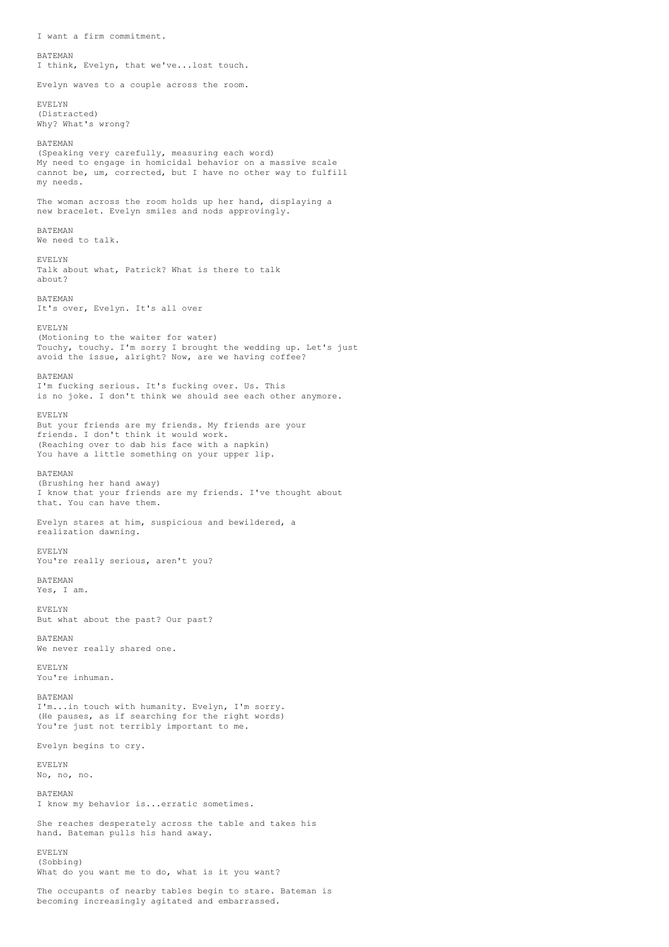I want a firm commitment. BATEMAN I think, Evelyn, that we've...lost touch. Evelyn waves to a couple across the room. EVELYN (Distracted) Why? What's wrong? BATEMAN (Speaking very carefully, measuring each word) My need to engage in homicidal behavior on a massive scale cannot be, um, corrected, but I have no other way to fulfill my needs. The woman across the room holds up her hand, displaying a new bracelet. Evelyn smiles and nods approvingly. BATEMAN We need to talk. EVELYN Talk about what, Patrick? What is there to talk about? BATEMAN It's over, Evelyn. It's all over EVELYN (Motioning to the waiter for water) Touchy, touchy. I'm sorry I brought the wedding up. Let's just avoid the issue, alright? Now, are we having coffee? BATEMAN I'm fucking serious. It's fucking over. Us. This is no joke. I don't think we should see each other anymore. EVELYN But your friends are my friends. My friends are your friends. I don't think it would work. (Reaching over to dab his face with a napkin) You have a little something on your upper lip. BATEMAN (Brushing her hand away) I know that your friends are my friends. I've thought about that. You can have them. Evelyn stares at him, suspicious and bewildered, a realization dawning. EVELYN You're really serious, aren't you? BATEMAN Yes, I am. EVELYN But what about the past? Our past? BATEMAN We never really shared one. EVELYN You're inhuman. BATEMAN I'm...in touch with humanity. Evelyn, I'm sorry. (He pauses, as if searching for the right words) You're just not terribly important to me. Evelyn begins to cry. EVELYN No, no, no. BATEMAN I know my behavior is...erratic sometimes. She reaches desperately across the table and takes his hand. Bateman pulls his hand away. EVELYN (Sobbing) What do you want me to do, what is it you want?

The occupants of nearby tables begin to stare. Bateman is becoming increasingly agitated and embarrassed.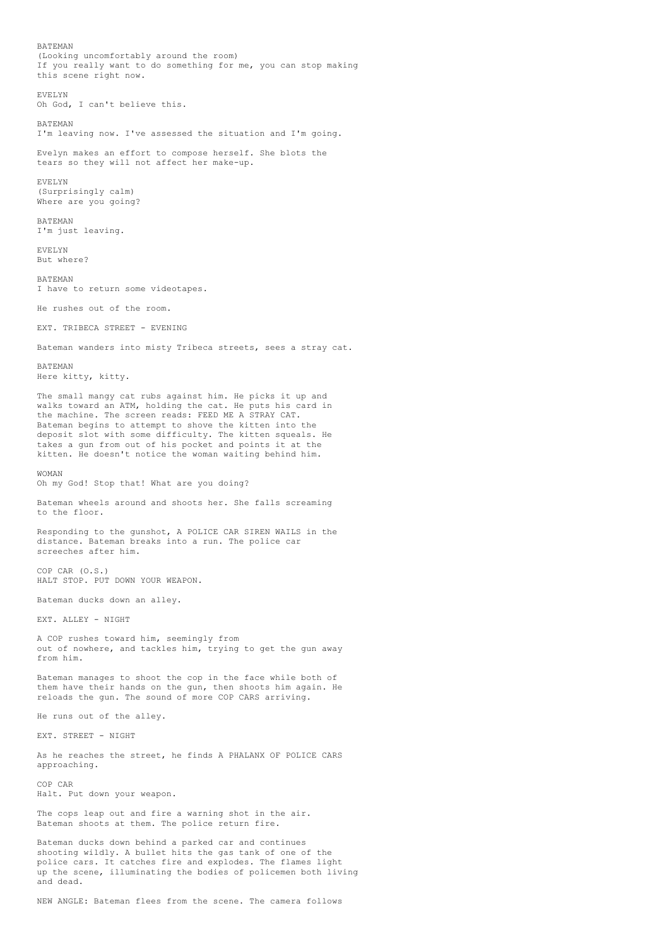BATEMAN (Looking uncomfortably around the room) If you really want to do something for me, you can stop making this scene right now.

EVELYN Oh God, I can't believe this.

BATEMAN I'm leaving now. I've assessed the situation and I'm going.

Evelyn makes an effort to compose herself. She blots the tears so they will not affect her make-up.

EVELYN (Surprisingly calm) Where are you going?

BATEMAN I'm just leaving.

EVELYN But where?

BATEMAN I have to return some videotapes.

He rushes out of the room.

EXT. TRIBECA STREET - EVENING

Bateman wanders into misty Tribeca streets, sees a stray cat.

BATEMAN Here kitty, kitty.

The small mangy cat rubs against him. He picks it up and walks toward an ATM, holding the cat. He puts his card in the machine. The screen reads: FEED ME A STRAY CAT. Bateman begins to attempt to shove the kitten into the deposit slot with some difficulty. The kitten squeals. He takes a gun from out of his pocket and points it at the kitten. He doesn't notice the woman waiting behind him.

WOMAN Oh my God! Stop that! What are you doing?

Bateman wheels around and shoots her. She falls screaming to the floor.

Responding to the gunshot, A POLICE CAR SIREN WAILS in the distance. Bateman breaks into a run. The police car screeches after him.

COP CAR (O.S.) HALT STOP. PUT DOWN YOUR WEAPON.

Bateman ducks down an alley.

EXT. ALLEY - NIGHT

A COP rushes toward him, seemingly from out of nowhere, and tackles him, trying to get the gun away from him.

Bateman manages to shoot the cop in the face while both of them have their hands on the gun, then shoots him again. He reloads the gun. The sound of more COP CARS arriving.

He runs out of the alley.

EXT. STREET - NIGHT

As he reaches the street, he finds A PHALANX OF POLICE CARS approaching.

COP CAR Halt. Put down your weapon.

The cops leap out and fire a warning shot in the air. Bateman shoots at them. The police return fire.

Bateman ducks down behind a parked car and continues shooting wildly. A bullet hits the gas tank of one of the police cars. It catches fire and explodes. The flames light up the scene, illuminating the bodies of policemen both living and dead.

NEW ANGLE: Bateman flees from the scene. The camera follows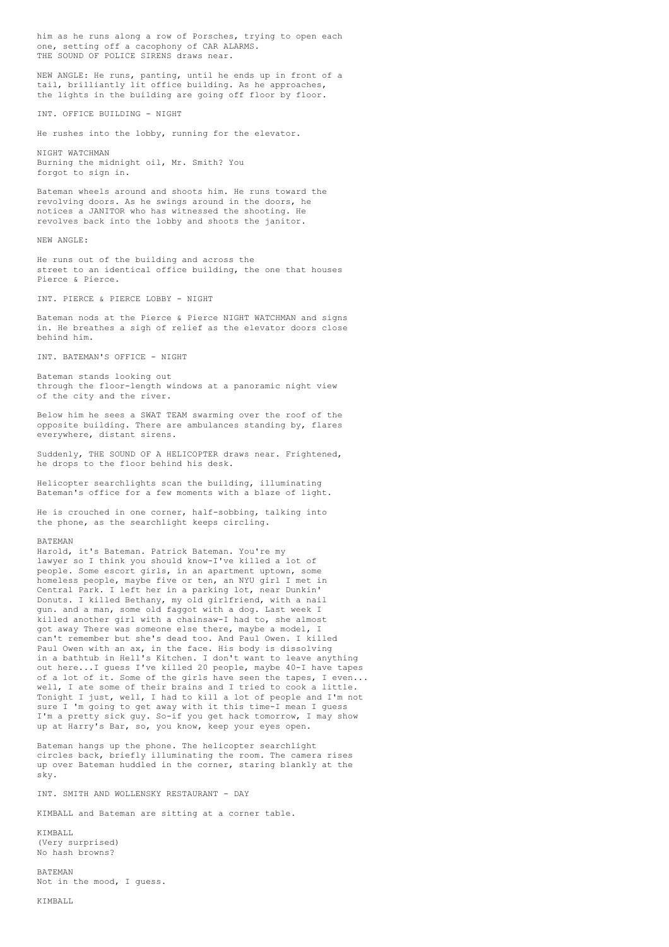him as he runs along a row of Porsches, trying to open each one, setting off a cacophony of CAR ALARMS. THE SOUND OF POLICE SIRENS draws near.

NEW ANGLE: He runs, panting, until he ends up in front of a tail, brilliantly lit office building. As he approaches, the lights in the building are going off floor by floor.

INT. OFFICE BUILDING - NIGHT

He rushes into the lobby, running for the elevator.

NIGHT WATCHMAN Burning the midnight oil, Mr. Smith? You forgot to sign in.

Bateman wheels around and shoots him. He runs toward the revolving doors. As he swings around in the doors, he notices a JANITOR who has witnessed the shooting. He revolves back into the lobby and shoots the janitor.

# NEW ANGLE:

He runs out of the building and across the street to an identical office building, the one that houses Pierce & Pierce.

INT. PIERCE & PIERCE LOBBY - NIGHT

Bateman nods at the Pierce & Pierce NIGHT WATCHMAN and signs in. He breathes a sigh of relief as the elevator doors close behind him.

INT. BATEMAN'S OFFICE - NIGHT

Bateman stands looking out through the floor-length windows at a panoramic night view of the city and the river.

Below him he sees a SWAT TEAM swarming over the roof of the opposite building. There are ambulances standing by, flares everywhere, distant sirens.

Suddenly, THE SOUND OF A HELICOPTER draws near. Frightened, he drops to the floor behind his desk.

Helicopter searchlights scan the building, illuminating Bateman's office for a few moments with a blaze of light.

He is crouched in one corner, half-sobbing, talking into the phone, as the searchlight keeps circling.

#### BATEMAN

Harold, it's Bateman. Patrick Bateman. You're my lawyer so I think you should know-I've killed a lot of people. Some escort girls, in an apartment uptown, some homeless people, maybe five or ten, an NYU girl I met in Central Park. I left her in a parking lot, near Dunkin' Donuts. I killed Bethany, my old girlfriend, with a nail gun. and a man, some old faggot with a dog. Last week I killed another girl with a chainsaw-I had to, she almost got away There was someone else there, maybe a model, I can't remember but she's dead too. And Paul Owen. I killed Paul Owen with an ax, in the face. His body is dissolving in a bathtub in Hell's Kitchen. I don't want to leave anything out here...I guess I've killed 20 people, maybe 40-I have tapes of a lot of it. Some of the girls have seen the tapes, I even... well, I ate some of their brains and I tried to cook a little. Tonight I just, well, I had to kill a lot of people and I'm not sure I 'm going to get away with it this time-I mean I guess I'm a pretty sick guy. So-if you get hack tomorrow, I may show up at Harry's Bar, so, you know, keep your eyes open.

Bateman hangs up the phone. The helicopter searchlight circles back, briefly illuminating the room. The camera rises up over Bateman huddled in the corner, staring blankly at the sky.

INT. SMITH AND WOLLENSKY RESTAURANT - DAY

KIMBALL and Bateman are sitting at a corner table.

KIMBALL. (Very surprised) No hash browns?

BATEMAN Not in the mood, I guess.

KIMBALL.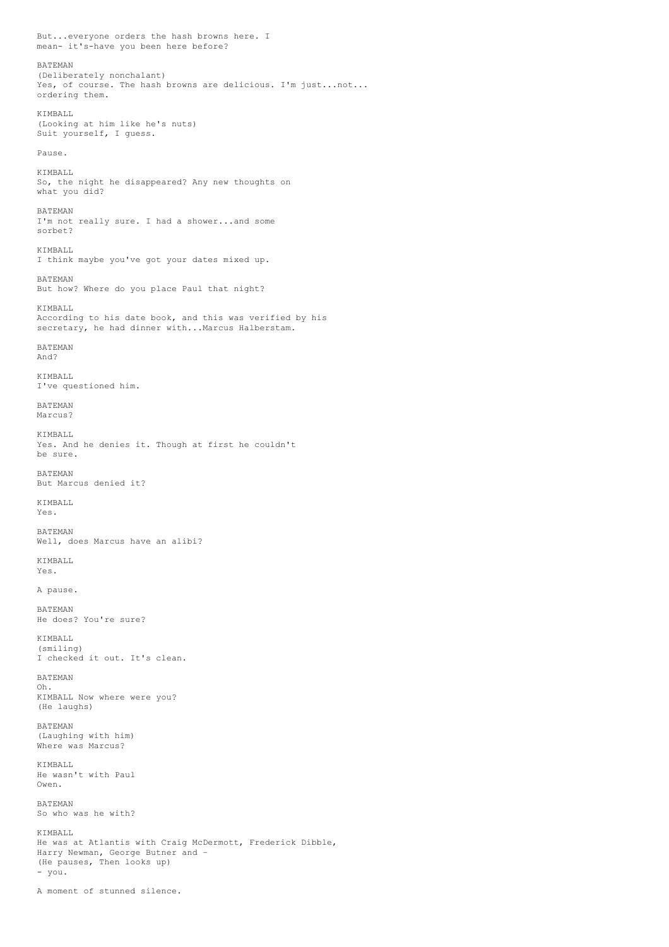But...everyone orders the hash browns here. I mean- it's-have you been here before?

BATEMAN (Deliberately nonchalant) Yes, of course. The hash browns are delicious. I'm just...not... ordering them.

KIMBALL (Looking at him like he's nuts) Suit yourself, I guess.

Pause.

KIMBALL. So, the night he disappeared? Any new thoughts on what you did?

BATEMAN I'm not really sure. I had a shower...and some sorbet?

KIMBALL I think maybe you've got your dates mixed up.

BATEMAN But how? Where do you place Paul that night?

KIMBALL According to his date book, and this was verified by his secretary, he had dinner with...Marcus Halberstam.

BATEMAN And?

KIMBALL I've questioned him.

BATEMAN Marcus?

KIMBALL Yes. And he denies it. Though at first he couldn't be sure.

BATEMAN But Marcus denied it?

KIMBALL Yes.

BATEMAN Well, does Marcus have an alibi?

KIMBALL. Yes.

A pause.

BATEMAN He does? You're sure?

KIMBALL (smiling) I checked it out. It's clean.

BATEMAN Oh. KIMBALL Now where were you? (He laughs)

BATEMAN (Laughing with him) Where was Marcus?

KIMBALL. He wasn't with Paul Owen.

BATEMAN So who was he with?

KIMBALL He was at Atlantis with Craig McDermott, Frederick Dibble, Harry Newman, George Butner and – (He pauses, Then looks up)  $-$  vou.

A moment of stunned silence.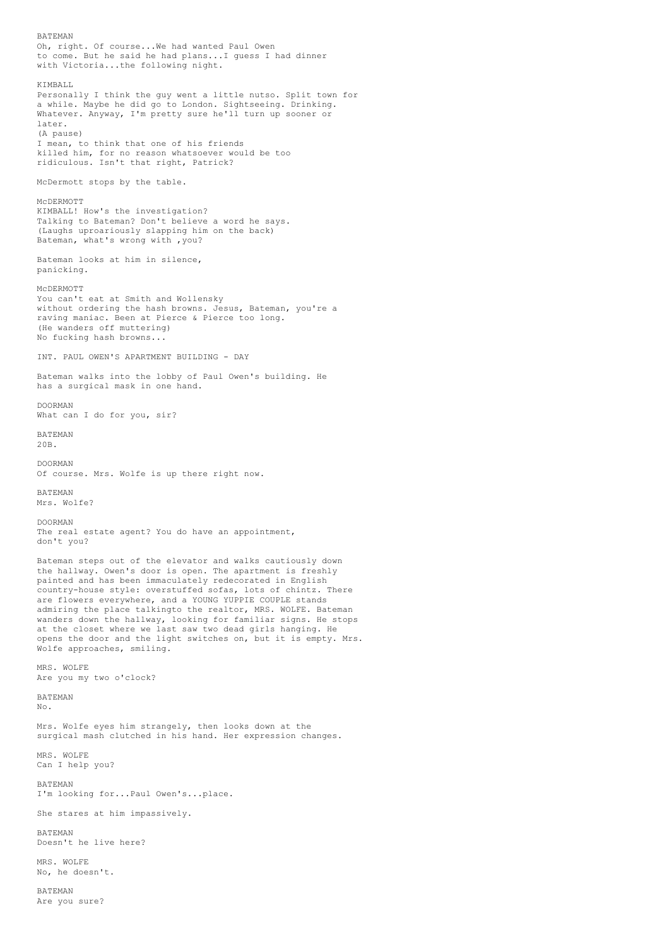BATEMAN Oh, right. Of course...We had wanted Paul Owen to come. But he said he had plans...I guess I had dinner with Victoria...the following night. KIMBALL Personally I think the guy went a little nutso. Split town for a while. Maybe he did go to London. Sightseeing. Drinking. Whatever. Anyway, I'm pretty sure he'll turn up sooner or later. (A pause) I mean, to think that one of his friends killed him, for no reason whatsoever would be too ridiculous. Isn't that right, Patrick? McDermott stops by the table. McDERMOTT KIMBALL! How's the investigation? Talking to Bateman? Don't believe a word he says. (Laughs uproariously slapping him on the back) Bateman, what's wrong with , you? Bateman looks at him in silence, panicking. McDERMOTT You can't eat at Smith and Wollensky without ordering the hash browns. Jesus, Bateman, you're a raving maniac. Been at Pierce & Pierce too long. (He wanders off muttering) No fucking hash browns... INT. PAUL OWEN'S APARTMENT BUILDING - DAY Bateman walks into the lobby of Paul Owen's building. He has a surgical mask in one hand. DOORMAN What can I do for you, sir? BATEMAN 20B. DOORMAN Of course. Mrs. Wolfe is up there right now. BATEMAN Mrs. Wolfe? DOORMAN The real estate agent? You do have an appointment, don't you? Bateman steps out of the elevator and walks cautiously down the hallway. Owen's door is open. The apartment is freshly painted and has been immaculately redecorated in English country-house style: overstuffed sofas, lots of chintz. There are flowers everywhere, and a YOUNG YUPPIE COUPLE stands admiring the place talkingto the realtor, MRS. WOLFE. Bateman wanders down the hallway, looking for familiar signs. He stops at the closet where we last saw two dead girls hanging. He opens the door and the light switches on, but it is empty. Mrs. Wolfe approaches, smiling. MRS. WOLFE Are you my two o'clock? BATEMAN No. Mrs. Wolfe eyes him strangely, then looks down at the surgical mash clutched in his hand. Her expression changes. MRS. WOLFE Can I help you? BATEMAN I'm looking for...Paul Owen's...place. She stares at him impassively. BATEMAN Doesn't he live here? MRS. WOLFE No, he doesn't. BATEMAN Are you sure?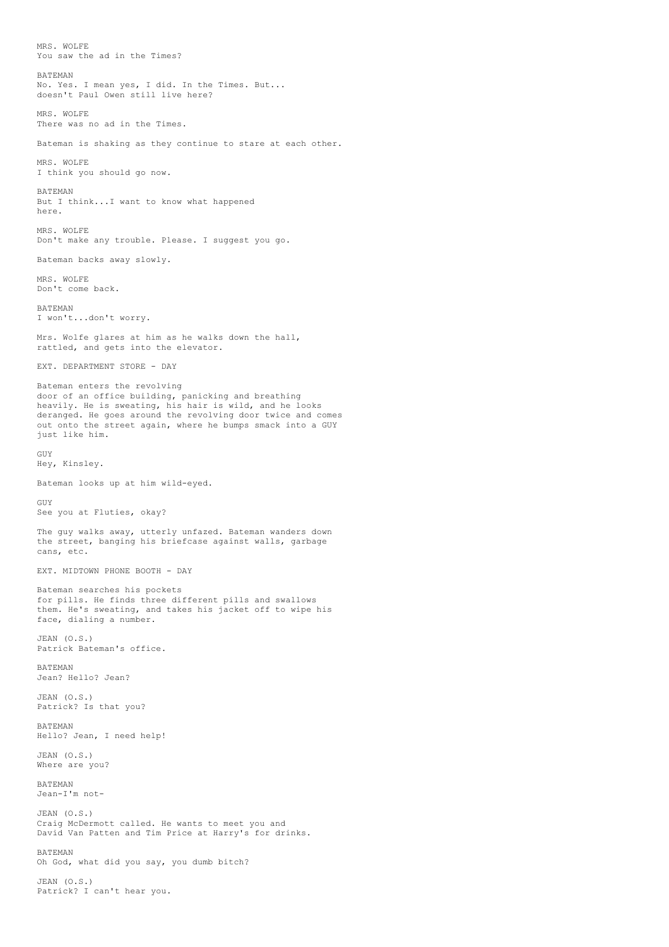MRS. WOLFE You saw the ad in the Times? BATEMAN No. Yes. I mean yes, I did. In the Times. But... doesn't Paul Owen still live here? MRS. WOLFE There was no ad in the Times. Bateman is shaking as they continue to stare at each other. MRS. WOLFE I think you should go now. BATEMAN But I think...I want to know what happened here. MRS. WOLFE Don't make any trouble. Please. I suggest you go. Bateman backs away slowly. MRS. WOLFE Don't come back. BATEMAN I won't...don't worry. Mrs. Wolfe glares at him as he walks down the hall, rattled, and gets into the elevator. EXT. DEPARTMENT STORE - DAY Bateman enters the revolving door of an office building, panicking and breathing heavily. He is sweating, his hair is wild, and he looks deranged. He goes around the revolving door twice and comes out onto the street again, where he bumps smack into a GUY just like him. **GUY** Hey, Kinsley. Bateman looks up at him wild-eyed. **GUY** See you at Fluties, okay? The guy walks away, utterly unfazed. Bateman wanders down the street, banging his briefcase against walls, garbage cans, etc. EXT. MIDTOWN PHONE BOOTH - DAY Bateman searches his pockets for pills. He finds three different pills and swallows them. He's sweating, and takes his jacket off to wipe his face, dialing a number. JEAN (O.S.) Patrick Bateman's office. BATEMAN Jean? Hello? Jean? JEAN (O.S.) Patrick? Is that you? BATEMAN Hello? Jean, I need help! JEAN (O.S.) Where are you? BATEMAN Jean-I'm not-JEAN (O.S.) Craig McDermott called. He wants to meet you and David Van Patten and Tim Price at Harry's for drinks. BATEMAN Oh God, what did you say, you dumb bitch? JEAN (O.S.) Patrick? I can't hear you.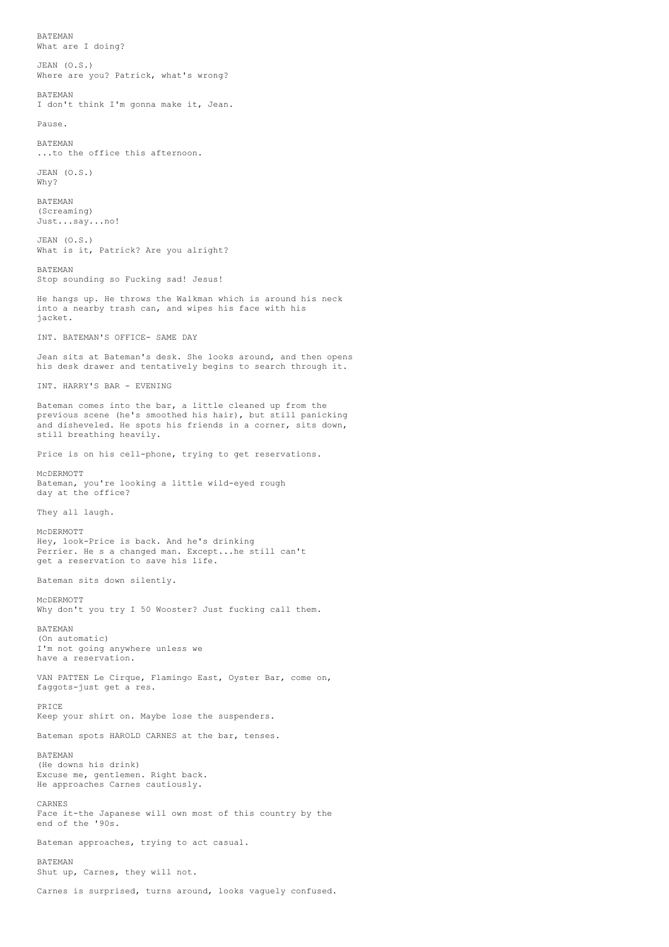BATEMAN What are I doing?

JEAN (O.S.) Where are you? Patrick, what's wrong?

I don't think I'm gonna make it, Jean.

Pause.

BATEMAN

BATEMAN ...to the office this afternoon.

JEAN (O.S.) Why?

BATEMAN (Screaming) Just...say...no!

JEAN (O.S.) What is it, Patrick? Are you alright?

BATEMAN Stop sounding so Fucking sad! Jesus!

He hangs up. He throws the Walkman which is around his neck into a nearby trash can, and wipes his face with his jacket.

INT. BATEMAN'S OFFICE- SAME DAY

Jean sits at Bateman's desk. She looks around, and then opens his desk drawer and tentatively begins to search through it.

INT. HARRY'S BAR - EVENING

Bateman comes into the bar, a little cleaned up from the previous scene (he's smoothed his hair), but still panicking and disheveled. He spots his friends in a corner, sits down, still breathing heavily.

Price is on his cell-phone, trying to get reservations.

McDERMOTT Bateman, you're looking a little wild-eyed rough day at the office?

They all laugh.

McDERMOTT Hey, look-Price is back. And he's drinking Perrier. He s a changed man. Except...he still can't get a reservation to save his life.

Bateman sits down silently.

McDERMOTT Why don't you try I 50 Wooster? Just fucking call them.

BATEMAN (On automatic) I'm not going anywhere unless we have a reservation.

VAN PATTEN Le Cirque, Flamingo East, Oyster Bar, come on, faggots-just get a res.

PRICE Keep your shirt on. Maybe lose the suspenders.

Bateman spots HAROLD CARNES at the bar, tenses.

BATEMAN (He downs his drink) Excuse me, gentlemen. Right back. He approaches Carnes cautiously.

CARNES Face it-the Japanese will own most of this country by the end of the '90s.

Bateman approaches, trying to act casual.

# BATEMAN Shut up, Carnes, they will not.

Carnes is surprised, turns around, looks vaguely confused.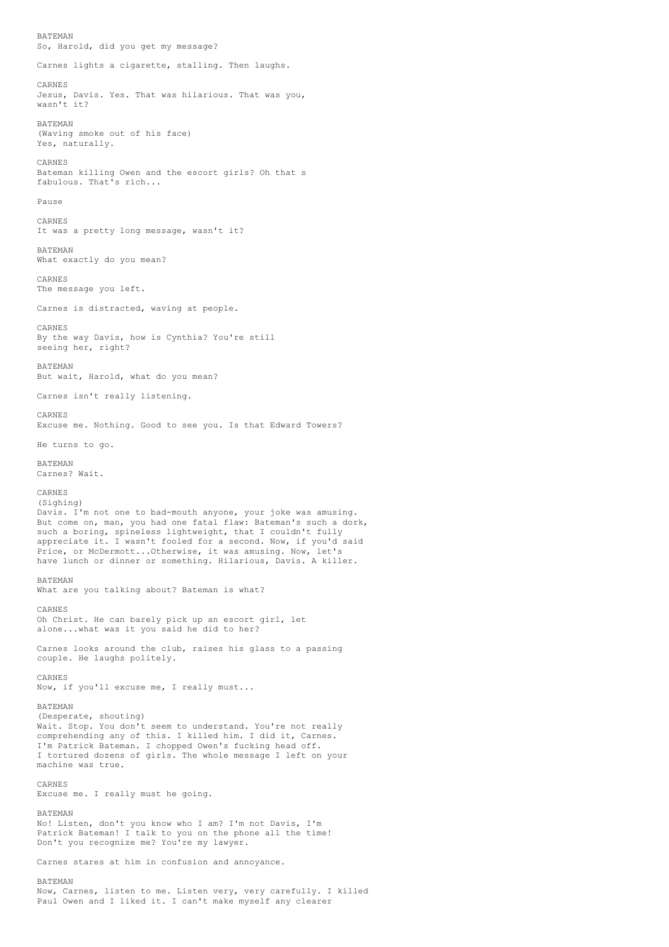BATEMAN So, Harold, did you get my message?

Carnes lights a cigarette, stalling. Then laughs.

CARNES Jesus, Davis. Yes. That was hilarious. That was you, wasn't it?

BATEMAN (Waving smoke out of his face) Yes, naturally.

# CARNES Bateman killing Owen and the escort girls? Oh that s fabulous. That's rich...

Pause

CARNES It was a pretty long message, wasn't it?

# BATEMAN What exactly do you mean?

CARNES The message you left.

Carnes is distracted, waving at people.

CARNES By the way Davis, how is Cynthia? You're still seeing her, right?

BATEMAN But wait, Harold, what do you mean?

Carnes isn't really listening.

CARNES Excuse me. Nothing. Good to see you. Is that Edward Towers?

He turns to go.

BATEMAN Carnes? Wait.

### CARNES (Sighing)

Davis. I'm not one to bad-mouth anyone, your joke was amusing. But come on, man, you had one fatal flaw: Bateman's such a dork, such a boring, spineless lightweight, that I couldn't fully appreciate it. I wasn't fooled for a second. Now, if you'd said Price, or McDermott...Otherwise, it was amusing. Now, let's have lunch or dinner or something. Hilarious, Davis. A killer.

# BATEMAN

What are you talking about? Bateman is what?

CARNES Oh Christ. He can barely pick up an escort girl, let alone...what was it you said he did to her?

Carnes looks around the club, raises his glass to a passing couple. He laughs politely.

CARNES Now, if you'll excuse me, I really must...

BATEMAN

(Desperate, shouting) Wait. Stop. You don't seem to understand. You're not really comprehending any of this. I killed him. I did it, Carnes. I'm Patrick Bateman. I chopped Owen's fucking head off. I tortured dozens of girls. The whole message I left on your machine was true.

# CARNES

Excuse me. I really must he going.

BATEMAN No! Listen, don't you know who I am? I'm not Davis, I'm Patrick Bateman! I talk to you on the phone all the time! Don't you recognize me? You're my lawyer.

Carnes stares at him in confusion and annoyance.

BATEMAN Now, Carnes, listen to me. Listen very, very carefully. I killed Paul Owen and I liked it. I can't make myself any clearer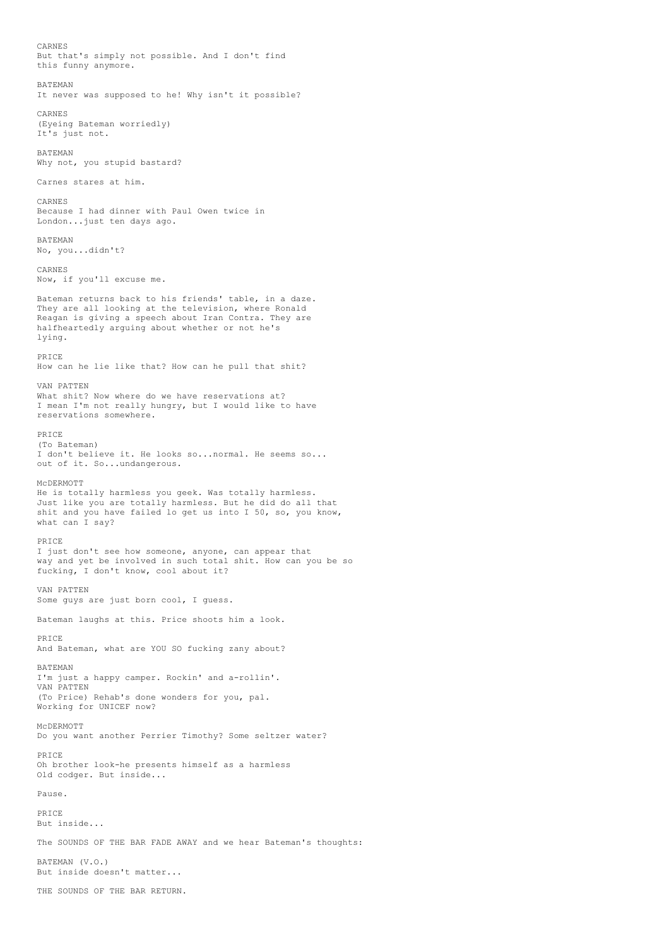CARNES But that's simply not possible. And I don't find this funny anymore.

# BATEMAN

It never was supposed to he! Why isn't it possible?

### CARNES (Eyeing Bateman worriedly) It's just not.

BATEMAN Why not, you stupid bastard?

Carnes stares at him.

CARNES Because I had dinner with Paul Owen twice in London...just ten days ago.

BATEMAN No, you...didn't?

CARNES Now, if you'll excuse me.

Bateman returns back to his friends' table, in a daze. They are all looking at the television, where Ronald Reagan is giving a speech about Iran Contra. They are halfheartedly arguing about whether or not he's lying.

PRICE How can he lie like that? How can he pull that shit?

VAN PATTEN What shit? Now where do we have reservations at? I mean I'm not really hungry, but I would like to have reservations somewhere.

PRICE (To Bateman) I don't believe it. He looks so...normal. He seems so... out of it. So...undangerous.

### McDERMOTT

He is totally harmless you geek. Was totally harmless. Just like you are totally harmless. But he did do all that shit and you have failed lo get us into I 50, so, you know, what can I say?

# PRICE

I just don't see how someone, anyone, can appear that way and yet be involved in such total shit. How can you be so fucking, I don't know, cool about it?

VAN PATTEN Some guys are just born cool, I guess.

Bateman laughs at this. Price shoots him a look.

# PRICE And Bateman, what are YOU SO fucking zany about?

BATEMAN I'm just a happy camper. Rockin' and a-rollin'. VAN PATTEN (To Price) Rehab's done wonders for you, pal. Working for UNICEF now?

# McDERMOTT

Do you want another Perrier Timothy? Some seltzer water?

PRICE Oh brother look-he presents himself as a harmless Old codger. But inside...

Pause.

PRICE But inside...

The SOUNDS OF THE BAR FADE AWAY and we hear Bateman's thoughts:

BATEMAN (V.O.) But inside doesn't matter...

THE SOUNDS OF THE BAR RETURN.